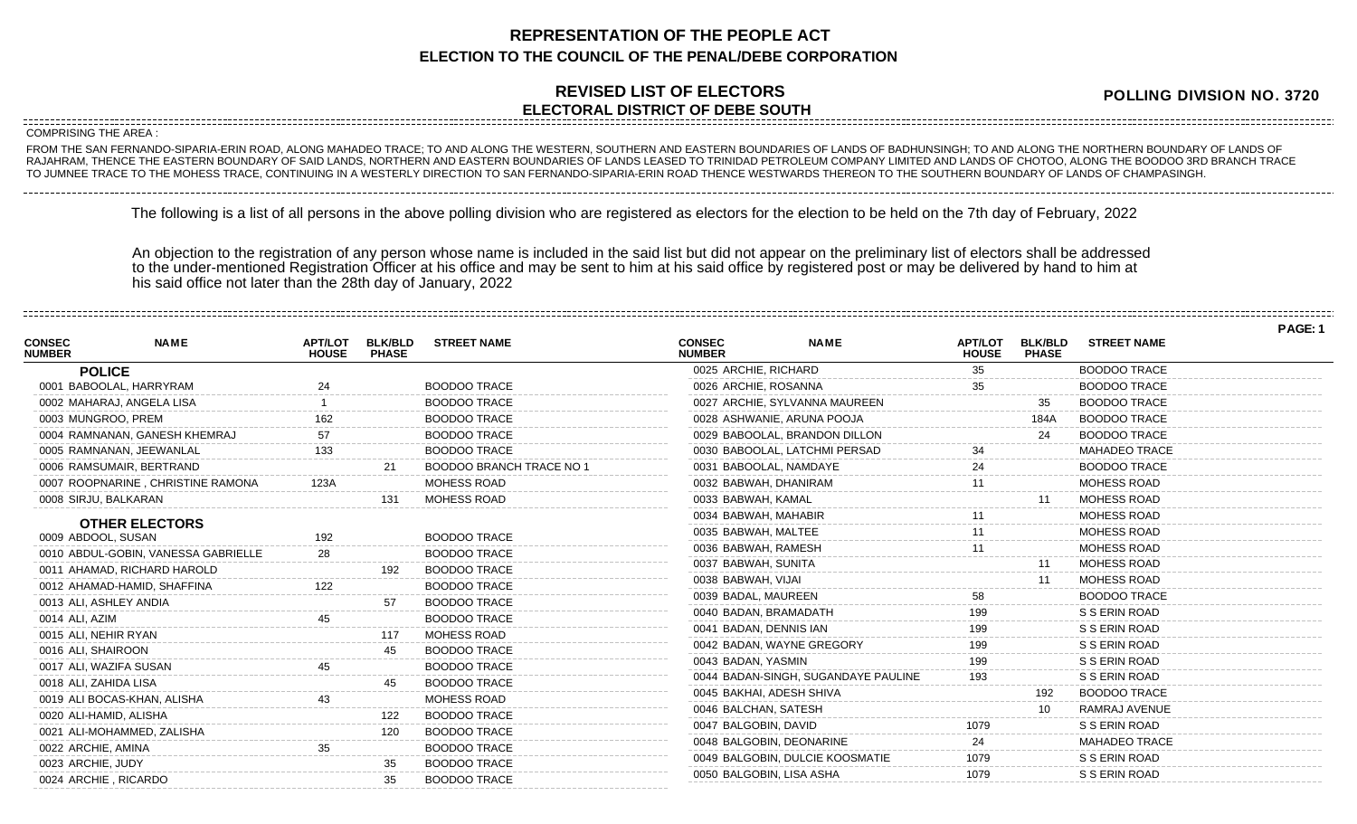## **REPRESENTATION OF THE PEOPLE ACT ELECTION TO THE COUNCIL OF THE PENAL/DEBE CORPORATION**

## **REVISED LIST OF ELECTORS ELECTORAL DISTRICT OF DEBE SOUTH**

**POLLING DIVISION NO. 3720**

**PAGE: 1**

COMPRISING THE AREA :

FROM THE SAN FERNANDO-SIPARIA-ERIN ROAD, ALONG MAHADEO TRACE; TO AND ALONG THE WESTERN, SOUTHERN AND EASTERN BOUNDARIES OF LANDS OF BADHUNSINGH; TO AND ALONG THE NORTHERN BOUNDARY OF LANDS OF RAJAHRAM, THENCE THE EASTERN BOUNDARY OF SAID LANDS, NORTHERN AND EASTERN BOUNDARIES OF LANDS LEASED TO TRINIDAD PETROLEUM COMPANY LIMITED AND LANDS OF CHOTOO, ALONG THE BOODOO 3RD BRANCH TRACE TO JUMNEE TRACE TO THE MOHESS TRACE, CONTINUING IN A WESTERLY DIRECTION TO SAN FERNANDO-SIPARIA-ERIN ROAD THENCE WESTWARDS THEREON TO THE SOUTHERN BOUNDARY OF LANDS OF CHAMPASINGH.

The following is a list of all persons in the above polling division who are registered as electors for the election to be held on the 7th day of February, 2022

An objection to the registration of any person whose name is included in the said list but did not appear on the preliminary list of electors shall be addressed to the under-mentioned Registration Officer at his office and may be sent to him at his said office by registered post or may be delivered by hand to him at his said office not later than the 28th day of January, 2022

| <b>CONSEC</b><br><b>NUMBER</b> | <b>NAME</b>                         | <b>APT/LOT</b><br><b>HOUSE</b> | <b>BLK/BLD</b><br><b>PHASE</b> | <b>STREET NAME</b>       | <b>CONSEC</b><br><b>NUMBER</b> | <b>NAME</b>                         | <b>APT/LOT</b><br><b>HOUSE</b> | <b>BLK/BLD</b><br><b>PHASE</b> | <b>STREET NAME</b>   |  |
|--------------------------------|-------------------------------------|--------------------------------|--------------------------------|--------------------------|--------------------------------|-------------------------------------|--------------------------------|--------------------------------|----------------------|--|
|                                | <b>POLICE</b>                       |                                |                                |                          | 0025 ARCHIE, RICHARD           |                                     | 35                             |                                | <b>BOODOO TRACE</b>  |  |
|                                | 0001 BABOOLAL, HARRYRAM             | 24                             |                                | <b>BOODOO TRACE</b>      | 0026 ARCHIE, ROSANNA           |                                     | 35                             |                                | <b>BOODOO TRACE</b>  |  |
|                                | 0002 MAHARAJ, ANGELA LISA           |                                |                                | <b>BOODOO TRACE</b>      |                                | 0027 ARCHIE, SYLVANNA MAUREEN       |                                | 35                             | <b>BOODOO TRACE</b>  |  |
|                                | 0003 MUNGROO, PREM                  | 162.                           |                                | <b>BOODOO TRACE</b>      | 0028 ASHWANIE, ARUNA POOJA     |                                     |                                | 184A                           | <b>BOODOO TRACE</b>  |  |
|                                | 0004 RAMNANAN, GANESH KHEMRAJ       |                                |                                | <b>BOODOO TRACE</b>      | 0029 BABOOLAL, BRANDON DILLON  |                                     |                                | 24                             | <b>BOODOO TRACE</b>  |  |
|                                | 0005 RAMNANAN, JEEWANLAL            |                                |                                | <b>BOODOO TRACE</b>      | 0030 BABOOLAL, LATCHMI PERSAD  |                                     |                                |                                | <b>MAHADEO TRACE</b> |  |
|                                | 0006 RAMSUMAIR, BERTRAND            |                                |                                | BOODOO BRANCH TRACE NO 1 | 0031 BABOOLAL, NAMDAYE         |                                     |                                |                                | <b>BOODOO TRACE</b>  |  |
|                                | 0007 ROOPNARINE, CHRISTINE RAMONA   | 123A                           |                                | <b>MOHESS ROAD</b>       | 0032 BABWAH, DHANIRAM          |                                     |                                |                                | <b>MOHESS ROAD</b>   |  |
|                                | 0008 SIRJU, BALKARAN                |                                | 131                            | MOHESS ROAD              | 0033 BABWAH, KAMAL             |                                     |                                |                                | <b>MOHESS ROAD</b>   |  |
|                                | <b>OTHER ELECTORS</b>               |                                |                                |                          | 0034 BABWAH, MAHABIR           |                                     |                                |                                | <b>MOHESS ROAD</b>   |  |
|                                | 0009 ABDOOL, SUSAN                  | 192                            |                                | <b>BOODOO TRACE</b>      | 0035 BABWAH, MALTEE            |                                     |                                |                                | <b>MOHESS ROAD</b>   |  |
|                                | 0010 ABDUL-GOBIN, VANESSA GABRIELLE | 28                             |                                | <b>BOODOO TRACE</b>      | 0036 BABWAH, RAMESH            |                                     |                                |                                | <b>MOHESS ROAD</b>   |  |
|                                | 0011 AHAMAD, RICHARD HAROLD         |                                | 192                            | <b>BOODOO TRACE</b>      | 0037 BABWAH, SUNITA            |                                     |                                | 11                             | <b>MOHESS ROAD</b>   |  |
|                                | 0012 AHAMAD-HAMID, SHAFFINA         |                                |                                | <b>BOODOO TRACE</b>      | 0038 BABWAH, VIJAI             |                                     |                                |                                | <b>MOHESS ROAD</b>   |  |
|                                | 0013 ALI, ASHLEY ANDIA              |                                |                                | <b>BOODOO TRACE</b>      | 0039 BADAL, MAUREEN            |                                     | 58                             |                                | <b>BOODOO TRACE</b>  |  |
| 0014 ALI, AZIM                 |                                     |                                |                                | <b>BOODOO TRACE</b>      | 0040 BADAN, BRAMADATH          |                                     | 199                            |                                | S S ERIN ROAD        |  |
|                                | 0015 ALI, NEHIR RYAN                |                                | 117                            | MOHESS ROAD              | 0041 BADAN, DENNIS IAN         |                                     |                                |                                | S S ERIN ROAD        |  |
|                                | 0016 ALI, SHAIROON                  |                                | 45                             | <b>BOODOO TRACE</b>      | 0042 BADAN, WAYNE GREGORY      |                                     | 199                            |                                | S S ERIN ROAD        |  |
|                                | 0017 ALI, WAZIFA SUSAN              |                                |                                | <b>BOODOO TRACE</b>      | 0043 BADAN, YASMIN             |                                     |                                |                                | S S ERIN ROAD        |  |
|                                | 0018 ALI, ZAHIDA LISA               |                                | 45                             | <b>BOODOO TRACE</b>      |                                | 0044 BADAN-SINGH, SUGANDAYE PAULINE |                                |                                | S S ERIN ROAD        |  |
|                                | 0019 ALI BOCAS-KHAN, ALISHA         | 43                             |                                | MOHESS ROAD              | 0045 BAKHAI, ADESH SHIVA       |                                     |                                | 192                            | <b>BOODOO TRACE</b>  |  |
|                                | 0020 ALI-HAMID, ALISHA              |                                | 122                            | <b>BOODOO TRACE</b>      | 0046 BALCHAN, SATESH           |                                     |                                |                                | RAMRAJ AVENUE        |  |
|                                | 0021 ALI-MOHAMMED, ZALISHA          |                                | 120                            | <b>BOODOO TRACE</b>      | 0047 BALGOBIN, DAVID           |                                     |                                |                                | S S ERIN ROAD        |  |
|                                | 0022 ARCHIE, AMINA                  | 35                             |                                | <b>BOODOO TRACE</b>      | 0048 BALGOBIN, DEONARINE       |                                     | 24                             |                                | <b>MAHADEO TRACE</b> |  |
| 0023 ARCHIE, JUDY              |                                     |                                | 35                             | <b>BOODOO TRACE</b>      |                                | 0049 BALGOBIN, DULCIE KOOSMATIE     | 1079                           |                                | S S ERIN ROAD        |  |
|                                | 0024 ARCHIE, RICARDO                |                                | 35                             | <b>BOODOO TRACE</b>      | 0050 BALGOBIN, LISA ASHA       |                                     | 1079                           |                                | S S ERIN ROAD        |  |
|                                |                                     |                                |                                |                          |                                |                                     |                                |                                |                      |  |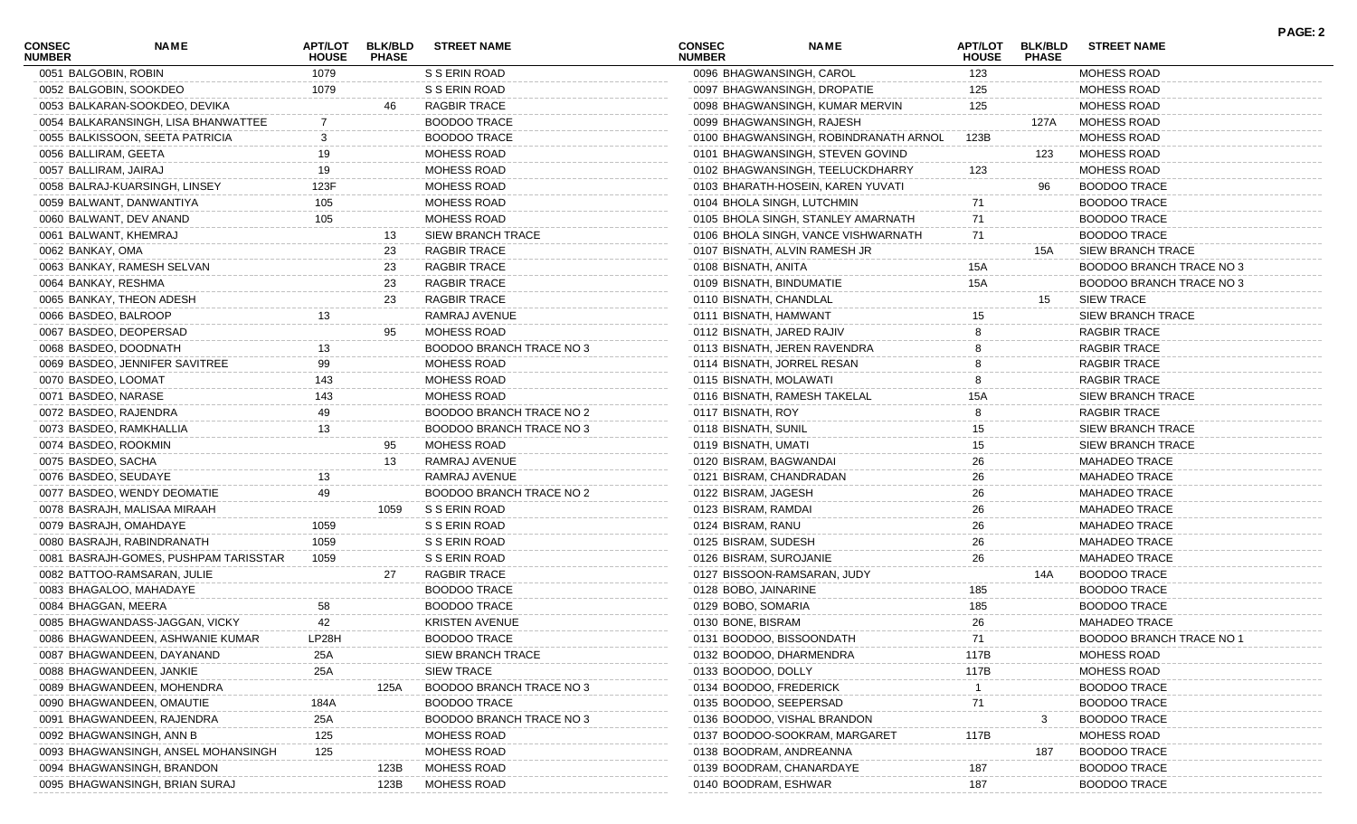| <b>CONSEC</b><br><b>NUMBER</b> | <b>NAME</b>                           | <b>HOUSE</b> | APT/LOT BLK/BLD<br><b>PHASE</b> | <b>STREET NAME</b>              | <b>CONSEC</b><br><b>NUMBER</b> | <b>NAME</b>                           | <b>HOUSE</b> | APT/LOT BLK/BLD<br><b>PHASE</b> | <b>STREET NAME</b>       |
|--------------------------------|---------------------------------------|--------------|---------------------------------|---------------------------------|--------------------------------|---------------------------------------|--------------|---------------------------------|--------------------------|
|                                | 0051 BALGOBIN, ROBIN                  | 1079         |                                 | S S ERIN ROAD                   |                                | 0096 BHAGWANSINGH, CAROL              | 123          |                                 | MOHESS ROAD              |
|                                | 0052 BALGOBIN, SOOKDEO                | 1079         |                                 | S S ERIN ROAD                   |                                | 0097 BHAGWANSINGH, DROPATIE           | 125          |                                 | MOHESS ROAD              |
|                                | 0053 BALKARAN-SOOKDEO, DEVIKA         |              | 46                              | <b>RAGBIR TRACE</b>             |                                | 0098 BHAGWANSINGH, KUMAR MERVIN       | 125          |                                 | MOHESS ROAD              |
|                                | 0054 BALKARANSINGH, LISA BHANWATTEE   |              |                                 | <b>BOODOO TRACE</b>             |                                | 0099 BHAGWANSINGH, RAJESH             |              | 127A                            | MOHESS ROAD              |
|                                | 0055 BALKISSOON, SEETA PATRICIA       |              |                                 | <b>BOODOO TRACE</b>             |                                | 0100 BHAGWANSINGH, ROBINDRANATH ARNOL | 123B         |                                 | MOHESS ROAD              |
|                                | 0056 BALLIRAM, GEETA                  | 19           |                                 | MOHESS ROAD                     |                                | 0101 BHAGWANSINGH, STEVEN GOVIND      |              | 123                             | MOHESS ROAD              |
|                                | 0057 BALLIRAM, JAIRAJ                 | 19           |                                 | <b>MOHESS ROAD</b>              |                                | 0102 BHAGWANSINGH, TEELUCKDHARRY      | 123          |                                 | <b>MOHESS ROAD</b>       |
|                                | 0058 BALRAJ-KUARSINGH, LINSEY         | 123F         |                                 | MOHESS ROAD                     |                                | 0103 BHARATH-HOSEIN, KAREN YUVATI     |              | 96                              | <b>BOODOO TRACE</b>      |
|                                | 0059 BALWANT, DANWANTIYA              | 105          |                                 | MOHESS ROAD                     |                                | 0104 BHOLA SINGH, LUTCHMIN            | 71           |                                 | <b>BOODOO TRACE</b>      |
|                                | 0060 BALWANT, DEV ANAND               | 105          |                                 | MOHESS ROAD                     |                                | 0105 BHOLA SINGH, STANLEY AMARNATH    | 71           |                                 | <b>BOODOO TRACE</b>      |
|                                | 0061 BALWANT, KHEMRAJ                 |              | 13                              | <b>SIEW BRANCH TRACE</b>        |                                | 0106 BHOLA SINGH, VANCE VISHWARNATH   | 71           |                                 | <b>BOODOO TRACE</b>      |
| 0062 BANKAY, OMA               |                                       |              | 23                              | <b>RAGBIR TRACE</b>             |                                | 0107 BISNATH, ALVIN RAMESH JR         |              | 15A                             | SIEW BRANCH TRACE        |
|                                | 0063 BANKAY, RAMESH SELVAN            |              | 23                              | <b>RAGBIR TRACE</b>             | 0108 BISNATH, ANITA            |                                       | <b>15A</b>   |                                 | BOODOO BRANCH TRACE NO 3 |
|                                | 0064 BANKAY, RESHMA                   |              | 23                              | RAGBIR TRACE                    |                                | 0109 BISNATH, BINDUMATIE              | 15A          |                                 | BOODOO BRANCH TRACE NO 3 |
|                                | 0065 BANKAY, THEON ADESH              |              | 23                              | <b>RAGBIR TRACE</b>             |                                | 0110 BISNATH, CHANDLAL                |              | 15                              | <b>SIEW TRACE</b>        |
|                                | 0066 BASDEO, BALROOP                  | 13           |                                 | RAMRAJ AVENUE                   |                                | 0111 BISNATH, HAMWANT                 | 15           |                                 | <b>SIEW BRANCH TRACE</b> |
|                                | 0067 BASDEO, DEOPERSAD                |              | 95                              | MOHESS ROAD                     |                                | 0112 BISNATH, JARED RAJIV             | 8            |                                 | <b>RAGBIR TRACE</b>      |
|                                | 0068 BASDEO, DOODNATH                 | 13           |                                 | BOODOO BRANCH TRACE NO 3        |                                | 0113 BISNATH, JEREN RAVENDRA          |              |                                 | <b>RAGBIR TRACE</b>      |
|                                | 0069 BASDEO, JENNIFER SAVITREE        | 99           |                                 | MOHESS ROAD                     |                                | 0114 BISNATH, JORREL RESAN            |              |                                 | RAGBIR TRACE             |
|                                | 0070 BASDEO, LOOMAT                   | 143          |                                 | MOHESS ROAD                     |                                | 0115 BISNATH, MOLAWATI                |              |                                 | RAGBIR TRACE             |
|                                | 0071 BASDEO, NARASE                   | 143          |                                 | <b>MOHESS ROAD</b>              |                                | 0116 BISNATH, RAMESH TAKELAL          | 15A          |                                 | SIEW BRANCH TRACE        |
|                                | 0072 BASDEO, RAJENDRA                 | 49           |                                 | <b>BOODOO BRANCH TRACE NO 2</b> | 0117 BISNATH, ROY              |                                       |              |                                 | <b>RAGBIR TRACE</b>      |
|                                | 0073 BASDEO, RAMKHALLIA               | 13           |                                 | BOODOO BRANCH TRACE NO 3        | 0118 BISNATH, SUNIL            |                                       | 15           |                                 | <b>SIEW BRANCH TRACE</b> |
|                                | 0074 BASDEO, ROOKMIN                  |              | 95                              | MOHESS ROAD                     | 0119 BISNATH, UMATI            |                                       | 15           |                                 | <b>SIEW BRANCH TRACE</b> |
|                                | 0075 BASDEO, SACHA                    |              | 13                              | RAMRAJ AVENUE                   |                                | 0120 BISRAM, BAGWANDAI                | 26           |                                 | <b>MAHADEO TRACE</b>     |
|                                | 0076 BASDEO, SEUDAYE                  | 13           |                                 | RAMRAJ AVENUE                   |                                | 0121 BISRAM, CHANDRADAN               | 26           |                                 | <b>MAHADEO TRACE</b>     |
|                                | 0077 BASDEO, WENDY DEOMATIE           | 49           |                                 | BOODOO BRANCH TRACE NO 2        | 0122 BISRAM, JAGESH            |                                       | 26           |                                 | <b>MAHADEO TRACE</b>     |
|                                | 0078 BASRAJH, MALISAA MIRAAH          |              | 1059                            | S S ERIN ROAD                   | 0123 BISRAM, RAMDAI            |                                       | 26           |                                 | <b>MAHADEO TRACE</b>     |
|                                | 0079 BASRAJH, OMAHDAYE                | 1059         |                                 | S S ERIN ROAD                   | 0124 BISRAM, RANU              |                                       | 26           |                                 | <b>MAHADEO TRACE</b>     |
|                                | 0080 BASRAJH, RABINDRANATH            | 1059         |                                 | S S ERIN ROAD                   | 0125 BISRAM, SUDESH            |                                       | 26           |                                 | <b>MAHADEO TRACE</b>     |
|                                | 0081 BASRAJH-GOMES, PUSHPAM TARISSTAR | 1059         |                                 | S S ERIN ROAD                   |                                | 0126 BISRAM, SUROJANIE                | 26           |                                 | <b>MAHADEO TRACE</b>     |
|                                | 0082 BATTOO-RAMSARAN, JULIE           |              | 27                              | <b>RAGBIR TRACE</b>             |                                | 0127 BISSOON-RAMSARAN, JUDY           |              | 14A                             | <b>BOODOO TRACE</b>      |
|                                | 0083 BHAGALOO, MAHADAYE               |              |                                 | <b>BOODOO TRACE</b>             | 0128 BOBO, JAINARINE           |                                       | 185          |                                 | <b>BOODOO TRACE</b>      |
|                                | 0084 BHAGGAN, MEERA                   | 58           |                                 | <b>BOODOO TRACE</b>             | 0129 BOBO, SOMARIA             |                                       | 185          |                                 | <b>BOODOO TRACE</b>      |
|                                | 0085 BHAGWANDASS-JAGGAN, VICKY        | 42           |                                 | <b>KRISTEN AVENUE</b>           | 0130 BONE, BISRAM              |                                       | 26           |                                 | <b>MAHADEO TRACE</b>     |
|                                | 0086 BHAGWANDEEN, ASHWANIE KUMAR      | LP28H        |                                 | BOODOO TRACE                    |                                | 0131 BOODOO, BISSOONDATH              | 71           |                                 | BOODOO BRANCH TRACE NO 1 |
|                                | 0087 BHAGWANDEEN, DAYANAND            | 25A          |                                 | <b>SIEW BRANCH TRACE</b>        |                                | 0132 BOODOO, DHARMENDRA               | 117B         |                                 | MOHESS ROAD              |
|                                | 0088 BHAGWANDEEN, JANKIE              | 25A          |                                 | <b>SIEW TRACE</b>               | 0133 BOODOO, DOLLY             |                                       | 117B         |                                 | MOHESS ROAD              |
|                                | 0089 BHAGWANDEEN, MOHENDRA            |              | 125A                            | BOODOO BRANCH TRACE NO 3        |                                | 0134 BOODOO, FREDERICK                |              |                                 | <b>BOODOO TRACE</b>      |
|                                | 0090 BHAGWANDEEN, OMAUTIE             | 184A         |                                 | <b>BOODOO TRACE</b>             |                                | 0135 BOODOO, SEEPERSAD                | 71           |                                 | <b>BOODOO TRACE</b>      |
|                                | 0091 BHAGWANDEEN, RAJENDRA            | 25A          |                                 | <b>BOODOO BRANCH TRACE NO 3</b> |                                | 0136 BOODOO, VISHAL BRANDON           |              |                                 | <b>BOODOO TRACE</b>      |
|                                | 0092 BHAGWANSINGH, ANN B              | 125          |                                 | <b>MOHESS ROAD</b>              |                                | 0137 BOODOO-SOOKRAM, MARGARET         | 117B         |                                 | MOHESS ROAD              |
|                                | 0093 BHAGWANSINGH, ANSEL MOHANSINGH   | 125          |                                 | MOHESS ROAD                     |                                | 0138 BOODRAM, ANDREANNA               |              | 187                             | <b>BOODOO TRACE</b>      |
|                                | 0094 BHAGWANSINGH, BRANDON            |              | 123B                            | MOHESS ROAD                     |                                | 0139 BOODRAM, CHANARDAYE              | 187          |                                 | <b>BOODOO TRACE</b>      |
|                                | 0095 BHAGWANSINGH, BRIAN SURAJ        |              | 123B                            | MOHESS ROAD                     |                                | 0140 BOODRAM, ESHWAR                  | 187          |                                 | <b>BOODOO TRACE</b>      |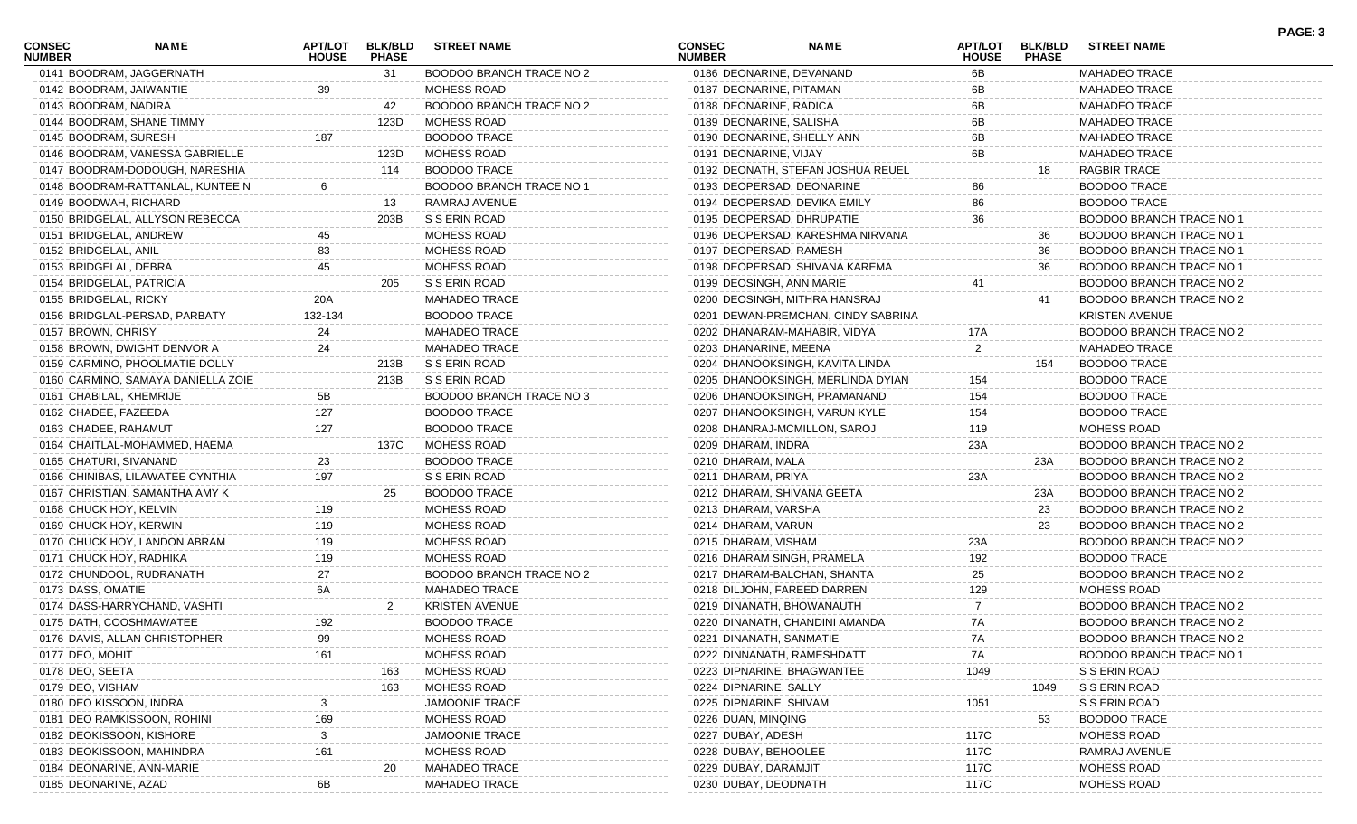| <b>CONSEC</b><br><b>NUMBER</b> | NAME                               | <b>APT/LOT</b><br><b>HOUSE</b> | <b>BLK/BLD</b><br><b>PHASE</b> | <b>STREET NAME</b>              | <b>CONSEC</b><br><b>NUMBER</b> | <b>NAME</b>                        | APT/LOT<br><b>HOUSE</b> | <b>BLK/BLD</b><br><b>PHASE</b> | <b>STREET NAME</b>       | PAGE: 3 |
|--------------------------------|------------------------------------|--------------------------------|--------------------------------|---------------------------------|--------------------------------|------------------------------------|-------------------------|--------------------------------|--------------------------|---------|
|                                | 0141 BOODRAM, JAGGERNATH           |                                | 31                             | <b>BOODOO BRANCH TRACE NO 2</b> | 0186 DEONARINE, DEVANAND       |                                    | 6B                      |                                | <b>MAHADEO TRACE</b>     |         |
|                                | 0142 BOODRAM, JAIWANTIE            | 39                             |                                | <b>MOHESS ROAD</b>              | 0187 DEONARINE, PITAMAN        |                                    | 6В                      |                                | <b>MAHADEO TRACE</b>     |         |
| 0143 BOODRAM, NADIRA           |                                    |                                | 42                             | BOODOO BRANCH TRACE NO 2        | 0188 DEONARINE, RADICA         |                                    | 6В                      |                                | <b>MAHADEO TRACE</b>     |         |
|                                | 0144 BOODRAM, SHANE TIMMY          |                                | 123D                           | MOHESS ROAD                     | 0189 DEONARINE, SALISHA        |                                    | 6В                      |                                | <b>MAHADEO TRACE</b>     |         |
| 0145 BOODRAM, SURESH           |                                    | 187                            |                                | <b>BOODOO TRACE</b>             | 0190 DEONARINE, SHELLY ANN     |                                    | 6В                      |                                | <b>MAHADEO TRACE</b>     |         |
|                                | 0146 BOODRAM, VANESSA GABRIELLE    |                                | 123D                           | MOHESS ROAD                     | 0191 DEONARINE, VIJAY          |                                    | 6В                      |                                | <b>MAHADEO TRACE</b>     |         |
|                                | 0147 BOODRAM-DODOUGH, NARESHIA     |                                | 114                            | <b>BOODOO TRACE</b>             |                                | 0192 DEONATH, STEFAN JOSHUA REUEL  |                         | 18                             | <b>RAGBIR TRACE</b>      |         |
|                                | 0148 BOODRAM-RATTANLAL, KUNTEE N   |                                |                                | <b>BOODOO BRANCH TRACE NO 1</b> | 0193 DEOPERSAD, DEONARINE      |                                    | 86                      |                                | <b>BOODOO TRACE</b>      |         |
|                                | 0149 BOODWAH, RICHARD              |                                | 13                             | RAMRAJ AVENUE                   | 0194 DEOPERSAD, DEVIKA EMILY   |                                    | 86                      |                                | <b>BOODOO TRACE</b>      |         |
|                                | 0150 BRIDGELAL, ALLYSON REBECCA    |                                | 203B                           | S S ERIN ROAD                   | 0195 DEOPERSAD, DHRUPATIE      |                                    | 36                      |                                | BOODOO BRANCH TRACE NO 1 |         |
|                                | 0151 BRIDGELAL, ANDREW             | 45                             |                                | MOHESS ROAD                     |                                | 0196 DEOPERSAD, KARESHMA NIRVANA   |                         | 36                             | BOODOO BRANCH TRACE NO 1 |         |
| 0152 BRIDGELAL, ANIL           |                                    | 83                             |                                | MOHESS ROAD                     | 0197 DEOPERSAD, RAMESH         |                                    |                         | 36                             | BOODOO BRANCH TRACE NO 1 |         |
| 0153 BRIDGELAL, DEBRA          |                                    | 45                             |                                | <b>MOHESS ROAD</b>              |                                | 0198 DEOPERSAD, SHIVANA KAREMA     |                         | 36                             | BOODOO BRANCH TRACE NO 1 |         |
|                                | 0154 BRIDGELAL, PATRICIA           |                                | 205                            | S S ERIN ROAD                   | 0199 DEOSINGH, ANN MARIE       |                                    |                         |                                | BOODOO BRANCH TRACE NO 2 |         |
| 0155 BRIDGELAL, RICKY          |                                    | 20A                            |                                | <b>MAHADEO TRACE</b>            |                                | 0200 DEOSINGH, MITHRA HANSRAJ      |                         | 41                             | BOODOO BRANCH TRACE NO 2 |         |
|                                | 0156 BRIDGLAL-PERSAD, PARBATY      | 132-134                        |                                | <b>BOODOO TRACE</b>             |                                | 0201 DEWAN-PREMCHAN, CINDY SABRINA |                         |                                | <b>KRISTEN AVENUE</b>    |         |
| 0157 BROWN, CHRISY             |                                    | 24                             |                                | <b>MAHADEO TRACE</b>            |                                | 0202 DHANARAM-MAHABIR, VIDYA       | 17A                     |                                | BOODOO BRANCH TRACE NO 2 |         |
|                                | 0158 BROWN, DWIGHT DENVOR A        | 24                             |                                | <b>MAHADEO TRACE</b>            | 0203 DHANARINE, MEENA          |                                    | $\overline{2}$          |                                | <b>MAHADEO TRACE</b>     |         |
|                                | 0159 CARMINO, PHOOLMATIE DOLLY     |                                | 213B                           | S S ERIN ROAD                   |                                | 0204 DHANOOKSINGH, KAVITA LINDA    |                         | 154                            | <b>BOODOO TRACE</b>      |         |
|                                | 0160 CARMINO, SAMAYA DANIELLA ZOIE |                                | 213B                           | S S ERIN ROAD                   |                                | 0205 DHANOOKSINGH, MERLINDA DYIAN  | 154                     |                                | <b>BOODOO TRACE</b>      |         |
|                                | 0161 CHABILAL, KHEMRIJE            | 5Β                             |                                | <b>BOODOO BRANCH TRACE NO 3</b> |                                | 0206 DHANOOKSINGH, PRAMANAND       | 154                     |                                | <b>BOODOO TRACE</b>      |         |
| 0162 CHADEE, FAZEEDA           |                                    | 127                            |                                | <b>BOODOO TRACE</b>             |                                | 0207 DHANOOKSINGH, VARUN KYLE      | 154                     |                                | <b>BOODOO TRACE</b>      |         |
| 0163 CHADEE, RAHAMUT           |                                    | 127                            |                                | <b>BOODOO TRACE</b>             | 0208 DHANRAJ-MCMILLON, SAROJ   |                                    | 119                     |                                | <b>MOHESS ROAD</b>       |         |
|                                | 0164 CHAITLAL-MOHAMMED, HAEMA      |                                | 137C                           | MOHESS ROAD                     | 0209 DHARAM, INDRA             |                                    | 23A                     |                                | BOODOO BRANCH TRACE NO 2 |         |
| 0165 CHATURI, SIVANAND         |                                    | 23                             |                                | <b>BOODOO TRACE</b>             | 0210 DHARAM, MALA              |                                    |                         | 23A                            | BOODOO BRANCH TRACE NO 2 |         |
|                                | 0166 CHINIBAS, LILAWATEE CYNTHIA   | 197                            |                                | S S ERIN ROAD                   | 0211 DHARAM, PRIYA             |                                    | 23A                     |                                | BOODOO BRANCH TRACE NO 2 |         |
|                                | 0167 CHRISTIAN, SAMANTHA AMY K     |                                | 25                             | <b>BOODOO TRACE</b>             | 0212 DHARAM, SHIVANA GEETA     |                                    |                         | 23A                            | BOODOO BRANCH TRACE NO 2 |         |
| 0168 CHUCK HOY, KELVIN         |                                    | 119                            |                                | <b>MOHESS ROAD</b>              | 0213 DHARAM, VARSHA            |                                    |                         | 23                             | BOODOO BRANCH TRACE NO 2 |         |
|                                | 0169 CHUCK HOY, KERWIN             | 119                            |                                | <b>MOHESS ROAD</b>              | 0214 DHARAM, VARUN             |                                    |                         | 23                             | BOODOO BRANCH TRACE NO 2 |         |
|                                | 0170 CHUCK HOY, LANDON ABRAM       | 119                            |                                | <b>MOHESS ROAD</b>              | 0215 DHARAM, VISHAM            |                                    | 23A                     |                                | BOODOO BRANCH TRACE NO 2 |         |
|                                | 0171 CHUCK HOY, RADHIKA            | 119                            |                                | <b>MOHESS ROAD</b>              | 0216 DHARAM SINGH, PRAMELA     |                                    | 192                     |                                | <b>BOODOO TRACE</b>      |         |
|                                | 0172 CHUNDOOL, RUDRANATH           | 27                             |                                | BOODOO BRANCH TRACE NO 2        | 0217 DHARAM-BALCHAN, SHANTA    |                                    | 25                      |                                | BOODOO BRANCH TRACE NO 2 |         |
| 0173 DASS, OMATIE              |                                    | 6A                             |                                | <b>MAHADEO TRACE</b>            | 0218 DILJOHN, FAREED DARREN    |                                    | 129                     |                                | <b>MOHESS ROAD</b>       |         |
|                                | 0174 DASS-HARRYCHAND, VASHTI       |                                |                                | <b>KRISTEN AVENUE</b>           | 0219 DINANATH, BHOWANAUTH      |                                    |                         |                                | BOODOO BRANCH TRACE NO 2 |         |
|                                | 0175 DATH, COOSHMAWATEE            | 192                            |                                | <b>BOODOO TRACE</b>             |                                | 0220 DINANATH, CHANDINI AMANDA     | 7A                      |                                | BOODOO BRANCH TRACE NO 2 |         |
|                                | 0176 DAVIS, ALLAN CHRISTOPHER      | 99                             |                                | MOHESS ROAD                     | 0221 DINANATH, SANMATIE        |                                    | 7A                      |                                | BOODOO BRANCH TRACE NO 2 |         |
| 0177 DEO, MOHIT                |                                    | 161                            |                                | MOHESS ROAD                     | 0222 DINNANATH, RAMESHDATT     |                                    | 7A                      |                                | BOODOO BRANCH TRACE NO   |         |
| 0178 DEO, SEETA                |                                    |                                | 163                            | MOHESS ROAD                     | 0223 DIPNARINE, BHAGWANTEE     |                                    | 1049                    |                                | S S ERIN ROAD            |         |
| 0179 DEO, VISHAM               |                                    |                                | 163                            | MOHESS ROAD                     | 0224 DIPNARINE, SALLY          |                                    |                         | 1049                           | S S ERIN ROAD            |         |
|                                | 0180 DEO KISSOON, INDRA            |                                |                                | <b>JAMOONIE TRACE</b>           | 0225 DIPNARINE, SHIVAM         |                                    | 1051                    |                                | S S ERIN ROAD            |         |
|                                | 0181 DEO RAMKISSOON, ROHINI        | 169                            |                                | MOHESS ROAD                     | 0226 DUAN, MINQING             |                                    |                         | 53                             | <b>BOODOO TRACE</b>      |         |
|                                | 0182 DEOKISSOON, KISHORE           |                                |                                | <b>JAMOONIE TRACE</b>           | 0227 DUBAY, ADESH              |                                    | 117C                    |                                | <b>MOHESS ROAD</b>       |         |
|                                | 0183 DEOKISSOON, MAHINDRA          |                                |                                | MOHESS ROAD                     |                                |                                    |                         |                                | RAMRAJ AVENUE            |         |
|                                |                                    |                                |                                |                                 | 0228 DUBAY, BEHOOLEE           |                                    | 117C                    |                                |                          |         |
|                                | 0184 DEONARINE, ANN-MARIE          |                                | 20                             | <b>MAHADEO TRACE</b>            | 0229 DUBAY, DARAMJIT           |                                    | 117C                    |                                | MOHESS ROAD              |         |
| 0185 DEONARINE, AZAD           |                                    |                                |                                | MAHADEO TRACE                   | 0230 DUBAY, DEODNATH           |                                    | 117C                    |                                | MOHESS ROAD              |         |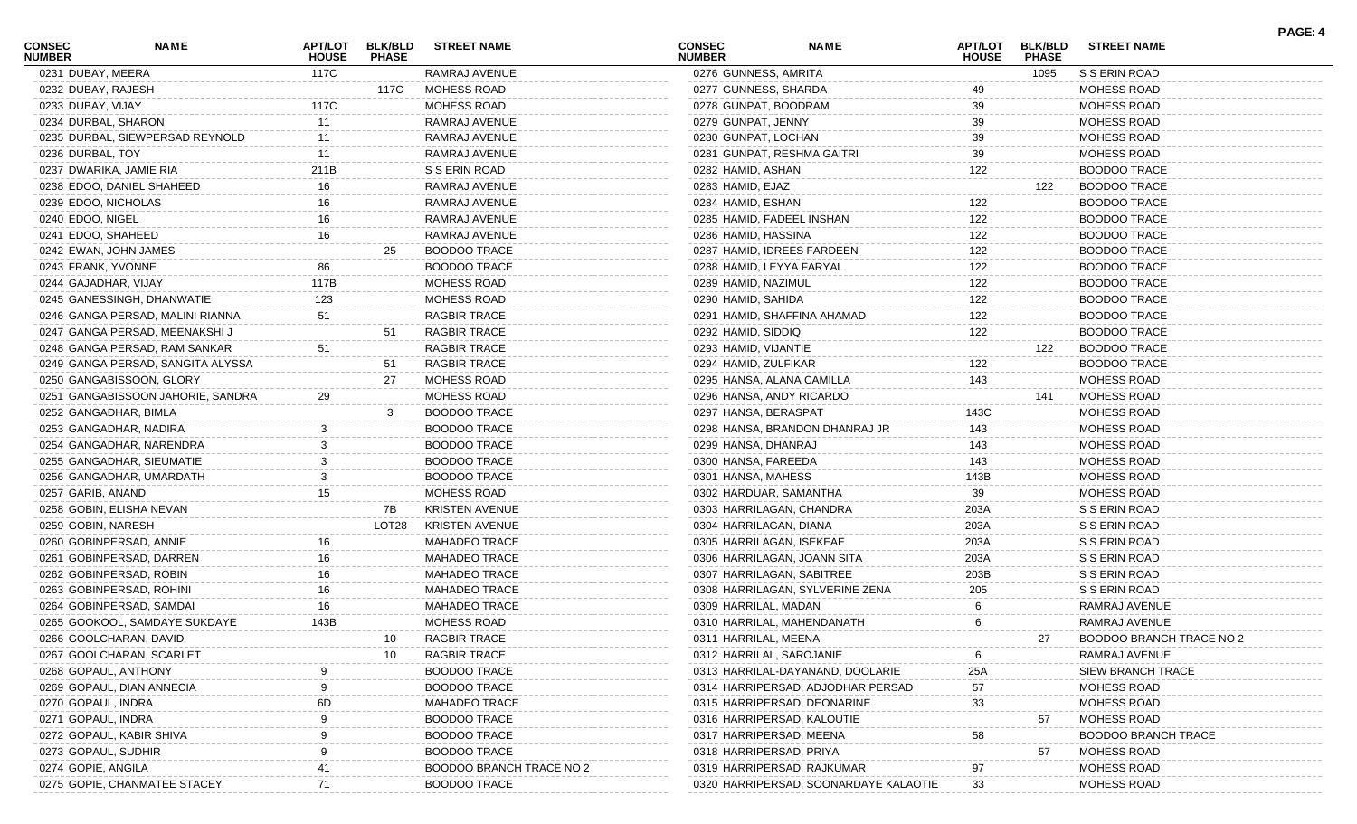| <b>CONSEC</b><br><b>NUMBER</b> | <b>NAME</b>                       | <b>APT/LOT</b><br><b>HOUSE</b> | <b>BLK/BLD</b><br><b>PHASE</b> | <b>STREET NAME</b>       | <b>CONSEC</b><br><b>NUMBER</b> | <b>NAME</b>                           | <b>APT/LOT</b><br><b>HOUSE</b> | <b>BLK/BLD</b><br><b>PHASE</b> | <b>STREET NAME</b>         | PAGE: 4 |
|--------------------------------|-----------------------------------|--------------------------------|--------------------------------|--------------------------|--------------------------------|---------------------------------------|--------------------------------|--------------------------------|----------------------------|---------|
| 0231 DUBAY, MEERA              |                                   | 117C                           |                                | RAMRAJ AVENUE            | 0276 GUNNESS, AMRITA           |                                       |                                | 1095                           | S S ERIN ROAD              |         |
| 0232 DUBAY, RAJESH             |                                   |                                | 117C                           | MOHESS ROAD              | 0277 GUNNESS, SHARDA           |                                       | 49                             |                                | <b>MOHESS ROAD</b>         |         |
| 0233 DUBAY, VIJAY              |                                   | 117C                           |                                | MOHESS ROAD              | 0278 GUNPAT, BOODRAM           |                                       | 39                             |                                | <b>MOHESS ROAD</b>         |         |
| 0234 DURBAL, SHARON            |                                   | 11                             |                                | RAMRAJ AVENUE            | 0279 GUNPAT, JENNY             |                                       | 39                             |                                | <b>MOHESS ROAD</b>         |         |
|                                | 0235 DURBAL, SIEWPERSAD REYNOLD   | 11                             |                                | RAMRAJ AVENUE            | 0280 GUNPAT, LOCHAN            |                                       | 39                             |                                | <b>MOHESS ROAD</b>         |         |
| 0236 DURBAL, TOY               |                                   | 11                             |                                | RAMRAJ AVENUE            |                                | 0281 GUNPAT, RESHMA GAITRI            | 39                             |                                | MOHESS ROAD                |         |
|                                | 0237 DWARIKA, JAMIE RIA           | 211B                           |                                | S S ERIN ROAD            | 0282 HAMID, ASHAN              |                                       | 122                            |                                | <b>BOODOO TRACE</b>        |         |
|                                | 0238 EDOO, DANIEL SHAHEED         | 16                             |                                | RAMRAJ AVENUE            | 0283 HAMID, EJAZ               |                                       |                                | 122                            | <b>BOODOO TRACE</b>        |         |
| 0239 EDOO, NICHOLAS            |                                   | 16                             |                                | RAMRAJ AVENUE            | 0284 HAMID, ESHAN              |                                       | 122                            |                                | <b>BOODOO TRACE</b>        |         |
| 0240 EDOO, NIGEL               |                                   | 16                             |                                | RAMRAJ AVENUE            | 0285 HAMID, FADEEL INSHAN      |                                       | 122                            |                                | <b>BOODOO TRACE</b>        |         |
| 0241 EDOO, SHAHEED             |                                   | 16                             |                                | RAMRAJ AVENUE            | 0286 HAMID, HASSINA            |                                       | 122                            |                                | <b>BOODOO TRACE</b>        |         |
|                                | 0242 EWAN, JOHN JAMES             |                                | 25                             | <b>BOODOO TRACE</b>      |                                | 0287 HAMID, IDREES FARDEEN            | 122                            |                                | <b>BOODOO TRACE</b>        |         |
| 0243 FRANK, YVONNE             |                                   | 86                             |                                | <b>BOODOO TRACE</b>      | 0288 HAMID, LEYYA FARYAL       |                                       | 122                            |                                | <b>BOODOO TRACE</b>        |         |
| 0244 GAJADHAR, VIJAY           |                                   | 117B                           |                                | MOHESS ROAD              | 0289 HAMID, NAZIMUL            |                                       | 122                            |                                | <b>BOODOO TRACE</b>        |         |
|                                | 0245 GANESSINGH, DHANWATIE        | 123                            |                                | MOHESS ROAD              | 0290 HAMID, SAHIDA             |                                       | 122                            |                                | <b>BOODOO TRACE</b>        |         |
|                                | 0246 GANGA PERSAD, MALINI RIANNA  | 51                             |                                | <b>RAGBIR TRACE</b>      |                                | 0291 HAMID, SHAFFINA AHAMAD           | 122                            |                                | <b>BOODOO TRACE</b>        |         |
|                                | 0247 GANGA PERSAD, MEENAKSHI J    |                                | 51                             | <b>RAGBIR TRACE</b>      | 0292 HAMID, SIDDIQ             |                                       | 122                            |                                | <b>BOODOO TRACE</b>        |         |
|                                | 0248 GANGA PERSAD, RAM SANKAR     | 51                             |                                | <b>RAGBIR TRACE</b>      | 0293 HAMID, VIJANTIE           |                                       |                                | 122                            | <b>BOODOO TRACE</b>        |         |
|                                | 0249 GANGA PERSAD, SANGITA ALYSSA |                                | 51                             | RAGBIR TRACE             | 0294 HAMID, ZULFIKAR           |                                       | 122                            |                                | <b>BOODOO TRACE</b>        |         |
|                                | 0250 GANGABISSOON, GLORY          |                                | 27                             | <b>MOHESS ROAD</b>       | 0295 HANSA, ALANA CAMILLA      |                                       | 143                            |                                | <b>MOHESS ROAD</b>         |         |
|                                | 0251 GANGABISSOON JAHORIE, SANDRA | 29                             |                                | <b>MOHESS ROAD</b>       | 0296 HANSA, ANDY RICARDO       |                                       |                                | 141                            | <b>MOHESS ROAD</b>         |         |
|                                | 0252 GANGADHAR, BIMLA             |                                |                                | <b>BOODOO TRACE</b>      | 0297 HANSA, BERASPAT           |                                       | 143C                           |                                | <b>MOHESS ROAD</b>         |         |
|                                | 0253 GANGADHAR, NADIRA            |                                |                                | <b>BOODOO TRACE</b>      |                                | 0298 HANSA, BRANDON DHANRAJ JR        | 143                            |                                | <b>MOHESS ROAD</b>         |         |
|                                | 0254 GANGADHAR, NARENDRA          | 3                              |                                | <b>BOODOO TRACE</b>      | 0299 HANSA, DHANRAJ            |                                       | 143                            |                                | <b>MOHESS ROAD</b>         |         |
|                                | 0255 GANGADHAR, SIEUMATIE         | 3                              |                                | <b>BOODOO TRACE</b>      | 0300 HANSA, FAREEDA            |                                       | 143                            |                                | <b>MOHESS ROAD</b>         |         |
|                                |                                   | 3                              |                                |                          |                                |                                       |                                |                                |                            |         |
|                                | 0256 GANGADHAR, UMARDATH          |                                |                                | <b>BOODOO TRACE</b>      | 0301 HANSA, MAHESS             |                                       | 143B                           |                                | <b>MOHESS ROAD</b>         |         |
| 0257 GARIB, ANAND              |                                   | 15                             |                                | MOHESS ROAD              | 0302 HARDUAR, SAMANTHA         |                                       | 39                             |                                | <b>MOHESS ROAD</b>         |         |
|                                | 0258 GOBIN, ELISHA NEVAN          |                                | 7B                             | <b>KRISTEN AVENUE</b>    |                                | 0303 HARRILAGAN, CHANDRA              | 203A                           |                                | S S ERIN ROAD              |         |
| 0259 GOBIN, NARESH             |                                   |                                | LOT28                          | KRISTEN AVENUE           | 0304 HARRILAGAN, DIANA         |                                       | 203A                           |                                | S S ERIN ROAD              |         |
|                                | 0260 GOBINPERSAD, ANNIE           | 16                             |                                | <b>MAHADEO TRACE</b>     | 0305 HARRILAGAN, ISEKEAE       |                                       | 203A                           |                                | S S ERIN ROAD              |         |
|                                | 0261 GOBINPERSAD, DARREN          | 16                             |                                | <b>MAHADEO TRACE</b>     |                                | 0306 HARRILAGAN, JOANN SITA           | 203A                           |                                | S S ERIN ROAD              |         |
|                                | 0262 GOBINPERSAD, ROBIN           | 16                             |                                | <b>MAHADEO TRACE</b>     |                                | 0307 HARRILAGAN, SABITREE             | 203B                           |                                | S S ERIN ROAD              |         |
|                                | 0263 GOBINPERSAD, ROHINI          |                                |                                | <b>MAHADEO TRACE</b>     |                                | 0308 HARRILAGAN, SYLVERINE ZENA       | 205                            |                                | S S ERIN ROAD              |         |
|                                | 0264 GOBINPERSAD, SAMDAI          | 16                             |                                | <b>MAHADEO TRACE</b>     | 0309 HARRILAL, MADAN           |                                       |                                |                                | RAMRAJ AVENUE              |         |
|                                | 0265 GOOKOOL, SAMDAYE SUKDAYE     | 143B                           |                                | MOHESS ROAD              |                                | 0310 HARRILAL, MAHENDANATH            |                                |                                | RAMRAJ AVENUE              |         |
|                                | 0266 GOOLCHARAN, DAVID            |                                | 10                             | RAGBIR TRACE             | 0311 HARRILAL, MEENA           |                                       |                                | 27                             | BOODOO BRANCH TRACE NO 2   |         |
|                                | 0267 GOOLCHARAN, SCARLET          |                                | 10                             | <b>RAGBIR TRACE</b>      | 0312 HARRILAL, SAROJANIE       |                                       |                                |                                | RAMRAJ AVENUE              |         |
|                                | 0268 GOPAUL, ANTHONY              |                                |                                | <b>BOODOO TRACE</b>      |                                | 0313 HARRILAL-DAYANAND, DOOLARIE      | 25A                            |                                | <b>SIEW BRANCH TRACE</b>   |         |
|                                | 0269 GOPAUL, DIAN ANNECIA         |                                |                                | <b>BOODOO TRACE</b>      |                                | 0314 HARRIPERSAD, ADJODHAR PERSAD     | 57                             |                                | MOHESS ROAD                |         |
| 0270 GOPAUL, INDRA             |                                   |                                |                                | <b>MAHADEO TRACE</b>     |                                | 0315 HARRIPERSAD, DEONARINE           | 33                             |                                | MOHESS ROAD                |         |
| 0271 GOPAUL, INDRA             |                                   |                                |                                | <b>BOODOO TRACE</b>      |                                | 0316 HARRIPERSAD, KALOUTIE            |                                | 57                             | MOHESS ROAD                |         |
|                                | 0272 GOPAUL, KABIR SHIVA          |                                |                                | <b>BOODOO TRACE</b>      | 0317 HARRIPERSAD, MEENA        |                                       | 58                             |                                | <b>BOODOO BRANCH TRACE</b> |         |
| 0273 GOPAUL, SUDHIR            |                                   |                                |                                | <b>BOODOO TRACE</b>      | 0318 HARRIPERSAD, PRIYA        |                                       |                                | 57                             | <b>MOHESS ROAD</b>         |         |
| 0274 GOPIE, ANGILA             |                                   |                                |                                | BOODOO BRANCH TRACE NO 2 |                                | 0319 HARRIPERSAD, RAJKUMAR            | 97                             |                                | MOHESS ROAD                |         |
|                                | 0275 GOPIE, CHANMATEE STACEY      | 71                             |                                | <b>BOODOO TRACE</b>      |                                | 0320 HARRIPERSAD, SOONARDAYE KALAOTIE | 33                             |                                | MOHESS ROAD                |         |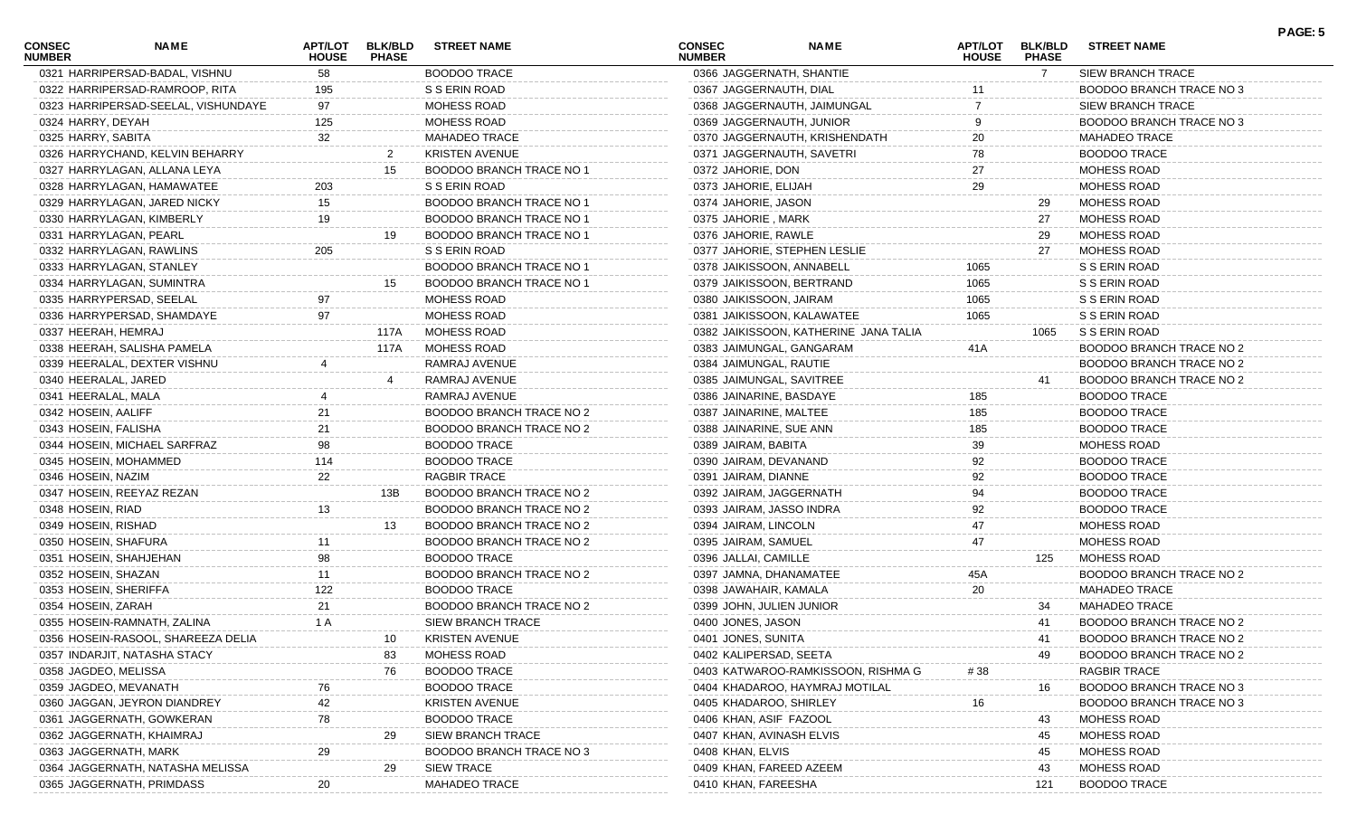| 0321 HARRIPERSAD-BADAL, VISHNU<br><b>BOODOO TRACE</b><br>0366 JAGGERNATH, SHANTIE<br>SIEW BRANCH TRACE<br>58<br>7<br>0322 HARRIPERSAD-RAMROOP, RITA<br>S S ERIN ROAD<br>0367 JAGGERNAUTH, DIAL<br>BOODOO BRANCH TRACE NO 3<br>195<br>97<br>MOHESS ROAD<br>0323 HARRIPERSAD-SEELAL, VISHUNDAYE<br>0368 JAGGERNAUTH, JAIMUNGAL<br><b>SIEW BRANCH TRACE</b><br>125<br>9<br>0324 HARRY, DEYAH<br>MOHESS ROAD<br>0369 JAGGERNAUTH, JUNIOR<br>BOODOO BRANCH TRACE NO 3<br>32<br>0325 HARRY, SABITA<br><b>MAHADEO TRACE</b><br>0370 JAGGERNAUTH, KRISHENDATH<br>20<br><b>MAHADEO TRACE</b><br><b>KRISTEN AVENUE</b><br>78<br><b>BOODOO TRACE</b><br>0326 HARRYCHAND, KELVIN BEHARRY<br>0371 JAGGERNAUTH, SAVETRI<br>27<br><b>BOODOO BRANCH TRACE NO 1</b><br>0327 HARRYLAGAN, ALLANA LEYA<br>15<br>0372 JAHORIE, DON<br>MOHESS ROAD<br>29<br>S S ERIN ROAD<br>0328 HARRYLAGAN, HAMAWATEE<br>203<br>0373 JAHORIE, ELIJAH<br>MOHESS ROAD<br>BOODOO BRANCH TRACE NO 1<br>0329 HARRYLAGAN, JARED NICKY<br>15<br>0374 JAHORIE, JASON<br>MOHESS ROAD<br>29<br>19<br>0330 HARRYLAGAN, KIMBERLY<br>BOODOO BRANCH TRACE NO 1<br>0375 JAHORIE, MARK<br>27<br>MOHESS ROAD<br>0331 HARRYLAGAN, PEARL<br>BOODOO BRANCH TRACE NO 1<br>0376 JAHORIE, RAWLE<br>MOHESS ROAD<br>19<br>29<br>S S ERIN ROAD<br>0332 HARRYLAGAN, RAWLINS<br>205<br>0377 JAHORIE, STEPHEN LESLIE<br>27<br>MOHESS ROAD<br>BOODOO BRANCH TRACE NO 1<br>S S ERIN ROAD<br>0333 HARRYLAGAN, STANLEY<br>0378 JAIKISSOON, ANNABELL<br>1065<br>1065<br>0334 HARRYLAGAN, SUMINTRA<br>BOODOO BRANCH TRACE NO 1<br>0379 JAIKISSOON, BERTRAND<br>S S ERIN ROAD<br>15<br>0335 HARRYPERSAD, SEELAL<br>97<br>MOHESS ROAD<br>0380 JAIKISSOON, JAIRAM<br>1065<br>S S ERIN ROAD<br>0336 HARRYPERSAD, SHAMDAYE<br>97<br>MOHESS ROAD<br>0381 JAIKISSOON, KALAWATEE<br>1065<br>S S ERIN ROAD<br>MOHESS ROAD<br>S S ERIN ROAD<br>0337 HEERAH, HEMRAJ<br>0382 JAIKISSOON, KATHERINE JANA TALIA<br>117A<br>1065<br>MOHESS ROAD<br>41A<br>0338 HEERAH, SALISHA PAMELA<br>117A<br>0383 JAIMUNGAL, GANGARAM<br>BOODOO BRANCH TRACE NO 2<br>0339 HEERALAL, DEXTER VISHNU<br>RAMRAJ AVENUE<br>0384 JAIMUNGAL, RAUTIE<br>BOODOO BRANCH TRACE NO 2<br>0340 HEERALAL, JARED<br>RAMRAJ AVENUE<br>0385 JAIMUNGAL, SAVITREE<br>BOODOO BRANCH TRACE NO 2<br>41<br>RAMRAJ AVENUE<br><b>BOODOO TRACE</b><br>0341 HEERALAL, MALA<br>0386 JAINARINE, BASDAYE<br>185<br>21<br>185<br>0342 HOSEIN, AALIFF<br>BOODOO BRANCH TRACE NO 2<br>0387 JAINARINE, MALTEE<br><b>BOODOO TRACE</b><br>21<br>0343 HOSEIN, FALISHA<br>BOODOO BRANCH TRACE NO 2<br>0388 JAINARINE, SUE ANN<br>185<br><b>BOODOO TRACE</b><br>98<br><b>BOODOO TRACE</b><br>39<br>0344 HOSEIN, MICHAEL SARFRAZ<br>0389 JAIRAM, BABITA<br><b>MOHESS ROAD</b><br>92<br>114<br><b>BOODOO TRACE</b><br>0345 HOSEIN, MOHAMMED<br>0390 JAIRAM, DEVANAND<br><b>BOODOO TRACE</b><br>22<br>RAGBIR TRACE<br>92<br>0346 HOSEIN, NAZIM<br>0391 JAIRAM, DIANNE<br><b>BOODOO TRACE</b><br>94<br>0347 HOSEIN, REEYAZ REZAN<br>BOODOO BRANCH TRACE NO 2<br>0392 JAIRAM, JAGGERNATH<br><b>BOODOO TRACE</b><br>13B<br>92<br>0348 HOSEIN, RIAD<br>BOODOO BRANCH TRACE NO 2<br>13<br>0393 JAIRAM, JASSO INDRA<br><b>BOODOO TRACE</b><br>47<br>0349 HOSEIN, RISHAD<br>BOODOO BRANCH TRACE NO 2<br>0394 JAIRAM, LINCOLN<br>MOHESS ROAD<br>13<br>47<br>0350 HOSEIN, SHAFURA<br>BOODOO BRANCH TRACE NO 2<br>0395 JAIRAM, SAMUEL<br>MOHESS ROAD<br>11<br>98<br><b>BOODOO TRACE</b><br><b>MOHESS ROAD</b><br>0351 HOSEIN, SHAHJEHAN<br>0396 JALLAI, CAMILLE<br>125<br>0352 HOSEIN, SHAZAN<br>11<br>BOODOO BRANCH TRACE NO 2<br>0397 JAMNA, DHANAMATEE<br>45A<br>BOODOO BRANCH TRACE NO 2<br>20<br>122<br><b>BOODOO TRACE</b><br>0353 HOSEIN, SHERIFFA<br>0398 JAWAHAIR, KAMALA<br><b>MAHADEO TRACE</b><br>0354 HOSEIN, ZARAH<br><b>MAHADEO TRACE</b><br>21<br>BOODOO BRANCH TRACE NO 2<br>0399 JOHN, JULIEN JUNIOR<br>34<br>SIEW BRANCH TRACE<br>BOODOO BRANCH TRACE NO 2<br>0355 HOSEIN-RAMNATH, ZALINA<br>1 A<br>0400 JONES, JASON<br>41<br><b>KRISTEN AVENUE</b><br>0401 JONES, SUNITA<br>0356 HOSEIN-RASOOL, SHAREEZA DELIA<br>BOODOO BRANCH TRACE NO 2<br>10<br>41<br>MOHESS ROAD<br>0357 INDARJIT, NATASHA STACY<br>0402 KALIPERSAD, SEETA<br>BOODOO BRANCH TRACE NO 2<br>83<br>49<br>0358 JAGDEO, MELISSA<br><b>BOODOO TRACE</b><br><b>RAGBIR TRACE</b><br>76<br>0403 KATWAROO-RAMKISSOON, RISHMA G<br>#38<br>0359 JAGDEO, MEVANATH<br><b>BOODOO TRACE</b><br><b>BOODOO BRANCH TRACE NO 3</b><br>0404 KHADAROO, HAYMRAJ MOTILAL<br>16<br>76<br>42<br>0360 JAGGAN, JEYRON DIANDREY<br><b>KRISTEN AVENUE</b><br>0405 KHADAROO, SHIRLEY<br>16<br>BOODOO BRANCH TRACE NO 3<br>0361 JAGGERNATH, GOWKERAN<br>78<br><b>BOODOO TRACE</b><br>MOHESS ROAD<br>0406 KHAN, ASIF FAZOOL<br>43<br>0362 JAGGERNATH, KHAIMRAJ<br><b>SIEW BRANCH TRACE</b><br>MOHESS ROAD<br>29<br>0407 KHAN, AVINASH ELVIS<br>45<br>0363 JAGGERNATH, MARK<br>MOHESS ROAD<br>BOODOO BRANCH TRACE NO 3<br>0408 KHAN, ELVIS<br>29<br>45<br><b>SIEW TRACE</b><br>MOHESS ROAD<br>0364 JAGGERNATH, NATASHA MELISSA<br>0409 KHAN, FAREED AZEEM<br>29<br>43<br>0365 JAGGERNATH, PRIMDASS<br><b>BOODOO TRACE</b><br>0410 KHAN, FAREESHA<br>121<br>20 | <b>CONSEC</b><br><b>NUMBER</b> | NAME | <b>APT/LOT</b><br><b>HOUSE</b> | <b>BLK/BLD</b><br><b>PHASE</b> | <b>STREET NAME</b>   | <b>CONSEC</b><br><b>NUMBER</b> | <b>NAME</b> | APT/LOT<br><b>HOUSE</b> | <b>BLK/BLD</b><br><b>PHASE</b> | <b>STREET NAME</b> | PAGE: 5 |
|----------------------------------------------------------------------------------------------------------------------------------------------------------------------------------------------------------------------------------------------------------------------------------------------------------------------------------------------------------------------------------------------------------------------------------------------------------------------------------------------------------------------------------------------------------------------------------------------------------------------------------------------------------------------------------------------------------------------------------------------------------------------------------------------------------------------------------------------------------------------------------------------------------------------------------------------------------------------------------------------------------------------------------------------------------------------------------------------------------------------------------------------------------------------------------------------------------------------------------------------------------------------------------------------------------------------------------------------------------------------------------------------------------------------------------------------------------------------------------------------------------------------------------------------------------------------------------------------------------------------------------------------------------------------------------------------------------------------------------------------------------------------------------------------------------------------------------------------------------------------------------------------------------------------------------------------------------------------------------------------------------------------------------------------------------------------------------------------------------------------------------------------------------------------------------------------------------------------------------------------------------------------------------------------------------------------------------------------------------------------------------------------------------------------------------------------------------------------------------------------------------------------------------------------------------------------------------------------------------------------------------------------------------------------------------------------------------------------------------------------------------------------------------------------------------------------------------------------------------------------------------------------------------------------------------------------------------------------------------------------------------------------------------------------------------------------------------------------------------------------------------------------------------------------------------------------------------------------------------------------------------------------------------------------------------------------------------------------------------------------------------------------------------------------------------------------------------------------------------------------------------------------------------------------------------------------------------------------------------------------------------------------------------------------------------------------------------------------------------------------------------------------------------------------------------------------------------------------------------------------------------------------------------------------------------------------------------------------------------------------------------------------------------------------------------------------------------------------------------------------------------------------------------------------------------------------------------------------------------------------------------------------------------------------------------------------------------------------------------------------------------------------------------------------------------------------------------------------------------------------------------------------------------------------------------------------------------------------------------------------------------------------------------------------------------------------------------------------------------------------------------------------------------------------------------------------------------------------------------------------------------------------------------------------------------------------------------------------------------------------------------------------------------------------------------------------------------------------------------------------------------------------------------------|--------------------------------|------|--------------------------------|--------------------------------|----------------------|--------------------------------|-------------|-------------------------|--------------------------------|--------------------|---------|
|                                                                                                                                                                                                                                                                                                                                                                                                                                                                                                                                                                                                                                                                                                                                                                                                                                                                                                                                                                                                                                                                                                                                                                                                                                                                                                                                                                                                                                                                                                                                                                                                                                                                                                                                                                                                                                                                                                                                                                                                                                                                                                                                                                                                                                                                                                                                                                                                                                                                                                                                                                                                                                                                                                                                                                                                                                                                                                                                                                                                                                                                                                                                                                                                                                                                                                                                                                                                                                                                                                                                                                                                                                                                                                                                                                                                                                                                                                                                                                                                                                                                                                                                                                                                                                                                                                                                                                                                                                                                                                                                                                                                                                                                                                                                                                                                                                                                                                                                                                                                                                                                                                                                                                |                                |      |                                |                                |                      |                                |             |                         |                                |                    |         |
|                                                                                                                                                                                                                                                                                                                                                                                                                                                                                                                                                                                                                                                                                                                                                                                                                                                                                                                                                                                                                                                                                                                                                                                                                                                                                                                                                                                                                                                                                                                                                                                                                                                                                                                                                                                                                                                                                                                                                                                                                                                                                                                                                                                                                                                                                                                                                                                                                                                                                                                                                                                                                                                                                                                                                                                                                                                                                                                                                                                                                                                                                                                                                                                                                                                                                                                                                                                                                                                                                                                                                                                                                                                                                                                                                                                                                                                                                                                                                                                                                                                                                                                                                                                                                                                                                                                                                                                                                                                                                                                                                                                                                                                                                                                                                                                                                                                                                                                                                                                                                                                                                                                                                                |                                |      |                                |                                |                      |                                |             |                         |                                |                    |         |
|                                                                                                                                                                                                                                                                                                                                                                                                                                                                                                                                                                                                                                                                                                                                                                                                                                                                                                                                                                                                                                                                                                                                                                                                                                                                                                                                                                                                                                                                                                                                                                                                                                                                                                                                                                                                                                                                                                                                                                                                                                                                                                                                                                                                                                                                                                                                                                                                                                                                                                                                                                                                                                                                                                                                                                                                                                                                                                                                                                                                                                                                                                                                                                                                                                                                                                                                                                                                                                                                                                                                                                                                                                                                                                                                                                                                                                                                                                                                                                                                                                                                                                                                                                                                                                                                                                                                                                                                                                                                                                                                                                                                                                                                                                                                                                                                                                                                                                                                                                                                                                                                                                                                                                |                                |      |                                |                                |                      |                                |             |                         |                                |                    |         |
|                                                                                                                                                                                                                                                                                                                                                                                                                                                                                                                                                                                                                                                                                                                                                                                                                                                                                                                                                                                                                                                                                                                                                                                                                                                                                                                                                                                                                                                                                                                                                                                                                                                                                                                                                                                                                                                                                                                                                                                                                                                                                                                                                                                                                                                                                                                                                                                                                                                                                                                                                                                                                                                                                                                                                                                                                                                                                                                                                                                                                                                                                                                                                                                                                                                                                                                                                                                                                                                                                                                                                                                                                                                                                                                                                                                                                                                                                                                                                                                                                                                                                                                                                                                                                                                                                                                                                                                                                                                                                                                                                                                                                                                                                                                                                                                                                                                                                                                                                                                                                                                                                                                                                                |                                |      |                                |                                |                      |                                |             |                         |                                |                    |         |
|                                                                                                                                                                                                                                                                                                                                                                                                                                                                                                                                                                                                                                                                                                                                                                                                                                                                                                                                                                                                                                                                                                                                                                                                                                                                                                                                                                                                                                                                                                                                                                                                                                                                                                                                                                                                                                                                                                                                                                                                                                                                                                                                                                                                                                                                                                                                                                                                                                                                                                                                                                                                                                                                                                                                                                                                                                                                                                                                                                                                                                                                                                                                                                                                                                                                                                                                                                                                                                                                                                                                                                                                                                                                                                                                                                                                                                                                                                                                                                                                                                                                                                                                                                                                                                                                                                                                                                                                                                                                                                                                                                                                                                                                                                                                                                                                                                                                                                                                                                                                                                                                                                                                                                |                                |      |                                |                                |                      |                                |             |                         |                                |                    |         |
|                                                                                                                                                                                                                                                                                                                                                                                                                                                                                                                                                                                                                                                                                                                                                                                                                                                                                                                                                                                                                                                                                                                                                                                                                                                                                                                                                                                                                                                                                                                                                                                                                                                                                                                                                                                                                                                                                                                                                                                                                                                                                                                                                                                                                                                                                                                                                                                                                                                                                                                                                                                                                                                                                                                                                                                                                                                                                                                                                                                                                                                                                                                                                                                                                                                                                                                                                                                                                                                                                                                                                                                                                                                                                                                                                                                                                                                                                                                                                                                                                                                                                                                                                                                                                                                                                                                                                                                                                                                                                                                                                                                                                                                                                                                                                                                                                                                                                                                                                                                                                                                                                                                                                                |                                |      |                                |                                |                      |                                |             |                         |                                |                    |         |
|                                                                                                                                                                                                                                                                                                                                                                                                                                                                                                                                                                                                                                                                                                                                                                                                                                                                                                                                                                                                                                                                                                                                                                                                                                                                                                                                                                                                                                                                                                                                                                                                                                                                                                                                                                                                                                                                                                                                                                                                                                                                                                                                                                                                                                                                                                                                                                                                                                                                                                                                                                                                                                                                                                                                                                                                                                                                                                                                                                                                                                                                                                                                                                                                                                                                                                                                                                                                                                                                                                                                                                                                                                                                                                                                                                                                                                                                                                                                                                                                                                                                                                                                                                                                                                                                                                                                                                                                                                                                                                                                                                                                                                                                                                                                                                                                                                                                                                                                                                                                                                                                                                                                                                |                                |      |                                |                                |                      |                                |             |                         |                                |                    |         |
|                                                                                                                                                                                                                                                                                                                                                                                                                                                                                                                                                                                                                                                                                                                                                                                                                                                                                                                                                                                                                                                                                                                                                                                                                                                                                                                                                                                                                                                                                                                                                                                                                                                                                                                                                                                                                                                                                                                                                                                                                                                                                                                                                                                                                                                                                                                                                                                                                                                                                                                                                                                                                                                                                                                                                                                                                                                                                                                                                                                                                                                                                                                                                                                                                                                                                                                                                                                                                                                                                                                                                                                                                                                                                                                                                                                                                                                                                                                                                                                                                                                                                                                                                                                                                                                                                                                                                                                                                                                                                                                                                                                                                                                                                                                                                                                                                                                                                                                                                                                                                                                                                                                                                                |                                |      |                                |                                |                      |                                |             |                         |                                |                    |         |
|                                                                                                                                                                                                                                                                                                                                                                                                                                                                                                                                                                                                                                                                                                                                                                                                                                                                                                                                                                                                                                                                                                                                                                                                                                                                                                                                                                                                                                                                                                                                                                                                                                                                                                                                                                                                                                                                                                                                                                                                                                                                                                                                                                                                                                                                                                                                                                                                                                                                                                                                                                                                                                                                                                                                                                                                                                                                                                                                                                                                                                                                                                                                                                                                                                                                                                                                                                                                                                                                                                                                                                                                                                                                                                                                                                                                                                                                                                                                                                                                                                                                                                                                                                                                                                                                                                                                                                                                                                                                                                                                                                                                                                                                                                                                                                                                                                                                                                                                                                                                                                                                                                                                                                |                                |      |                                |                                |                      |                                |             |                         |                                |                    |         |
|                                                                                                                                                                                                                                                                                                                                                                                                                                                                                                                                                                                                                                                                                                                                                                                                                                                                                                                                                                                                                                                                                                                                                                                                                                                                                                                                                                                                                                                                                                                                                                                                                                                                                                                                                                                                                                                                                                                                                                                                                                                                                                                                                                                                                                                                                                                                                                                                                                                                                                                                                                                                                                                                                                                                                                                                                                                                                                                                                                                                                                                                                                                                                                                                                                                                                                                                                                                                                                                                                                                                                                                                                                                                                                                                                                                                                                                                                                                                                                                                                                                                                                                                                                                                                                                                                                                                                                                                                                                                                                                                                                                                                                                                                                                                                                                                                                                                                                                                                                                                                                                                                                                                                                |                                |      |                                |                                |                      |                                |             |                         |                                |                    |         |
|                                                                                                                                                                                                                                                                                                                                                                                                                                                                                                                                                                                                                                                                                                                                                                                                                                                                                                                                                                                                                                                                                                                                                                                                                                                                                                                                                                                                                                                                                                                                                                                                                                                                                                                                                                                                                                                                                                                                                                                                                                                                                                                                                                                                                                                                                                                                                                                                                                                                                                                                                                                                                                                                                                                                                                                                                                                                                                                                                                                                                                                                                                                                                                                                                                                                                                                                                                                                                                                                                                                                                                                                                                                                                                                                                                                                                                                                                                                                                                                                                                                                                                                                                                                                                                                                                                                                                                                                                                                                                                                                                                                                                                                                                                                                                                                                                                                                                                                                                                                                                                                                                                                                                                |                                |      |                                |                                |                      |                                |             |                         |                                |                    |         |
|                                                                                                                                                                                                                                                                                                                                                                                                                                                                                                                                                                                                                                                                                                                                                                                                                                                                                                                                                                                                                                                                                                                                                                                                                                                                                                                                                                                                                                                                                                                                                                                                                                                                                                                                                                                                                                                                                                                                                                                                                                                                                                                                                                                                                                                                                                                                                                                                                                                                                                                                                                                                                                                                                                                                                                                                                                                                                                                                                                                                                                                                                                                                                                                                                                                                                                                                                                                                                                                                                                                                                                                                                                                                                                                                                                                                                                                                                                                                                                                                                                                                                                                                                                                                                                                                                                                                                                                                                                                                                                                                                                                                                                                                                                                                                                                                                                                                                                                                                                                                                                                                                                                                                                |                                |      |                                |                                |                      |                                |             |                         |                                |                    |         |
|                                                                                                                                                                                                                                                                                                                                                                                                                                                                                                                                                                                                                                                                                                                                                                                                                                                                                                                                                                                                                                                                                                                                                                                                                                                                                                                                                                                                                                                                                                                                                                                                                                                                                                                                                                                                                                                                                                                                                                                                                                                                                                                                                                                                                                                                                                                                                                                                                                                                                                                                                                                                                                                                                                                                                                                                                                                                                                                                                                                                                                                                                                                                                                                                                                                                                                                                                                                                                                                                                                                                                                                                                                                                                                                                                                                                                                                                                                                                                                                                                                                                                                                                                                                                                                                                                                                                                                                                                                                                                                                                                                                                                                                                                                                                                                                                                                                                                                                                                                                                                                                                                                                                                                |                                |      |                                |                                |                      |                                |             |                         |                                |                    |         |
|                                                                                                                                                                                                                                                                                                                                                                                                                                                                                                                                                                                                                                                                                                                                                                                                                                                                                                                                                                                                                                                                                                                                                                                                                                                                                                                                                                                                                                                                                                                                                                                                                                                                                                                                                                                                                                                                                                                                                                                                                                                                                                                                                                                                                                                                                                                                                                                                                                                                                                                                                                                                                                                                                                                                                                                                                                                                                                                                                                                                                                                                                                                                                                                                                                                                                                                                                                                                                                                                                                                                                                                                                                                                                                                                                                                                                                                                                                                                                                                                                                                                                                                                                                                                                                                                                                                                                                                                                                                                                                                                                                                                                                                                                                                                                                                                                                                                                                                                                                                                                                                                                                                                                                |                                |      |                                |                                |                      |                                |             |                         |                                |                    |         |
|                                                                                                                                                                                                                                                                                                                                                                                                                                                                                                                                                                                                                                                                                                                                                                                                                                                                                                                                                                                                                                                                                                                                                                                                                                                                                                                                                                                                                                                                                                                                                                                                                                                                                                                                                                                                                                                                                                                                                                                                                                                                                                                                                                                                                                                                                                                                                                                                                                                                                                                                                                                                                                                                                                                                                                                                                                                                                                                                                                                                                                                                                                                                                                                                                                                                                                                                                                                                                                                                                                                                                                                                                                                                                                                                                                                                                                                                                                                                                                                                                                                                                                                                                                                                                                                                                                                                                                                                                                                                                                                                                                                                                                                                                                                                                                                                                                                                                                                                                                                                                                                                                                                                                                |                                |      |                                |                                |                      |                                |             |                         |                                |                    |         |
|                                                                                                                                                                                                                                                                                                                                                                                                                                                                                                                                                                                                                                                                                                                                                                                                                                                                                                                                                                                                                                                                                                                                                                                                                                                                                                                                                                                                                                                                                                                                                                                                                                                                                                                                                                                                                                                                                                                                                                                                                                                                                                                                                                                                                                                                                                                                                                                                                                                                                                                                                                                                                                                                                                                                                                                                                                                                                                                                                                                                                                                                                                                                                                                                                                                                                                                                                                                                                                                                                                                                                                                                                                                                                                                                                                                                                                                                                                                                                                                                                                                                                                                                                                                                                                                                                                                                                                                                                                                                                                                                                                                                                                                                                                                                                                                                                                                                                                                                                                                                                                                                                                                                                                |                                |      |                                |                                |                      |                                |             |                         |                                |                    |         |
|                                                                                                                                                                                                                                                                                                                                                                                                                                                                                                                                                                                                                                                                                                                                                                                                                                                                                                                                                                                                                                                                                                                                                                                                                                                                                                                                                                                                                                                                                                                                                                                                                                                                                                                                                                                                                                                                                                                                                                                                                                                                                                                                                                                                                                                                                                                                                                                                                                                                                                                                                                                                                                                                                                                                                                                                                                                                                                                                                                                                                                                                                                                                                                                                                                                                                                                                                                                                                                                                                                                                                                                                                                                                                                                                                                                                                                                                                                                                                                                                                                                                                                                                                                                                                                                                                                                                                                                                                                                                                                                                                                                                                                                                                                                                                                                                                                                                                                                                                                                                                                                                                                                                                                |                                |      |                                |                                |                      |                                |             |                         |                                |                    |         |
|                                                                                                                                                                                                                                                                                                                                                                                                                                                                                                                                                                                                                                                                                                                                                                                                                                                                                                                                                                                                                                                                                                                                                                                                                                                                                                                                                                                                                                                                                                                                                                                                                                                                                                                                                                                                                                                                                                                                                                                                                                                                                                                                                                                                                                                                                                                                                                                                                                                                                                                                                                                                                                                                                                                                                                                                                                                                                                                                                                                                                                                                                                                                                                                                                                                                                                                                                                                                                                                                                                                                                                                                                                                                                                                                                                                                                                                                                                                                                                                                                                                                                                                                                                                                                                                                                                                                                                                                                                                                                                                                                                                                                                                                                                                                                                                                                                                                                                                                                                                                                                                                                                                                                                |                                |      |                                |                                |                      |                                |             |                         |                                |                    |         |
|                                                                                                                                                                                                                                                                                                                                                                                                                                                                                                                                                                                                                                                                                                                                                                                                                                                                                                                                                                                                                                                                                                                                                                                                                                                                                                                                                                                                                                                                                                                                                                                                                                                                                                                                                                                                                                                                                                                                                                                                                                                                                                                                                                                                                                                                                                                                                                                                                                                                                                                                                                                                                                                                                                                                                                                                                                                                                                                                                                                                                                                                                                                                                                                                                                                                                                                                                                                                                                                                                                                                                                                                                                                                                                                                                                                                                                                                                                                                                                                                                                                                                                                                                                                                                                                                                                                                                                                                                                                                                                                                                                                                                                                                                                                                                                                                                                                                                                                                                                                                                                                                                                                                                                |                                |      |                                |                                |                      |                                |             |                         |                                |                    |         |
|                                                                                                                                                                                                                                                                                                                                                                                                                                                                                                                                                                                                                                                                                                                                                                                                                                                                                                                                                                                                                                                                                                                                                                                                                                                                                                                                                                                                                                                                                                                                                                                                                                                                                                                                                                                                                                                                                                                                                                                                                                                                                                                                                                                                                                                                                                                                                                                                                                                                                                                                                                                                                                                                                                                                                                                                                                                                                                                                                                                                                                                                                                                                                                                                                                                                                                                                                                                                                                                                                                                                                                                                                                                                                                                                                                                                                                                                                                                                                                                                                                                                                                                                                                                                                                                                                                                                                                                                                                                                                                                                                                                                                                                                                                                                                                                                                                                                                                                                                                                                                                                                                                                                                                |                                |      |                                |                                |                      |                                |             |                         |                                |                    |         |
|                                                                                                                                                                                                                                                                                                                                                                                                                                                                                                                                                                                                                                                                                                                                                                                                                                                                                                                                                                                                                                                                                                                                                                                                                                                                                                                                                                                                                                                                                                                                                                                                                                                                                                                                                                                                                                                                                                                                                                                                                                                                                                                                                                                                                                                                                                                                                                                                                                                                                                                                                                                                                                                                                                                                                                                                                                                                                                                                                                                                                                                                                                                                                                                                                                                                                                                                                                                                                                                                                                                                                                                                                                                                                                                                                                                                                                                                                                                                                                                                                                                                                                                                                                                                                                                                                                                                                                                                                                                                                                                                                                                                                                                                                                                                                                                                                                                                                                                                                                                                                                                                                                                                                                |                                |      |                                |                                |                      |                                |             |                         |                                |                    |         |
|                                                                                                                                                                                                                                                                                                                                                                                                                                                                                                                                                                                                                                                                                                                                                                                                                                                                                                                                                                                                                                                                                                                                                                                                                                                                                                                                                                                                                                                                                                                                                                                                                                                                                                                                                                                                                                                                                                                                                                                                                                                                                                                                                                                                                                                                                                                                                                                                                                                                                                                                                                                                                                                                                                                                                                                                                                                                                                                                                                                                                                                                                                                                                                                                                                                                                                                                                                                                                                                                                                                                                                                                                                                                                                                                                                                                                                                                                                                                                                                                                                                                                                                                                                                                                                                                                                                                                                                                                                                                                                                                                                                                                                                                                                                                                                                                                                                                                                                                                                                                                                                                                                                                                                |                                |      |                                |                                |                      |                                |             |                         |                                |                    |         |
|                                                                                                                                                                                                                                                                                                                                                                                                                                                                                                                                                                                                                                                                                                                                                                                                                                                                                                                                                                                                                                                                                                                                                                                                                                                                                                                                                                                                                                                                                                                                                                                                                                                                                                                                                                                                                                                                                                                                                                                                                                                                                                                                                                                                                                                                                                                                                                                                                                                                                                                                                                                                                                                                                                                                                                                                                                                                                                                                                                                                                                                                                                                                                                                                                                                                                                                                                                                                                                                                                                                                                                                                                                                                                                                                                                                                                                                                                                                                                                                                                                                                                                                                                                                                                                                                                                                                                                                                                                                                                                                                                                                                                                                                                                                                                                                                                                                                                                                                                                                                                                                                                                                                                                |                                |      |                                |                                |                      |                                |             |                         |                                |                    |         |
|                                                                                                                                                                                                                                                                                                                                                                                                                                                                                                                                                                                                                                                                                                                                                                                                                                                                                                                                                                                                                                                                                                                                                                                                                                                                                                                                                                                                                                                                                                                                                                                                                                                                                                                                                                                                                                                                                                                                                                                                                                                                                                                                                                                                                                                                                                                                                                                                                                                                                                                                                                                                                                                                                                                                                                                                                                                                                                                                                                                                                                                                                                                                                                                                                                                                                                                                                                                                                                                                                                                                                                                                                                                                                                                                                                                                                                                                                                                                                                                                                                                                                                                                                                                                                                                                                                                                                                                                                                                                                                                                                                                                                                                                                                                                                                                                                                                                                                                                                                                                                                                                                                                                                                |                                |      |                                |                                |                      |                                |             |                         |                                |                    |         |
|                                                                                                                                                                                                                                                                                                                                                                                                                                                                                                                                                                                                                                                                                                                                                                                                                                                                                                                                                                                                                                                                                                                                                                                                                                                                                                                                                                                                                                                                                                                                                                                                                                                                                                                                                                                                                                                                                                                                                                                                                                                                                                                                                                                                                                                                                                                                                                                                                                                                                                                                                                                                                                                                                                                                                                                                                                                                                                                                                                                                                                                                                                                                                                                                                                                                                                                                                                                                                                                                                                                                                                                                                                                                                                                                                                                                                                                                                                                                                                                                                                                                                                                                                                                                                                                                                                                                                                                                                                                                                                                                                                                                                                                                                                                                                                                                                                                                                                                                                                                                                                                                                                                                                                |                                |      |                                |                                |                      |                                |             |                         |                                |                    |         |
|                                                                                                                                                                                                                                                                                                                                                                                                                                                                                                                                                                                                                                                                                                                                                                                                                                                                                                                                                                                                                                                                                                                                                                                                                                                                                                                                                                                                                                                                                                                                                                                                                                                                                                                                                                                                                                                                                                                                                                                                                                                                                                                                                                                                                                                                                                                                                                                                                                                                                                                                                                                                                                                                                                                                                                                                                                                                                                                                                                                                                                                                                                                                                                                                                                                                                                                                                                                                                                                                                                                                                                                                                                                                                                                                                                                                                                                                                                                                                                                                                                                                                                                                                                                                                                                                                                                                                                                                                                                                                                                                                                                                                                                                                                                                                                                                                                                                                                                                                                                                                                                                                                                                                                |                                |      |                                |                                |                      |                                |             |                         |                                |                    |         |
|                                                                                                                                                                                                                                                                                                                                                                                                                                                                                                                                                                                                                                                                                                                                                                                                                                                                                                                                                                                                                                                                                                                                                                                                                                                                                                                                                                                                                                                                                                                                                                                                                                                                                                                                                                                                                                                                                                                                                                                                                                                                                                                                                                                                                                                                                                                                                                                                                                                                                                                                                                                                                                                                                                                                                                                                                                                                                                                                                                                                                                                                                                                                                                                                                                                                                                                                                                                                                                                                                                                                                                                                                                                                                                                                                                                                                                                                                                                                                                                                                                                                                                                                                                                                                                                                                                                                                                                                                                                                                                                                                                                                                                                                                                                                                                                                                                                                                                                                                                                                                                                                                                                                                                |                                |      |                                |                                |                      |                                |             |                         |                                |                    |         |
|                                                                                                                                                                                                                                                                                                                                                                                                                                                                                                                                                                                                                                                                                                                                                                                                                                                                                                                                                                                                                                                                                                                                                                                                                                                                                                                                                                                                                                                                                                                                                                                                                                                                                                                                                                                                                                                                                                                                                                                                                                                                                                                                                                                                                                                                                                                                                                                                                                                                                                                                                                                                                                                                                                                                                                                                                                                                                                                                                                                                                                                                                                                                                                                                                                                                                                                                                                                                                                                                                                                                                                                                                                                                                                                                                                                                                                                                                                                                                                                                                                                                                                                                                                                                                                                                                                                                                                                                                                                                                                                                                                                                                                                                                                                                                                                                                                                                                                                                                                                                                                                                                                                                                                |                                |      |                                |                                |                      |                                |             |                         |                                |                    |         |
|                                                                                                                                                                                                                                                                                                                                                                                                                                                                                                                                                                                                                                                                                                                                                                                                                                                                                                                                                                                                                                                                                                                                                                                                                                                                                                                                                                                                                                                                                                                                                                                                                                                                                                                                                                                                                                                                                                                                                                                                                                                                                                                                                                                                                                                                                                                                                                                                                                                                                                                                                                                                                                                                                                                                                                                                                                                                                                                                                                                                                                                                                                                                                                                                                                                                                                                                                                                                                                                                                                                                                                                                                                                                                                                                                                                                                                                                                                                                                                                                                                                                                                                                                                                                                                                                                                                                                                                                                                                                                                                                                                                                                                                                                                                                                                                                                                                                                                                                                                                                                                                                                                                                                                |                                |      |                                |                                |                      |                                |             |                         |                                |                    |         |
|                                                                                                                                                                                                                                                                                                                                                                                                                                                                                                                                                                                                                                                                                                                                                                                                                                                                                                                                                                                                                                                                                                                                                                                                                                                                                                                                                                                                                                                                                                                                                                                                                                                                                                                                                                                                                                                                                                                                                                                                                                                                                                                                                                                                                                                                                                                                                                                                                                                                                                                                                                                                                                                                                                                                                                                                                                                                                                                                                                                                                                                                                                                                                                                                                                                                                                                                                                                                                                                                                                                                                                                                                                                                                                                                                                                                                                                                                                                                                                                                                                                                                                                                                                                                                                                                                                                                                                                                                                                                                                                                                                                                                                                                                                                                                                                                                                                                                                                                                                                                                                                                                                                                                                |                                |      |                                |                                |                      |                                |             |                         |                                |                    |         |
|                                                                                                                                                                                                                                                                                                                                                                                                                                                                                                                                                                                                                                                                                                                                                                                                                                                                                                                                                                                                                                                                                                                                                                                                                                                                                                                                                                                                                                                                                                                                                                                                                                                                                                                                                                                                                                                                                                                                                                                                                                                                                                                                                                                                                                                                                                                                                                                                                                                                                                                                                                                                                                                                                                                                                                                                                                                                                                                                                                                                                                                                                                                                                                                                                                                                                                                                                                                                                                                                                                                                                                                                                                                                                                                                                                                                                                                                                                                                                                                                                                                                                                                                                                                                                                                                                                                                                                                                                                                                                                                                                                                                                                                                                                                                                                                                                                                                                                                                                                                                                                                                                                                                                                |                                |      |                                |                                |                      |                                |             |                         |                                |                    |         |
|                                                                                                                                                                                                                                                                                                                                                                                                                                                                                                                                                                                                                                                                                                                                                                                                                                                                                                                                                                                                                                                                                                                                                                                                                                                                                                                                                                                                                                                                                                                                                                                                                                                                                                                                                                                                                                                                                                                                                                                                                                                                                                                                                                                                                                                                                                                                                                                                                                                                                                                                                                                                                                                                                                                                                                                                                                                                                                                                                                                                                                                                                                                                                                                                                                                                                                                                                                                                                                                                                                                                                                                                                                                                                                                                                                                                                                                                                                                                                                                                                                                                                                                                                                                                                                                                                                                                                                                                                                                                                                                                                                                                                                                                                                                                                                                                                                                                                                                                                                                                                                                                                                                                                                |                                |      |                                |                                |                      |                                |             |                         |                                |                    |         |
|                                                                                                                                                                                                                                                                                                                                                                                                                                                                                                                                                                                                                                                                                                                                                                                                                                                                                                                                                                                                                                                                                                                                                                                                                                                                                                                                                                                                                                                                                                                                                                                                                                                                                                                                                                                                                                                                                                                                                                                                                                                                                                                                                                                                                                                                                                                                                                                                                                                                                                                                                                                                                                                                                                                                                                                                                                                                                                                                                                                                                                                                                                                                                                                                                                                                                                                                                                                                                                                                                                                                                                                                                                                                                                                                                                                                                                                                                                                                                                                                                                                                                                                                                                                                                                                                                                                                                                                                                                                                                                                                                                                                                                                                                                                                                                                                                                                                                                                                                                                                                                                                                                                                                                |                                |      |                                |                                |                      |                                |             |                         |                                |                    |         |
|                                                                                                                                                                                                                                                                                                                                                                                                                                                                                                                                                                                                                                                                                                                                                                                                                                                                                                                                                                                                                                                                                                                                                                                                                                                                                                                                                                                                                                                                                                                                                                                                                                                                                                                                                                                                                                                                                                                                                                                                                                                                                                                                                                                                                                                                                                                                                                                                                                                                                                                                                                                                                                                                                                                                                                                                                                                                                                                                                                                                                                                                                                                                                                                                                                                                                                                                                                                                                                                                                                                                                                                                                                                                                                                                                                                                                                                                                                                                                                                                                                                                                                                                                                                                                                                                                                                                                                                                                                                                                                                                                                                                                                                                                                                                                                                                                                                                                                                                                                                                                                                                                                                                                                |                                |      |                                |                                |                      |                                |             |                         |                                |                    |         |
|                                                                                                                                                                                                                                                                                                                                                                                                                                                                                                                                                                                                                                                                                                                                                                                                                                                                                                                                                                                                                                                                                                                                                                                                                                                                                                                                                                                                                                                                                                                                                                                                                                                                                                                                                                                                                                                                                                                                                                                                                                                                                                                                                                                                                                                                                                                                                                                                                                                                                                                                                                                                                                                                                                                                                                                                                                                                                                                                                                                                                                                                                                                                                                                                                                                                                                                                                                                                                                                                                                                                                                                                                                                                                                                                                                                                                                                                                                                                                                                                                                                                                                                                                                                                                                                                                                                                                                                                                                                                                                                                                                                                                                                                                                                                                                                                                                                                                                                                                                                                                                                                                                                                                                |                                |      |                                |                                |                      |                                |             |                         |                                |                    |         |
|                                                                                                                                                                                                                                                                                                                                                                                                                                                                                                                                                                                                                                                                                                                                                                                                                                                                                                                                                                                                                                                                                                                                                                                                                                                                                                                                                                                                                                                                                                                                                                                                                                                                                                                                                                                                                                                                                                                                                                                                                                                                                                                                                                                                                                                                                                                                                                                                                                                                                                                                                                                                                                                                                                                                                                                                                                                                                                                                                                                                                                                                                                                                                                                                                                                                                                                                                                                                                                                                                                                                                                                                                                                                                                                                                                                                                                                                                                                                                                                                                                                                                                                                                                                                                                                                                                                                                                                                                                                                                                                                                                                                                                                                                                                                                                                                                                                                                                                                                                                                                                                                                                                                                                |                                |      |                                |                                |                      |                                |             |                         |                                |                    |         |
|                                                                                                                                                                                                                                                                                                                                                                                                                                                                                                                                                                                                                                                                                                                                                                                                                                                                                                                                                                                                                                                                                                                                                                                                                                                                                                                                                                                                                                                                                                                                                                                                                                                                                                                                                                                                                                                                                                                                                                                                                                                                                                                                                                                                                                                                                                                                                                                                                                                                                                                                                                                                                                                                                                                                                                                                                                                                                                                                                                                                                                                                                                                                                                                                                                                                                                                                                                                                                                                                                                                                                                                                                                                                                                                                                                                                                                                                                                                                                                                                                                                                                                                                                                                                                                                                                                                                                                                                                                                                                                                                                                                                                                                                                                                                                                                                                                                                                                                                                                                                                                                                                                                                                                |                                |      |                                |                                |                      |                                |             |                         |                                |                    |         |
|                                                                                                                                                                                                                                                                                                                                                                                                                                                                                                                                                                                                                                                                                                                                                                                                                                                                                                                                                                                                                                                                                                                                                                                                                                                                                                                                                                                                                                                                                                                                                                                                                                                                                                                                                                                                                                                                                                                                                                                                                                                                                                                                                                                                                                                                                                                                                                                                                                                                                                                                                                                                                                                                                                                                                                                                                                                                                                                                                                                                                                                                                                                                                                                                                                                                                                                                                                                                                                                                                                                                                                                                                                                                                                                                                                                                                                                                                                                                                                                                                                                                                                                                                                                                                                                                                                                                                                                                                                                                                                                                                                                                                                                                                                                                                                                                                                                                                                                                                                                                                                                                                                                                                                |                                |      |                                |                                |                      |                                |             |                         |                                |                    |         |
|                                                                                                                                                                                                                                                                                                                                                                                                                                                                                                                                                                                                                                                                                                                                                                                                                                                                                                                                                                                                                                                                                                                                                                                                                                                                                                                                                                                                                                                                                                                                                                                                                                                                                                                                                                                                                                                                                                                                                                                                                                                                                                                                                                                                                                                                                                                                                                                                                                                                                                                                                                                                                                                                                                                                                                                                                                                                                                                                                                                                                                                                                                                                                                                                                                                                                                                                                                                                                                                                                                                                                                                                                                                                                                                                                                                                                                                                                                                                                                                                                                                                                                                                                                                                                                                                                                                                                                                                                                                                                                                                                                                                                                                                                                                                                                                                                                                                                                                                                                                                                                                                                                                                                                |                                |      |                                |                                |                      |                                |             |                         |                                |                    |         |
|                                                                                                                                                                                                                                                                                                                                                                                                                                                                                                                                                                                                                                                                                                                                                                                                                                                                                                                                                                                                                                                                                                                                                                                                                                                                                                                                                                                                                                                                                                                                                                                                                                                                                                                                                                                                                                                                                                                                                                                                                                                                                                                                                                                                                                                                                                                                                                                                                                                                                                                                                                                                                                                                                                                                                                                                                                                                                                                                                                                                                                                                                                                                                                                                                                                                                                                                                                                                                                                                                                                                                                                                                                                                                                                                                                                                                                                                                                                                                                                                                                                                                                                                                                                                                                                                                                                                                                                                                                                                                                                                                                                                                                                                                                                                                                                                                                                                                                                                                                                                                                                                                                                                                                |                                |      |                                |                                |                      |                                |             |                         |                                |                    |         |
|                                                                                                                                                                                                                                                                                                                                                                                                                                                                                                                                                                                                                                                                                                                                                                                                                                                                                                                                                                                                                                                                                                                                                                                                                                                                                                                                                                                                                                                                                                                                                                                                                                                                                                                                                                                                                                                                                                                                                                                                                                                                                                                                                                                                                                                                                                                                                                                                                                                                                                                                                                                                                                                                                                                                                                                                                                                                                                                                                                                                                                                                                                                                                                                                                                                                                                                                                                                                                                                                                                                                                                                                                                                                                                                                                                                                                                                                                                                                                                                                                                                                                                                                                                                                                                                                                                                                                                                                                                                                                                                                                                                                                                                                                                                                                                                                                                                                                                                                                                                                                                                                                                                                                                |                                |      |                                |                                |                      |                                |             |                         |                                |                    |         |
|                                                                                                                                                                                                                                                                                                                                                                                                                                                                                                                                                                                                                                                                                                                                                                                                                                                                                                                                                                                                                                                                                                                                                                                                                                                                                                                                                                                                                                                                                                                                                                                                                                                                                                                                                                                                                                                                                                                                                                                                                                                                                                                                                                                                                                                                                                                                                                                                                                                                                                                                                                                                                                                                                                                                                                                                                                                                                                                                                                                                                                                                                                                                                                                                                                                                                                                                                                                                                                                                                                                                                                                                                                                                                                                                                                                                                                                                                                                                                                                                                                                                                                                                                                                                                                                                                                                                                                                                                                                                                                                                                                                                                                                                                                                                                                                                                                                                                                                                                                                                                                                                                                                                                                |                                |      |                                |                                |                      |                                |             |                         |                                |                    |         |
|                                                                                                                                                                                                                                                                                                                                                                                                                                                                                                                                                                                                                                                                                                                                                                                                                                                                                                                                                                                                                                                                                                                                                                                                                                                                                                                                                                                                                                                                                                                                                                                                                                                                                                                                                                                                                                                                                                                                                                                                                                                                                                                                                                                                                                                                                                                                                                                                                                                                                                                                                                                                                                                                                                                                                                                                                                                                                                                                                                                                                                                                                                                                                                                                                                                                                                                                                                                                                                                                                                                                                                                                                                                                                                                                                                                                                                                                                                                                                                                                                                                                                                                                                                                                                                                                                                                                                                                                                                                                                                                                                                                                                                                                                                                                                                                                                                                                                                                                                                                                                                                                                                                                                                |                                |      |                                |                                |                      |                                |             |                         |                                |                    |         |
|                                                                                                                                                                                                                                                                                                                                                                                                                                                                                                                                                                                                                                                                                                                                                                                                                                                                                                                                                                                                                                                                                                                                                                                                                                                                                                                                                                                                                                                                                                                                                                                                                                                                                                                                                                                                                                                                                                                                                                                                                                                                                                                                                                                                                                                                                                                                                                                                                                                                                                                                                                                                                                                                                                                                                                                                                                                                                                                                                                                                                                                                                                                                                                                                                                                                                                                                                                                                                                                                                                                                                                                                                                                                                                                                                                                                                                                                                                                                                                                                                                                                                                                                                                                                                                                                                                                                                                                                                                                                                                                                                                                                                                                                                                                                                                                                                                                                                                                                                                                                                                                                                                                                                                |                                |      |                                |                                |                      |                                |             |                         |                                |                    |         |
|                                                                                                                                                                                                                                                                                                                                                                                                                                                                                                                                                                                                                                                                                                                                                                                                                                                                                                                                                                                                                                                                                                                                                                                                                                                                                                                                                                                                                                                                                                                                                                                                                                                                                                                                                                                                                                                                                                                                                                                                                                                                                                                                                                                                                                                                                                                                                                                                                                                                                                                                                                                                                                                                                                                                                                                                                                                                                                                                                                                                                                                                                                                                                                                                                                                                                                                                                                                                                                                                                                                                                                                                                                                                                                                                                                                                                                                                                                                                                                                                                                                                                                                                                                                                                                                                                                                                                                                                                                                                                                                                                                                                                                                                                                                                                                                                                                                                                                                                                                                                                                                                                                                                                                |                                |      |                                |                                | <b>MAHADEO TRACE</b> |                                |             |                         |                                |                    |         |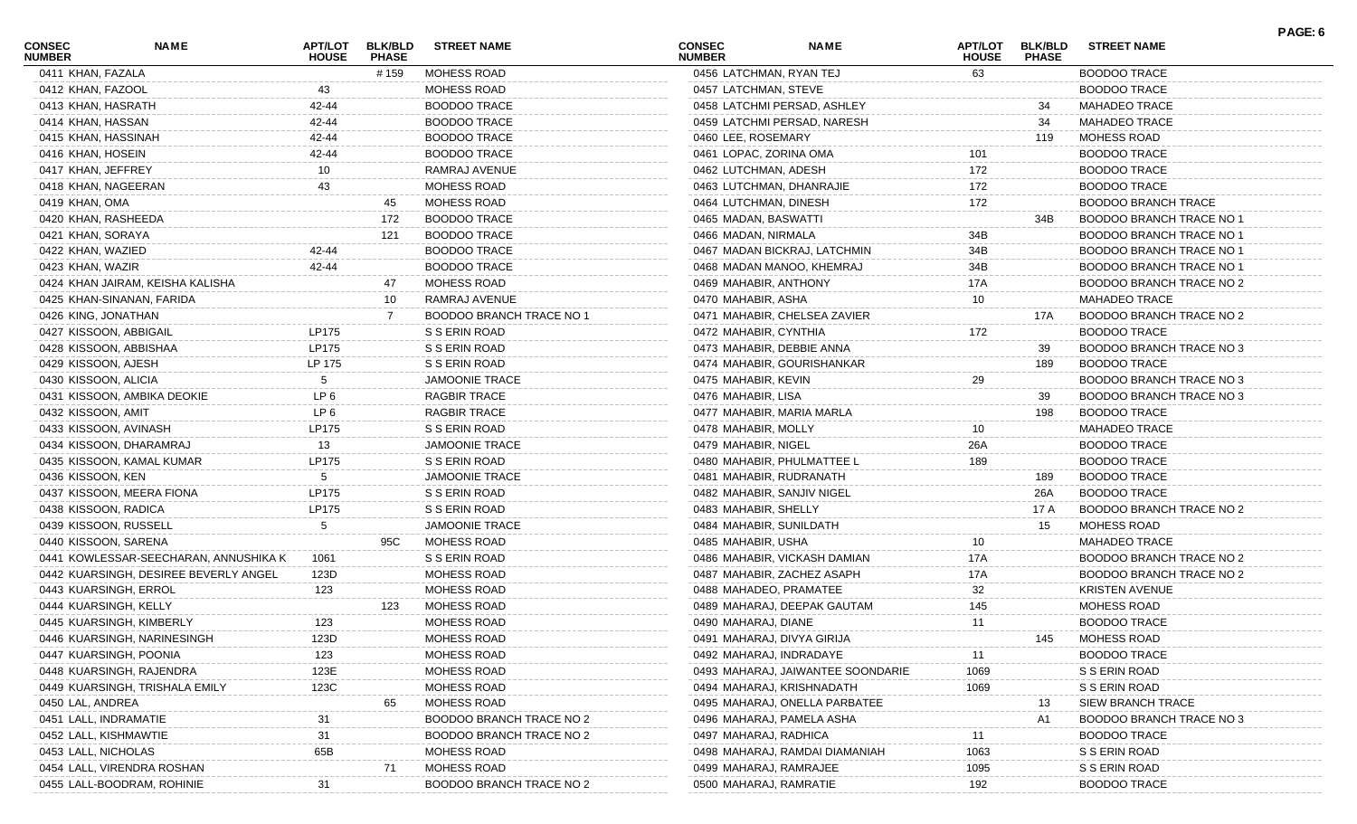| <b>CONSEC</b><br><b>NUMBER</b> | <b>NAME</b>                           | APT/LOT<br><b>HOUSE</b> | <b>BLK/BLD</b><br><b>PHASE</b> | <b>STREET NAME</b>       | <b>CONSEC</b><br><b>NUMBER</b> | <b>NAME</b>                       | <b>APT/LOT</b><br><b>HOUSE</b> | <b>BLK/BLD</b><br><b>PHASE</b> | <b>STREET NAME</b>              | PAGE: 6 |
|--------------------------------|---------------------------------------|-------------------------|--------------------------------|--------------------------|--------------------------------|-----------------------------------|--------------------------------|--------------------------------|---------------------------------|---------|
| 0411 KHAN, FAZALA              |                                       |                         | # 159                          | MOHESS ROAD              | 0456 LATCHMAN, RYAN TEJ        |                                   | 63                             |                                | <b>BOODOO TRACE</b>             |         |
| 0412 KHAN, FAZOOL              |                                       | 43                      |                                | MOHESS ROAD              | 0457 LATCHMAN, STEVE           |                                   |                                |                                | <b>BOODOO TRACE</b>             |         |
| 0413 KHAN, HASRATH             |                                       | 42-44                   |                                | <b>BOODOO TRACE</b>      |                                | 0458 LATCHMI PERSAD, ASHLEY       |                                | 34                             | MAHADEO TRACE                   |         |
| 0414 KHAN, HASSAN              |                                       | 42-44                   |                                | <b>BOODOO TRACE</b>      |                                | 0459 LATCHMI PERSAD, NARESH       |                                | 34                             | <b>MAHADEO TRACE</b>            |         |
| 0415 KHAN, HASSINAH            |                                       | 42-44                   |                                | <b>BOODOO TRACE</b>      | 0460 LEE, ROSEMARY             |                                   |                                | 119                            | MOHESS ROAD                     |         |
| 0416 KHAN, HOSEIN              |                                       | 42-44                   |                                | <b>BOODOO TRACE</b>      | 0461 LOPAC, ZORINA OMA         |                                   | 101                            |                                | <b>BOODOO TRACE</b>             |         |
| 0417 KHAN, JEFFREY             |                                       | 10                      |                                | RAMRAJ AVENUE            | 0462 LUTCHMAN, ADESH           |                                   | 172                            |                                | <b>BOODOO TRACE</b>             |         |
| 0418 KHAN, NAGEERAN            |                                       | 43                      |                                | MOHESS ROAD              | 0463 LUTCHMAN, DHANRAJIE       |                                   | 172                            |                                | <b>BOODOO TRACE</b>             |         |
| 0419 KHAN, OMA                 |                                       |                         | 45                             | <b>MOHESS ROAD</b>       | 0464 LUTCHMAN, DINESH          |                                   | 172                            |                                | <b>BOODOO BRANCH TRACE</b>      |         |
| 0420 KHAN, RASHEEDA            |                                       |                         | 172                            | <b>BOODOO TRACE</b>      | 0465 MADAN, BASWATTI           |                                   |                                | 34B                            | <b>BOODOO BRANCH TRACE NO 1</b> |         |
| 0421 KHAN, SORAYA              |                                       |                         | 121                            | <b>BOODOO TRACE</b>      | 0466 MADAN, NIRMALA            |                                   | 34B                            |                                | BOODOO BRANCH TRACE NO 1        |         |
| 0422 KHAN, WAZIED              |                                       | 42-44                   |                                | <b>BOODOO TRACE</b>      |                                | 0467 MADAN BICKRAJ, LATCHMIN      | 34B                            |                                | <b>BOODOO BRANCH TRACE NO 1</b> |         |
| 0423 KHAN, WAZIR               |                                       | 42-44                   |                                | <b>BOODOO TRACE</b>      |                                | 0468 MADAN MANOO, KHEMRAJ         | 34B                            |                                | BOODOO BRANCH TRACE NO 1        |         |
|                                | 0424 KHAN JAIRAM, KEISHA KALISHA      |                         | 47                             | <b>MOHESS ROAD</b>       | 0469 MAHABIR, ANTHONY          |                                   | 17A                            |                                | BOODOO BRANCH TRACE NO 2        |         |
| 0425 KHAN-SINANAN, FARIDA      |                                       |                         | 10                             | RAMRAJ AVENUE            | 0470 MAHABIR, ASHA             |                                   | 10                             |                                | <b>MAHADEO TRACE</b>            |         |
| 0426 KING, JONATHAN            |                                       |                         |                                | BOODOO BRANCH TRACE NO 1 |                                | 0471 MAHABIR, CHELSEA ZAVIER      |                                | 17A                            | BOODOO BRANCH TRACE NO 2        |         |
| 0427 KISSOON, ABBIGAIL         |                                       | LP175                   |                                | S S ERIN ROAD            | 0472 MAHABIR, CYNTHIA          |                                   | 172                            |                                | <b>BOODOO TRACE</b>             |         |
| 0428 KISSOON, ABBISHAA         |                                       | LP175                   |                                | S S ERIN ROAD            | 0473 MAHABIR, DEBBIE ANNA      |                                   |                                | 39                             | BOODOO BRANCH TRACE NO 3        |         |
| 0429 KISSOON, AJESH            |                                       | LP 175                  |                                | S S ERIN ROAD            |                                | 0474 MAHABIR, GOURISHANKAR        |                                | 189                            | <b>BOODOO TRACE</b>             |         |
| 0430 KISSOON, ALICIA           |                                       | 5                       |                                | <b>JAMOONIE TRACE</b>    | 0475 MAHABIR, KEVIN            |                                   | 29                             |                                | BOODOO BRANCH TRACE NO 3        |         |
| 0431 KISSOON, AMBIKA DEOKIE    |                                       | LP <sub>6</sub>         |                                | <b>RAGBIR TRACE</b>      | 0476 MAHABIR, LISA             |                                   |                                | 39                             | BOODOO BRANCH TRACE NO 3        |         |
| 0432 KISSOON, AMIT             |                                       | LP 6                    |                                | <b>RAGBIR TRACE</b>      | 0477 MAHABIR, MARIA MARLA      |                                   |                                | 198                            | <b>BOODOO TRACE</b>             |         |
| 0433 KISSOON, AVINASH          |                                       | LP175                   |                                | S S ERIN ROAD            | 0478 MAHABIR, MOLLY            |                                   | 10                             |                                | <b>MAHADEO TRACE</b>            |         |
| 0434 KISSOON, DHARAMRAJ        |                                       | 13                      |                                | <b>JAMOONIE TRACE</b>    | 0479 MAHABIR, NIGEL            |                                   | 26A                            |                                | <b>BOODOO TRACE</b>             |         |
| 0435 KISSOON, KAMAL KUMAR      |                                       | LP175                   |                                | S S ERIN ROAD            |                                | 0480 MAHABIR, PHULMATTEE L        | 189                            |                                | <b>BOODOO TRACE</b>             |         |
| 0436 KISSOON, KEN              |                                       | 5.                      |                                | <b>JAMOONIE TRACE</b>    | 0481 MAHABIR, RUDRANATH        |                                   |                                | 189                            | <b>BOODOO TRACE</b>             |         |
| 0437 KISSOON, MEERA FIONA      |                                       | LP175                   |                                | S S ERIN ROAD            | 0482 MAHABIR, SANJIV NIGEL     |                                   |                                | 26A                            | <b>BOODOO TRACE</b>             |         |
| 0438 KISSOON, RADICA           |                                       | LP175                   |                                | S S ERIN ROAD            | 0483 MAHABIR, SHELLY           |                                   |                                | 17 A                           | BOODOO BRANCH TRACE NO 2        |         |
| 0439 KISSOON, RUSSELL          |                                       | 5                       |                                | <b>JAMOONIE TRACE</b>    | 0484 MAHABIR, SUNILDATH        |                                   |                                | 15                             | <b>MOHESS ROAD</b>              |         |
| 0440 KISSOON, SARENA           |                                       |                         | 95C                            | <b>MOHESS ROAD</b>       | 0485 MAHABIR, USHA             |                                   | 10                             |                                | <b>MAHADEO TRACE</b>            |         |
|                                | 0441 KOWLESSAR-SEECHARAN, ANNUSHIKA K | 1061                    |                                | S S ERIN ROAD            |                                | 0486 MAHABIR, VICKASH DAMIAN      | 17A                            |                                | BOODOO BRANCH TRACE NO 2        |         |
|                                | 0442 KUARSINGH, DESIREE BEVERLY ANGEL | 123D                    |                                | MOHESS ROAD              |                                | 0487 MAHABIR, ZACHEZ ASAPH        | 17A                            |                                | BOODOO BRANCH TRACE NO 2        |         |
| 0443 KUARSINGH, ERROL          |                                       | 123                     |                                | MOHESS ROAD              | 0488 MAHADEO, PRAMATEE         |                                   | 32                             |                                | <b>KRISTEN AVENUE</b>           |         |
| 0444 KUARSINGH, KELLY          |                                       |                         | 123                            | <b>MOHESS ROAD</b>       |                                | 0489 MAHARAJ, DEEPAK GAUTAM       | 145                            |                                | <b>MOHESS ROAD</b>              |         |
| 0445 KUARSINGH, KIMBERLY       |                                       | 123                     |                                | <b>MOHESS ROAD</b>       | 0490 MAHARAJ, DIANE            |                                   | 11                             |                                | <b>BOODOO TRACE</b>             |         |
|                                | 0446 KUARSINGH, NARINESINGH           | 123D                    |                                | MOHESS ROAD              | 0491 MAHARAJ, DIVYA GIRIJA     |                                   |                                | 145                            | MOHESS ROAD                     |         |
| 0447 KUARSINGH, POONIA         |                                       | 123                     |                                | MOHESS ROAD              | 0492 MAHARAJ, INDRADAYE        |                                   |                                |                                | <b>BOODOO TRACE</b>             |         |
| 0448 KUARSINGH, RAJENDRA       |                                       | 123E                    |                                | MOHESS ROAD              |                                | 0493 MAHARAJ, JAIWANTEE SOONDARIE | 1069                           |                                | S S ERIN ROAD                   |         |
|                                | 0449 KUARSINGH, TRISHALA EMILY        | 123C                    |                                | MOHESS ROAD              |                                | 0494 MAHARAJ, KRISHNADATH         | 1069                           |                                | S S ERIN ROAD                   |         |
| 0450 LAL, ANDREA               |                                       |                         | 65                             | MOHESS ROAD              |                                | 0495 MAHARAJ, ONELLA PARBATEE     |                                | 13                             | <b>SIEW BRANCH TRACE</b>        |         |
| 0451 LALL, INDRAMATIE          |                                       |                         |                                | BOODOO BRANCH TRACE NO 2 |                                | 0496 MAHARAJ, PAMELA ASHA         |                                | A1                             | <b>BOODOO BRANCH TRACE NO 3</b> |         |
| 0452 LALL, KISHMAWTIE          |                                       | 31                      |                                | BOODOO BRANCH TRACE NO 2 | 0497 MAHARAJ, RADHICA          |                                   | 11                             |                                | <b>BOODOO TRACE</b>             |         |
| 0453 LALL, NICHOLAS            |                                       | 65B                     |                                | <b>MOHESS ROAD</b>       |                                | 0498 MAHARAJ, RAMDAI DIAMANIAH    | 1063                           |                                | S S ERIN ROAD                   |         |
| 0454 LALL, VIRENDRA ROSHAN     |                                       |                         | 71                             | <b>MOHESS ROAD</b>       | 0499 MAHARAJ, RAMRAJEE         |                                   | 1095                           |                                | S S ERIN ROAD                   |         |
| 0455 LALL-BOODRAM, ROHINIE     |                                       |                         |                                | BOODOO BRANCH TRACE NO 2 | 0500 MAHARAJ, RAMRATIE         |                                   | 192                            |                                | <b>BOODOO TRACE</b>             |         |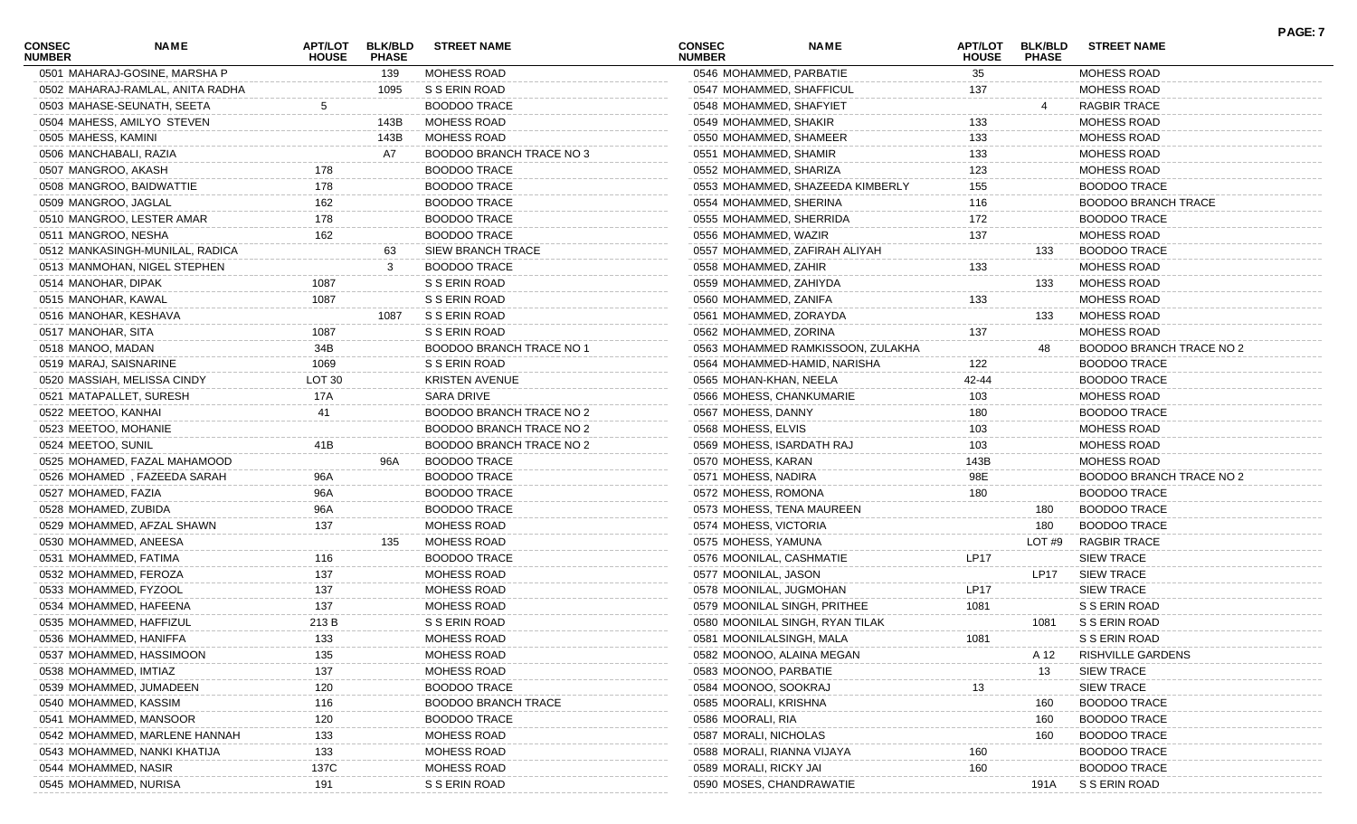| <b>CONSEC</b><br><b>NUMBER</b> | <b>NAME</b>                      | <b>APT/LOT</b><br><b>HOUSE</b> | <b>BLK/BLD</b><br><b>PHASE</b> | <b>STREET NAME</b>              | <b>CONSEC</b><br><b>NUMBER</b> | <b>NAME</b>                       | <b>HOUSE</b> | APT/LOT BLK/BLD<br><b>PHASE</b> | <b>STREET NAME</b>              |
|--------------------------------|----------------------------------|--------------------------------|--------------------------------|---------------------------------|--------------------------------|-----------------------------------|--------------|---------------------------------|---------------------------------|
|                                | 0501 MAHARAJ-GOSINE, MARSHA P    |                                | 139                            | MOHESS ROAD                     |                                | 0546 MOHAMMED, PARBATIE           | 35           |                                 | MOHESS ROAD                     |
|                                | 0502 MAHARAJ-RAMLAL, ANITA RADHA |                                | 1095                           | S S ERIN ROAD                   |                                | 0547 MOHAMMED, SHAFFICUL          | 137          |                                 | MOHESS ROAD                     |
|                                | 0503 MAHASE-SEUNATH, SEETA       | 5                              |                                | <b>BOODOO TRACE</b>             | 0548 MOHAMMED, SHAFYIET        |                                   |              |                                 | RAGBIR TRACE                    |
|                                | 0504 MAHESS, AMILYO STEVEN       |                                | 143B                           | MOHESS ROAD                     | 0549 MOHAMMED, SHAKIR          |                                   | 133          |                                 | MOHESS ROAD                     |
| 0505 MAHESS, KAMINI            |                                  |                                | 143B                           | MOHESS ROAD                     | 0550 MOHAMMED, SHAMEER         |                                   | 133          |                                 | MOHESS ROAD                     |
|                                | 0506 MANCHABALI, RAZIA           |                                | A7                             | BOODOO BRANCH TRACE NO 3        | 0551 MOHAMMED, SHAMIR          |                                   | 133          |                                 | MOHESS ROAD                     |
|                                | 0507 MANGROO, AKASH              | 178                            |                                | <b>BOODOO TRACE</b>             | 0552 MOHAMMED, SHARIZA         |                                   | 123          |                                 | MOHESS ROAD                     |
|                                | 0508 MANGROO, BAIDWATTIE         | 178                            |                                | <b>BOODOO TRACE</b>             |                                | 0553 MOHAMMED, SHAZEEDA KIMBERLY  | 155          |                                 | <b>BOODOO TRACE</b>             |
|                                | 0509 MANGROO, JAGLAL             | 162                            |                                | <b>BOODOO TRACE</b>             | 0554 MOHAMMED, SHERINA         |                                   | 116          |                                 | <b>BOODOO BRANCH TRACE</b>      |
|                                | 0510 MANGROO, LESTER AMAR        | 178                            |                                | <b>BOODOO TRACE</b>             |                                | 0555 MOHAMMED, SHERRIDA           | 172          |                                 | <b>BOODOO TRACE</b>             |
|                                | 0511 MANGROO, NESHA              | 162                            |                                | <b>BOODOO TRACE</b>             | 0556 MOHAMMED, WAZIR           |                                   | 137          |                                 | MOHESS ROAD                     |
|                                | 0512 MANKASINGH-MUNILAL, RADICA  |                                | 63                             | SIEW BRANCH TRACE               |                                | 0557 MOHAMMED, ZAFIRAH ALIYAH     |              | 133                             | <b>BOODOO TRACE</b>             |
|                                | 0513 MANMOHAN, NIGEL STEPHEN     |                                | 3                              | <b>BOODOO TRACE</b>             | 0558 MOHAMMED, ZAHIR           |                                   | 133          |                                 | MOHESS ROAD                     |
|                                | 0514 MANOHAR, DIPAK              | 1087                           |                                | S S ERIN ROAD                   | 0559 MOHAMMED, ZAHIYDA         |                                   |              | 133                             | MOHESS ROAD                     |
|                                | 0515 MANOHAR, KAWAL              | 1087                           |                                | S S ERIN ROAD                   | 0560 MOHAMMED, ZANIFA          |                                   | 133          |                                 | MOHESS ROAD                     |
|                                | 0516 MANOHAR, KESHAVA            |                                | 1087                           | S S ERIN ROAD                   | 0561 MOHAMMED, ZORAYDA         |                                   |              | 133                             | MOHESS ROAD                     |
| 0517 MANOHAR, SITA             |                                  | 1087                           |                                | S S ERIN ROAD                   | 0562 MOHAMMED, ZORINA          |                                   | 137          |                                 | MOHESS ROAD                     |
| 0518 MANOO, MADAN              |                                  | 34B                            |                                | <b>BOODOO BRANCH TRACE NO 1</b> |                                | 0563 MOHAMMED RAMKISSOON, ZULAKHA |              | 48                              | BOODOO BRANCH TRACE NO 2        |
|                                | 0519 MARAJ, SAISNARINE           | 1069                           |                                | S S ERIN ROAD                   |                                | 0564 MOHAMMED-HAMID, NARISHA      | 122          |                                 | <b>BOODOO TRACE</b>             |
|                                | 0520 MASSIAH, MELISSA CINDY      | LOT 30                         |                                | <b>KRISTEN AVENUE</b>           | 0565 MOHAN-KHAN, NEELA         |                                   | 42-44        |                                 | <b>BOODOO TRACE</b>             |
|                                | 0521 MATAPALLET, SURESH          | 17A                            |                                | SARA DRIVE                      |                                | 0566 MOHESS, CHANKUMARIE          | 103          |                                 | MOHESS ROAD                     |
|                                | 0522 MEETOO, KANHAI              | 41                             |                                | BOODOO BRANCH TRACE NO 2        | 0567 MOHESS, DANNY             |                                   | 180          |                                 | <b>BOODOO TRACE</b>             |
|                                | 0523 MEETOO, MOHANIE             |                                |                                | BOODOO BRANCH TRACE NO 2        | 0568 MOHESS, ELVIS             |                                   | 103          |                                 | MOHESS ROAD                     |
| 0524 MEETOO, SUNIL             |                                  | 41B                            |                                | BOODOO BRANCH TRACE NO 2        |                                | 0569 MOHESS, ISARDATH RAJ         | 103          |                                 | MOHESS ROAD                     |
|                                | 0525 MOHAMED, FAZAL MAHAMOOD     |                                | 96A                            | <b>BOODOO TRACE</b>             | 0570 MOHESS, KARAN             |                                   | 143B         |                                 | MOHESS ROAD                     |
|                                | 0526 MOHAMED, FAZEEDA SARAH      | 96A                            |                                | <b>BOODOO TRACE</b>             | 0571 MOHESS, NADIRA            |                                   | 98E          |                                 | <b>BOODOO BRANCH TRACE NO 2</b> |
|                                | 0527 MOHAMED, FAZIA              | 96A                            |                                | <b>BOODOO TRACE</b>             | 0572 MOHESS, ROMONA            |                                   | 180          |                                 | <b>BOODOO TRACE</b>             |
|                                | 0528 MOHAMED, ZUBIDA             | 96A                            |                                | <b>BOODOO TRACE</b>             |                                | 0573 MOHESS, TENA MAUREEN         |              | 180                             | <b>BOODOO TRACE</b>             |
|                                | 0529 MOHAMMED, AFZAL SHAWN       | 137                            |                                | MOHESS ROAD                     | 0574 MOHESS, VICTORIA          |                                   |              | 180                             | <b>BOODOO TRACE</b>             |
|                                | 0530 MOHAMMED, ANEESA            |                                | 135                            | MOHESS ROAD                     | 0575 MOHESS, YAMUNA            |                                   |              | LOT#9                           | RAGBIR TRACE                    |
|                                | 0531 MOHAMMED, FATIMA            | 116                            |                                | <b>BOODOO TRACE</b>             | 0576 MOONILAL, CASHMATIE       |                                   | <b>LP17</b>  |                                 | <b>SIEW TRACE</b>               |
|                                | 0532 MOHAMMED, FEROZA            | 137                            |                                | MOHESS ROAD                     | 0577 MOONILAL, JASON           |                                   |              | <b>LP17</b>                     | <b>SIEW TRACE</b>               |
|                                | 0533 MOHAMMED, FYZOOL            | 137                            |                                | MOHESS ROAD                     | 0578 MOONILAL, JUGMOHAN        |                                   | <b>LP17</b>  |                                 | <b>SIEW TRACE</b>               |
|                                | 0534 MOHAMMED, HAFEENA           | 137                            |                                | MOHESS ROAD                     |                                | 0579 MOONILAL SINGH, PRITHEE      | 1081         |                                 | S S ERIN ROAD                   |
|                                | 0535 MOHAMMED, HAFFIZUL          | 213 B                          |                                | S S ERIN ROAD                   |                                | 0580 MOONILAL SINGH, RYAN TILAK   |              | 1081                            | S S ERIN ROAD                   |
|                                | 0536 MOHAMMED, HANIFFA           | 133                            |                                | MOHESS ROAD                     |                                | 0581 MOONILALSINGH, MALA          | 1081         |                                 | S S ERIN ROAD                   |
|                                | 0537 MOHAMMED, HASSIMOON         | 135                            |                                | MOHESS ROAD                     |                                | 0582 MOONOO, ALAINA MEGAN         |              | A 12                            | <b>RISHVILLE GARDENS</b>        |
|                                | 0538 MOHAMMED, IMTIAZ            | 137                            |                                | MOHESS ROAD                     | 0583 MOONOO, PARBATIE          |                                   |              | 13                              | <b>SIEW TRACE</b>               |
|                                | 0539 MOHAMMED, JUMADEEN          | 120                            |                                | <b>BOODOO TRACE</b>             | 0584 MOONOO, SOOKRAJ           |                                   | 13           |                                 | <b>SIEW TRACE</b>               |
|                                | 0540 MOHAMMED, KASSIM            | 116                            |                                | <b>BOODOO BRANCH TRACE</b>      | 0585 MOORALI, KRISHNA          |                                   |              | 160                             | <b>BOODOO TRACE</b>             |
|                                | 0541 MOHAMMED, MANSOOR           | 120                            |                                | <b>BOODOO TRACE</b>             | 0586 MOORALI, RIA              |                                   |              | 160                             | <b>BOODOO TRACE</b>             |
|                                | 0542 MOHAMMED, MARLENE HANNAH    | 133                            |                                | MOHESS ROAD                     | 0587 MORALI, NICHOLAS          |                                   |              | 160                             | <b>BOODOO TRACE</b>             |
|                                | 0543 MOHAMMED, NANKI KHATIJA     | 133                            |                                | MOHESS ROAD                     |                                | 0588 MORALI, RIANNA VIJAYA        | 160          |                                 | <b>BOODOO TRACE</b>             |
|                                | 0544 MOHAMMED, NASIR             | 137C                           |                                | MOHESS ROAD                     | 0589 MORALI, RICKY JAI         |                                   | 160          |                                 | <b>BOODOO TRACE</b>             |
|                                | 0545 MOHAMMED, NURISA            | 191                            |                                | S S ERIN ROAD                   |                                | 0590 MOSES, CHANDRAWATIE          |              | 191A                            | S S ERIN ROAD                   |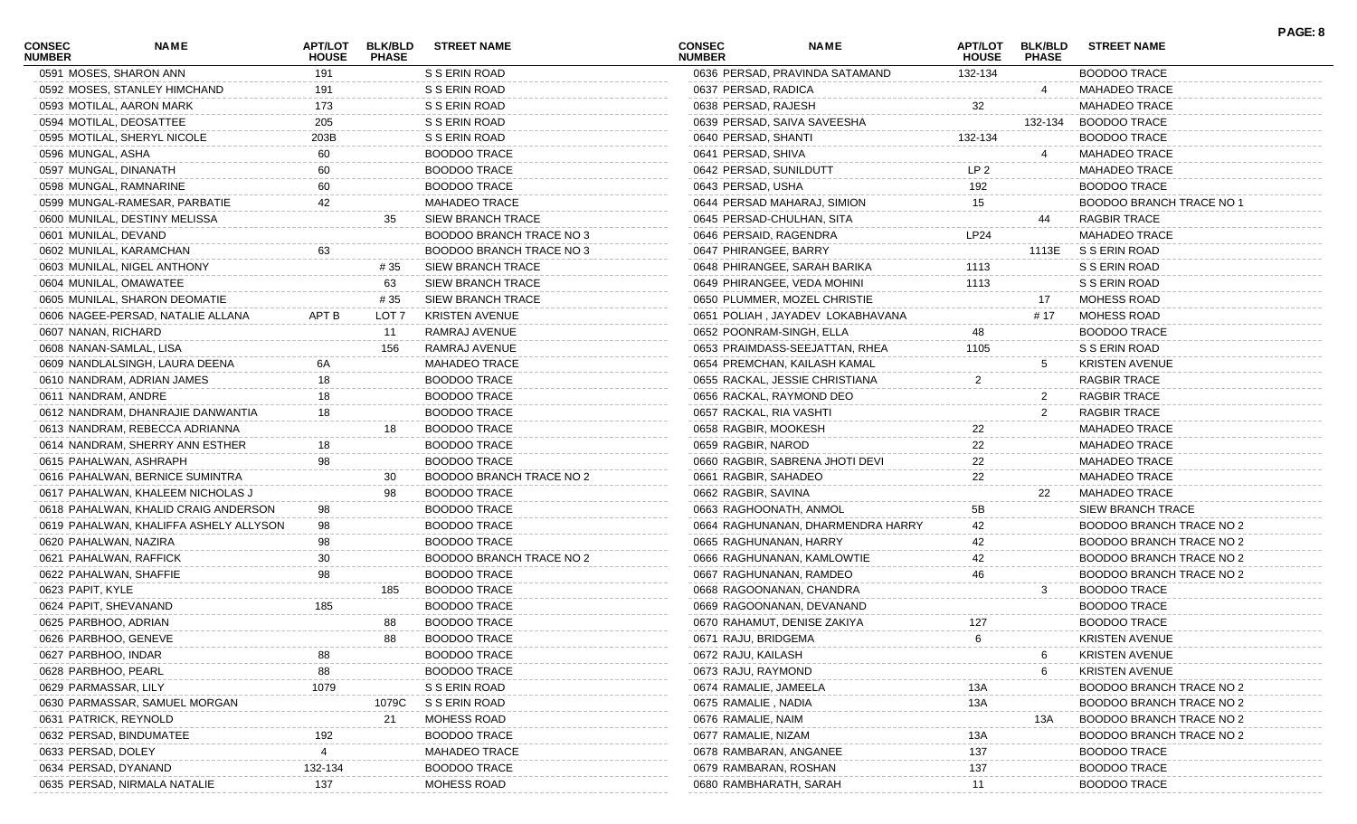| <b>CONSEC</b><br><b>NAME</b><br><b>NUMBER</b> | <b>APT/LOT</b><br><b>HOUSE</b> | <b>BLK/BLD</b><br><b>PHASE</b> | <b>STREET NAME</b>       | <b>CONSEC</b><br><b>NUMBER</b> | <b>NAME</b>                       | <b>APT/LOT</b><br><b>HOUSE</b> | <b>BLK/BLD</b><br><b>PHASE</b> | <b>STREET NAME</b>              | PAGE: 8 |
|-----------------------------------------------|--------------------------------|--------------------------------|--------------------------|--------------------------------|-----------------------------------|--------------------------------|--------------------------------|---------------------------------|---------|
| 0591 MOSES, SHARON ANN                        | 191                            |                                | S S ERIN ROAD            |                                | 0636 PERSAD, PRAVINDA SATAMAND    | 132-134                        |                                | <b>BOODOO TRACE</b>             |         |
| 0592 MOSES, STANLEY HIMCHAND                  | 191                            |                                | S S ERIN ROAD            | 0637 PERSAD, RADICA            |                                   |                                |                                | MAHADEO TRACE                   |         |
| 0593 MOTILAL, AARON MARK                      | 173                            |                                | S S ERIN ROAD            | 0638 PERSAD, RAJESH            |                                   | 32                             |                                | <b>MAHADEO TRACE</b>            |         |
| 0594 MOTILAL, DEOSATTEE                       | 205                            |                                | S S ERIN ROAD            |                                | 0639 PERSAD, SAIVA SAVEESHA       |                                | 132-134                        | <b>BOODOO TRACE</b>             |         |
| 0595 MOTILAL, SHERYL NICOLE                   | 203B                           |                                | S S ERIN ROAD            | 0640 PERSAD, SHANTI            |                                   | 132-134                        |                                | <b>BOODOO TRACE</b>             |         |
| 0596 MUNGAL, ASHA                             | 60                             |                                | <b>BOODOO TRACE</b>      | 0641 PERSAD, SHIVA             |                                   |                                |                                | <b>MAHADEO TRACE</b>            |         |
| 0597 MUNGAL, DINANATH                         | 60                             |                                | <b>BOODOO TRACE</b>      | 0642 PERSAD, SUNILDUTT         |                                   | LP <sub>2</sub>                |                                | <b>MAHADEO TRACE</b>            |         |
| 0598 MUNGAL, RAMNARINE                        | 60                             |                                | <b>BOODOO TRACE</b>      | 0643 PERSAD, USHA              |                                   | 192                            |                                | <b>BOODOO TRACE</b>             |         |
| 0599 MUNGAL-RAMESAR, PARBATIE                 | 42                             |                                | <b>MAHADEO TRACE</b>     |                                | 0644 PERSAD MAHARAJ, SIMION       | 15                             |                                | <b>BOODOO BRANCH TRACE NO 1</b> |         |
| 0600 MUNILAL, DESTINY MELISSA                 |                                | 35                             | <b>SIEW BRANCH TRACE</b> | 0645 PERSAD-CHULHAN, SITA      |                                   |                                | 44                             | <b>RAGBIR TRACE</b>             |         |
| 0601 MUNILAL, DEVAND                          |                                |                                | BOODOO BRANCH TRACE NO 3 | 0646 PERSAID, RAGENDRA         |                                   | LP24                           |                                | <b>MAHADEO TRACE</b>            |         |
| 0602 MUNILAL, KARAMCHAN                       | 63                             |                                | BOODOO BRANCH TRACE NO 3 | 0647 PHIRANGEE, BARRY          |                                   |                                | 1113E                          | S S ERIN ROAD                   |         |
| 0603 MUNILAL, NIGEL ANTHONY                   |                                | # 35                           | <b>SIEW BRANCH TRACE</b> |                                | 0648 PHIRANGEE, SARAH BARIKA      | 1113                           |                                | S S ERIN ROAD                   |         |
| 0604 MUNILAL, OMAWATEE                        |                                | 63                             | SIEW BRANCH TRACE        |                                | 0649 PHIRANGEE, VEDA MOHINI       | 1113                           |                                | S S ERIN ROAD                   |         |
| 0605 MUNILAL, SHARON DEOMATIE                 |                                | # 35                           | <b>SIEW BRANCH TRACE</b> |                                | 0650 PLUMMER, MOZEL CHRISTIE      |                                | 17                             | MOHESS ROAD                     |         |
| 0606 NAGEE-PERSAD, NATALIE ALLANA             | APT B                          | LOT 7                          | <b>KRISTEN AVENUE</b>    |                                | 0651 POLIAH, JAYADEV LOKABHAVANA  |                                | # 17                           | MOHESS ROAD                     |         |
| 0607 NANAN, RICHARD                           |                                | 11                             | RAMRAJ AVENUE            | 0652 POONRAM-SINGH, ELLA       |                                   | 48                             |                                | <b>BOODOO TRACE</b>             |         |
| 0608 NANAN-SAMLAL, LISA                       |                                | 156                            | RAMRAJ AVENUE            |                                | 0653 PRAIMDASS-SEEJATTAN, RHEA    | 1105                           |                                | S S ERIN ROAD                   |         |
| 0609 NANDLALSINGH, LAURA DEENA                | 6A                             |                                | <b>MAHADEO TRACE</b>     |                                | 0654 PREMCHAN, KAILASH KAMAL      |                                | 5                              | <b>KRISTEN AVENUE</b>           |         |
| 0610 NANDRAM, ADRIAN JAMES                    |                                |                                | <b>BOODOO TRACE</b>      |                                | 0655 RACKAL, JESSIE CHRISTIANA    | $\overline{2}$                 |                                | <b>RAGBIR TRACE</b>             |         |
| 0611 NANDRAM, ANDRE                           |                                |                                | <b>BOODOO TRACE</b>      |                                | 0656 RACKAL, RAYMOND DEO          |                                | $\mathbf{2}$                   | <b>RAGBIR TRACE</b>             |         |
| 0612 NANDRAM, DHANRAJIE DANWANTIA             |                                |                                | <b>BOODOO TRACE</b>      | 0657 RACKAL, RIA VASHTI        |                                   |                                | $\overline{2}$                 | <b>RAGBIR TRACE</b>             |         |
| 0613 NANDRAM, REBECCA ADRIANNA                |                                | 18.                            | <b>BOODOO TRACE</b>      | 0658 RAGBIR, MOOKESH           |                                   | 22                             |                                | <b>MAHADEO TRACE</b>            |         |
| 0614 NANDRAM, SHERRY ANN ESTHER               |                                |                                | <b>BOODOO TRACE</b>      | 0659 RAGBIR, NAROD             |                                   | 22                             |                                | <b>MAHADEO TRACE</b>            |         |
| 0615 PAHALWAN, ASHRAPH                        | 98                             |                                | <b>BOODOO TRACE</b>      |                                | 0660 RAGBIR, SABRENA JHOTI DEVI   | 22                             |                                | <b>MAHADEO TRACE</b>            |         |
| 0616 PAHALWAN, BERNICE SUMINTRA               |                                | 30                             | BOODOO BRANCH TRACE NO 2 | 0661 RAGBIR, SAHADEO           |                                   | 22                             |                                | <b>MAHADEO TRACE</b>            |         |
| 0617 PAHALWAN, KHALEEM NICHOLAS J             |                                | 98                             | <b>BOODOO TRACE</b>      | 0662 RAGBIR, SAVINA            |                                   |                                | 22                             | MAHADEO TRACE                   |         |
| 0618 PAHALWAN, KHALID CRAIG ANDERSON          | 98                             |                                | <b>BOODOO TRACE</b>      | 0663 RAGHOONATH, ANMOL         |                                   | 5В                             |                                | SIEW BRANCH TRACE               |         |
| 0619 PAHALWAN, KHALIFFA ASHELY ALLYSON        | 98                             |                                | <b>BOODOO TRACE</b>      |                                | 0664 RAGHUNANAN, DHARMENDRA HARRY | 42                             |                                | BOODOO BRANCH TRACE NO 2        |         |
| 0620 PAHALWAN, NAZIRA                         | 98                             |                                | <b>BOODOO TRACE</b>      | 0665 RAGHUNANAN, HARRY         |                                   | 42                             |                                | BOODOO BRANCH TRACE NO 2        |         |
| 0621 PAHALWAN, RAFFICK                        | 30                             |                                | BOODOO BRANCH TRACE NO 2 |                                | 0666 RAGHUNANAN, KAMLOWTIE        | 42                             |                                | BOODOO BRANCH TRACE NO 2        |         |
| 0622 PAHALWAN, SHAFFIE                        | 98                             |                                | <b>BOODOO TRACE</b>      | 0667 RAGHUNANAN, RAMDEO        |                                   | 46                             |                                | BOODOO BRANCH TRACE NO 2        |         |
| 0623 PAPIT, KYLE                              |                                | 185                            | <b>BOODOO TRACE</b>      |                                | 0668 RAGOONANAN, CHANDRA          |                                | 3                              | <b>BOODOO TRACE</b>             |         |
| 0624 PAPIT, SHEVANAND                         | 185                            |                                | <b>BOODOO TRACE</b>      |                                | 0669 RAGOONANAN, DEVANAND         |                                |                                | <b>BOODOO TRACE</b>             |         |
| 0625 PARBHOO, ADRIAN                          |                                | 88                             | <b>BOODOO TRACE</b>      |                                | 0670 RAHAMUT, DENISE ZAKIYA       | 127                            |                                | <b>BOODOO TRACE</b>             |         |
| 0626 PARBHOO, GENEVE                          |                                | 88                             | BOODOO TRACE             | 0671 RAJU, BRIDGEMA            |                                   | 6                              |                                | <b>KRISTEN AVENUE</b>           |         |
| 0627 PARBHOO, INDAR                           |                                |                                | <b>BOODOO TRACE</b>      | 0672 RAJU, KAILASH             |                                   |                                |                                | <b>KRISTEN AVENUE</b>           |         |
| 0628 PARBHOO, PEARL                           | 88                             |                                | <b>BOODOO TRACE</b>      | 0673 RAJU, RAYMOND             |                                   |                                |                                | <b>KRISTEN AVENUE</b>           |         |
| 0629 PARMASSAR, LILY                          | 1079                           |                                | S S ERIN ROAD            | 0674 RAMALIE, JAMEELA          |                                   | 13A                            |                                | <b>BOODOO BRANCH TRACE NO 2</b> |         |
| 0630 PARMASSAR, SAMUEL MORGAN                 |                                | 1079C                          | S S ERIN ROAD            | 0675 RAMALIE, NADIA            |                                   | 13A                            |                                | BOODOO BRANCH TRACE NO 2        |         |
| 0631 PATRICK, REYNOLD                         |                                | 21                             | MOHESS ROAD              | 0676 RAMALIE, NAIM             |                                   |                                | 13A                            | <b>BOODOO BRANCH TRACE NO 2</b> |         |
| 0632 PERSAD, BINDUMATEE                       |                                |                                | <b>BOODOO TRACE</b>      | 0677 RAMALIE, NIZAM            |                                   | 13A                            |                                | <b>BOODOO BRANCH TRACE NO 2</b> |         |
| 0633 PERSAD, DOLEY                            |                                |                                | <b>MAHADEO TRACE</b>     | 0678 RAMBARAN, ANGANEE         |                                   | 137                            |                                | <b>BOODOO TRACE</b>             |         |
| 0634 PERSAD, DYANAND                          | 132-134                        |                                | <b>BOODOO TRACE</b>      | 0679 RAMBARAN, ROSHAN          |                                   | 137                            |                                | <b>BOODOO TRACE</b>             |         |
| 0635 PERSAD, NIRMALA NATALIE                  | 137                            |                                | MOHESS ROAD              | 0680 RAMBHARATH, SARAH         |                                   | 11                             |                                | <b>BOODOO TRACE</b>             |         |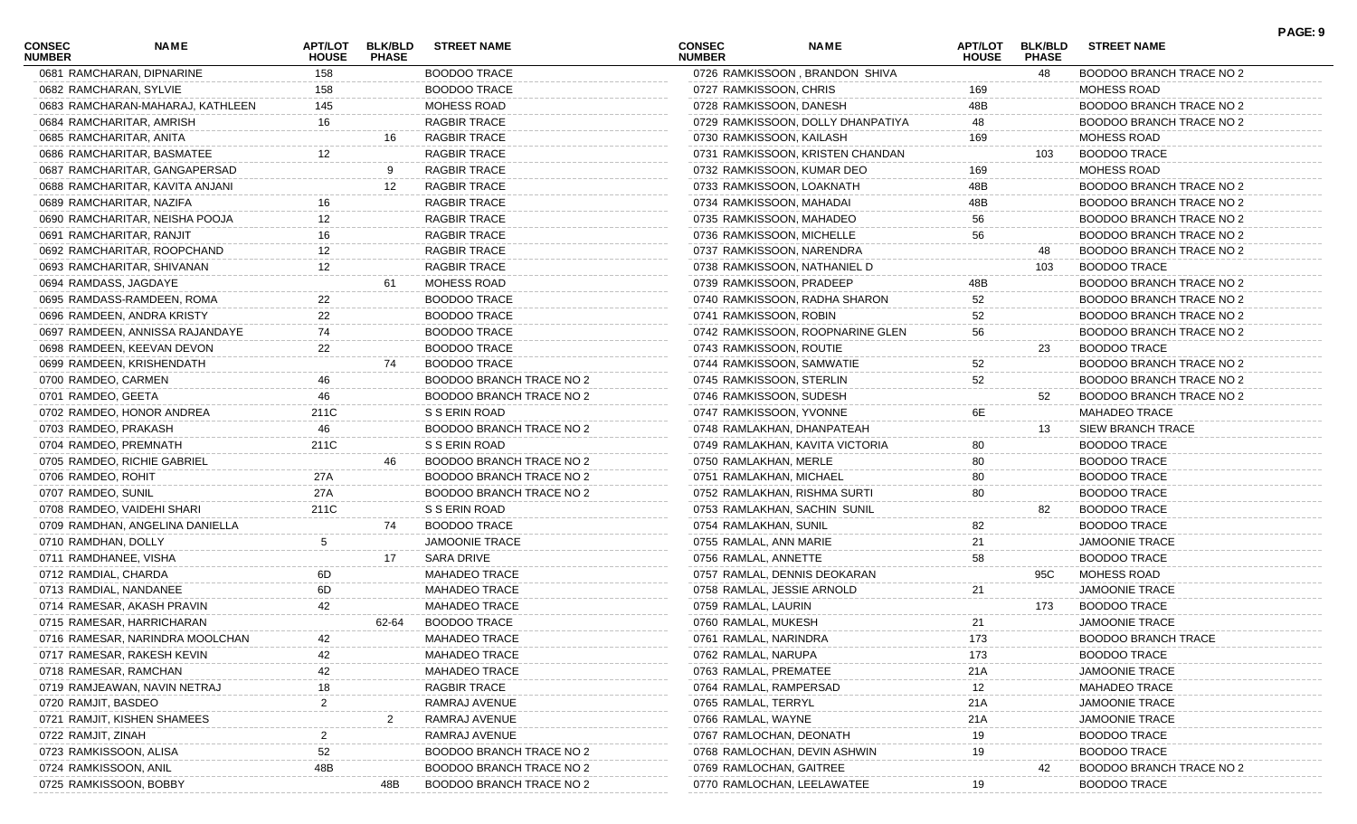| <b>CONSEC</b><br><b>NUMBER</b> | <b>NAME</b>                      | APT/LOT<br><b>HOUSE</b> | <b>BLK/BLD</b><br><b>PHASE</b> | <b>STREET NAME</b>              | CONSEC<br><b>NUMBER</b>    | <b>NAME</b>                       | <b>APT/LOT</b><br><b>HOUSE</b> | <b>BLK/BLD</b><br><b>PHASE</b> | <b>STREET NAME</b>              | PAGE: 9 |
|--------------------------------|----------------------------------|-------------------------|--------------------------------|---------------------------------|----------------------------|-----------------------------------|--------------------------------|--------------------------------|---------------------------------|---------|
|                                | 0681 RAMCHARAN, DIPNARINE        | 158                     |                                | <b>BOODOO TRACE</b>             |                            | 0726 RAMKISSOON, BRANDON SHIVA    |                                | 48                             | BOODOO BRANCH TRACE NO 2        |         |
| 0682 RAMCHARAN, SYLVIE         |                                  | 158                     |                                | <b>BOODOO TRACE</b>             | 0727 RAMKISSOON, CHRIS     |                                   | 169                            |                                | <b>MOHESS ROAD</b>              |         |
|                                | 0683 RAMCHARAN-MAHARAJ, KATHLEEN | 145                     |                                | <b>MOHESS ROAD</b>              | 0728 RAMKISSOON, DANESH    |                                   | 48B                            |                                | BOODOO BRANCH TRACE NO 2        |         |
| 0684 RAMCHARITAR, AMRISH       |                                  | 16                      |                                | RAGBIR TRACE                    |                            | 0729 RAMKISSOON, DOLLY DHANPATIYA | 48                             |                                | BOODOO BRANCH TRACE NO 2        |         |
| 0685 RAMCHARITAR, ANITA        |                                  |                         | 16                             | RAGBIR TRACE                    | 0730 RAMKISSOON, KAILASH   |                                   | 169                            |                                | <b>MOHESS ROAD</b>              |         |
|                                | 0686 RAMCHARITAR, BASMATEE       |                         |                                | RAGBIR TRACE                    |                            | 0731 RAMKISSOON, KRISTEN CHANDAN  |                                | 103                            | <b>BOODOO TRACE</b>             |         |
|                                | 0687 RAMCHARITAR, GANGAPERSAD    |                         |                                | RAGBIR TRACE                    |                            | 0732 RAMKISSOON, KUMAR DEO        | 169                            |                                | <b>MOHESS ROAD</b>              |         |
|                                | 0688 RAMCHARITAR, KAVITA ANJANI  |                         | 12                             | RAGBIR TRACE                    | 0733 RAMKISSOON, LOAKNATH  |                                   | 48B                            |                                | BOODOO BRANCH TRACE NO 2        |         |
| 0689 RAMCHARITAR, NAZIFA       |                                  |                         |                                | RAGBIR TRACE                    | 0734 RAMKISSOON, MAHADAI   |                                   | 48B                            |                                | BOODOO BRANCH TRACE NO 2        |         |
|                                | 0690 RAMCHARITAR, NEISHA POOJA   |                         |                                | RAGBIR TRACE                    | 0735 RAMKISSOON, MAHADEO   |                                   | 56                             |                                | BOODOO BRANCH TRACE NO 2        |         |
| 0691 RAMCHARITAR, RANJIT       |                                  |                         |                                | RAGBIR TRACE                    | 0736 RAMKISSOON, MICHELLE  |                                   | 56                             |                                | BOODOO BRANCH TRACE NO 2        |         |
|                                | 0692 RAMCHARITAR, ROOPCHAND      |                         |                                | <b>RAGBIR TRACE</b>             | 0737 RAMKISSOON, NARENDRA  |                                   |                                | 48                             | BOODOO BRANCH TRACE NO 2        |         |
|                                | 0693 RAMCHARITAR, SHIVANAN       | 12                      |                                | RAGBIR TRACE                    |                            | 0738 RAMKISSOON, NATHANIEL D      |                                | 103                            | <b>BOODOO TRACE</b>             |         |
| 0694 RAMDASS, JAGDAYE          |                                  |                         | 61                             | MOHESS ROAD                     | 0739 RAMKISSOON, PRADEEP   |                                   | 48B                            |                                | BOODOO BRANCH TRACE NO 2        |         |
|                                | 0695 RAMDASS-RAMDEEN, ROMA       |                         |                                | <b>BOODOO TRACE</b>             |                            | 0740 RAMKISSOON, RADHA SHARON     | 52                             |                                | BOODOO BRANCH TRACE NO 2        |         |
|                                | 0696 RAMDEEN, ANDRA KRISTY       | 22                      |                                | <b>BOODOO TRACE</b>             | 0741 RAMKISSOON, ROBIN     |                                   | 52                             |                                | BOODOO BRANCH TRACE NO 2        |         |
|                                | 0697 RAMDEEN, ANNISSA RAJANDAYE  | 74                      |                                | <b>BOODOO TRACE</b>             |                            | 0742 RAMKISSOON, ROOPNARINE GLEN  | 56                             |                                | BOODOO BRANCH TRACE NO 2        |         |
|                                | 0698 RAMDEEN, KEEVAN DEVON       | 22                      |                                | <b>BOODOO TRACE</b>             | 0743 RAMKISSOON, ROUTIE    |                                   |                                | 23                             | <b>BOODOO TRACE</b>             |         |
|                                | 0699 RAMDEEN, KRISHENDATH        |                         | 74                             | <b>BOODOO TRACE</b>             | 0744 RAMKISSOON, SAMWATIE  |                                   | 52                             |                                | BOODOO BRANCH TRACE NO 2        |         |
| 0700 RAMDEO, CARMEN            |                                  |                         |                                | BOODOO BRANCH TRACE NO 2        | 0745 RAMKISSOON, STERLIN   |                                   | 52                             |                                | BOODOO BRANCH TRACE NO 2        |         |
| 0701 RAMDEO, GEETA             |                                  | 46                      |                                | BOODOO BRANCH TRACE NO 2        | 0746 RAMKISSOON, SUDESH    |                                   |                                | 52                             | BOODOO BRANCH TRACE NO 2        |         |
|                                | 0702 RAMDEO, HONOR ANDREA        | 211C                    |                                | S S ERIN ROAD                   | 0747 RAMKISSOON, YVONNE    |                                   | 6E                             |                                | <b>MAHADEO TRACE</b>            |         |
| 0703 RAMDEO, PRAKASH           |                                  | 46                      |                                | BOODOO BRANCH TRACE NO 2        |                            | 0748 RAMLAKHAN, DHANPATEAH        |                                | 13                             | SIEW BRANCH TRACE               |         |
| 0704 RAMDEO, PREMNATH          |                                  | 211C                    |                                | S S ERIN ROAD                   |                            | 0749 RAMLAKHAN, KAVITA VICTORIA   | 80                             |                                | <b>BOODOO TRACE</b>             |         |
|                                | 0705 RAMDEO, RICHIE GABRIEL      |                         | 46                             | BOODOO BRANCH TRACE NO 2        | 0750 RAMLAKHAN, MERLE      |                                   | 80                             |                                | BOODOO TRACE                    |         |
| 0706 RAMDEO, ROHIT             |                                  | 27A                     |                                | BOODOO BRANCH TRACE NO 2        | 0751 RAMLAKHAN, MICHAEL    |                                   | 80                             |                                | <b>BOODOO TRACE</b>             |         |
| 0707 RAMDEO, SUNIL             |                                  | 27A                     |                                | BOODOO BRANCH TRACE NO 2        |                            | 0752 RAMLAKHAN, RISHMA SURTI      | 80                             |                                | <b>BOODOO TRACE</b>             |         |
|                                | 0708 RAMDEO, VAIDEHI SHARI       | 211C                    |                                | S S ERIN ROAD                   |                            | 0753 RAMLAKHAN, SACHIN SUNIL      |                                | 82                             | <b>BOODOO TRACE</b>             |         |
|                                | 0709 RAMDHAN, ANGELINA DANIELLA  |                         | 74                             | <b>BOODOO TRACE</b>             | 0754 RAMLAKHAN, SUNIL      |                                   | 82                             |                                | <b>BOODOO TRACE</b>             |         |
| 0710 RAMDHAN, DOLLY            |                                  | 5                       |                                | <b>JAMOONIE TRACE</b>           | 0755 RAMLAL, ANN MARIE     |                                   | 21                             |                                | <b>JAMOONIE TRACE</b>           |         |
| 0711 RAMDHANEE, VISHA          |                                  |                         | 17                             | <b>SARA DRIVE</b>               | 0756 RAMLAL, ANNETTE       |                                   | 58                             |                                | BOODOO TRACE                    |         |
| 0712 RAMDIAL, CHARDA           |                                  | 6D.                     |                                | <b>MAHADEO TRACE</b>            |                            | 0757 RAMLAL, DENNIS DEOKARAN      |                                | 95C                            | MOHESS ROAD                     |         |
| 0713 RAMDIAL, NANDANEE         |                                  | 6D                      |                                | <b>MAHADEO TRACE</b>            | 0758 RAMLAL, JESSIE ARNOLD |                                   | 21                             |                                | <b>JAMOONIE TRACE</b>           |         |
|                                | 0714 RAMESAR, AKASH PRAVIN       | 42                      |                                | MAHADEO TRACE                   | 0759 RAMLAL, LAURIN        |                                   |                                | 173                            | <b>BOODOO TRACE</b>             |         |
|                                | 0715 RAMESAR, HARRICHARAN        |                         | 62-64                          | <b>BOODOO TRACE</b>             | 0760 RAMLAL, MUKESH        |                                   | 21                             |                                | <b>JAMOONIE TRACE</b>           |         |
|                                | 0716 RAMESAR, NARINDRA MOOLCHAN  | 42                      |                                | <b>MAHADEO TRACE</b>            | 0761 RAMLAL, NARINDRA      |                                   | 173                            |                                | <b>BOODOO BRANCH TRACE</b>      |         |
|                                | 0717 RAMESAR, RAKESH KEVIN       |                         |                                | <b>MAHADEO TRACE</b>            | 0762 RAMLAL, NARUPA        |                                   | 173                            |                                | <b>BOODOO TRACE</b>             |         |
| 0718 RAMESAR, RAMCHAN          |                                  |                         |                                | <b>MAHADEO TRACE</b>            | 0763 RAMLAL, PREMATEE      |                                   | 21A                            |                                | <b>JAMOONIE TRACE</b>           |         |
|                                | 0719 RAMJEAWAN, NAVIN NETRAJ     |                         |                                | RAGBIR TRACE                    | 0764 RAMLAL, RAMPERSAD     |                                   | 12                             |                                | <b>MAHADEO TRACE</b>            |         |
| 0720 RAMJIT, BASDEO            |                                  |                         |                                | RAMRAJ AVENUE                   | 0765 RAMLAL, TERRYL        |                                   | 21A                            |                                | <b>JAMOONIE TRACE</b>           |         |
|                                | 0721 RAMJIT, KISHEN SHAMEES      |                         |                                | RAMRAJ AVENUE                   | 0766 RAMLAL, WAYNE         |                                   | 21A                            |                                | <b>JAMOONIE TRACE</b>           |         |
| 0722 RAMJIT, ZINAH             |                                  |                         |                                | RAMRAJ AVENUE                   | 0767 RAMLOCHAN, DEONATH    |                                   | 19                             |                                | <b>BOODOO TRACE</b>             |         |
| 0723 RAMKISSOON, ALISA         |                                  |                         |                                | <b>BOODOO BRANCH TRACE NO 2</b> |                            | 0768 RAMLOCHAN, DEVIN ASHWIN      | 19                             |                                | <b>BOODOO TRACE</b>             |         |
| 0724 RAMKISSOON, ANIL          |                                  | 48B                     |                                | BOODOO BRANCH TRACE NO 2        | 0769 RAMLOCHAN, GAITREE    |                                   |                                | 42                             | <b>BOODOO BRANCH TRACE NO 2</b> |         |
| 0725 RAMKISSOON, BOBBY         |                                  |                         | 48B                            | BOODOO BRANCH TRACE NO 2        | 0770 RAMLOCHAN, LEELAWATEE |                                   |                                |                                | <b>BOODOO TRACE</b>             |         |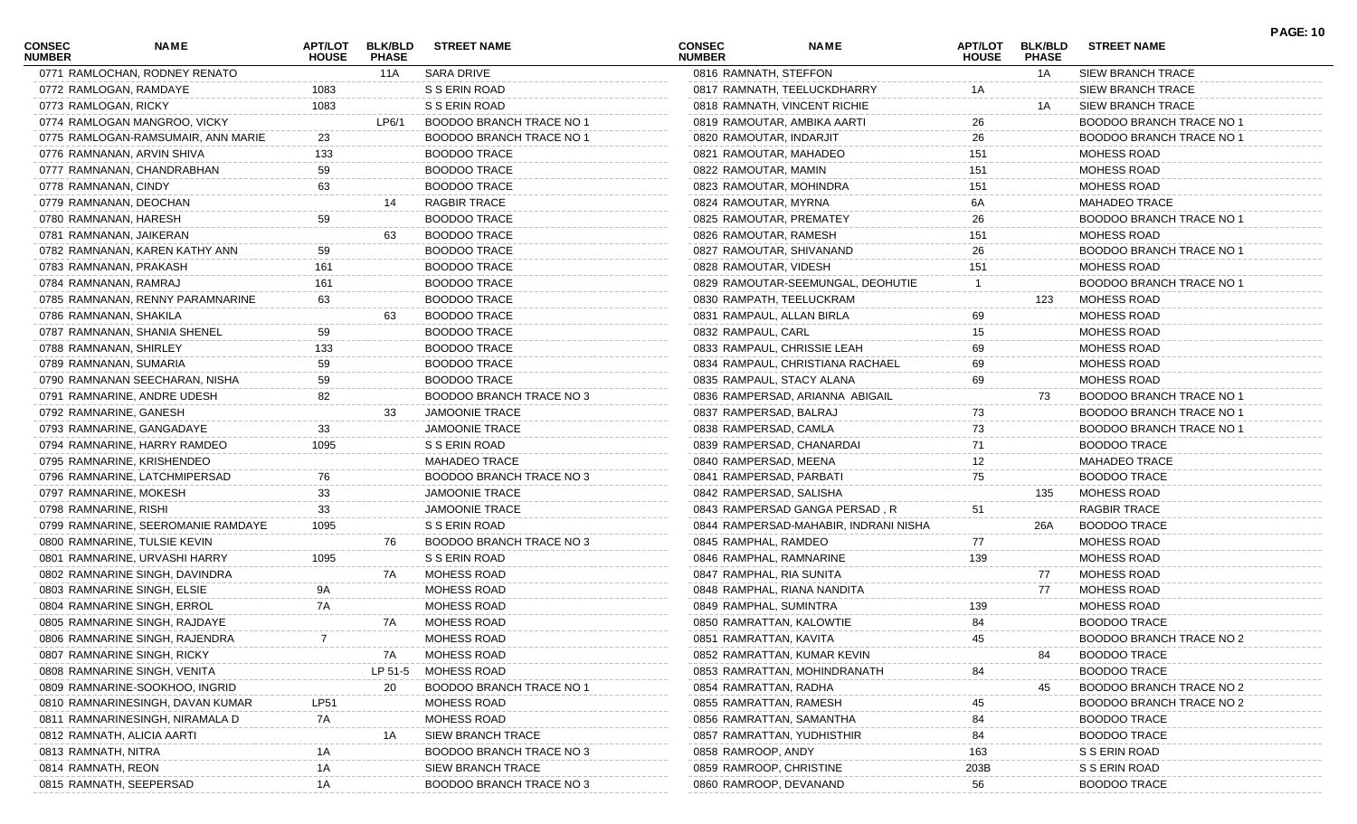| <b>CONSEC</b><br><b>NUMBER</b> | NAME                               | <b>APT/LOT</b><br><b>HOUSE</b> | <b>BLK/BLD</b><br><b>PHASE</b> | <b>STREET NAME</b>              | <b>CONSEC</b><br><b>NUMBER</b> | NAME                                  | <b>APT/LOT</b><br><b>HOUSE</b> | <b>BLK/BLD</b><br><b>PHASE</b> | <b>STREET NAME</b>              | <b>PAGE: 10</b> |
|--------------------------------|------------------------------------|--------------------------------|--------------------------------|---------------------------------|--------------------------------|---------------------------------------|--------------------------------|--------------------------------|---------------------------------|-----------------|
|                                | 0771 RAMLOCHAN, RODNEY RENATO      |                                | 11A                            | SARA DRIVE                      | 0816 RAMNATH, STEFFON          |                                       |                                | 1A                             | SIEW BRANCH TRACE               |                 |
|                                | 0772 RAMLOGAN, RAMDAYE             | 1083                           |                                | S S ERIN ROAD                   |                                | 0817 RAMNATH, TEELUCKDHARRY           | 1A                             |                                | <b>SIEW BRANCH TRACE</b>        |                 |
| 0773 RAMLOGAN, RICKY           |                                    | 1083                           |                                | S S ERIN ROAD                   | 0818 RAMNATH, VINCENT RICHIE   |                                       |                                | 1A                             | <b>SIEW BRANCH TRACE</b>        |                 |
|                                | 0774 RAMLOGAN MANGROO, VICKY       |                                | LP6/1                          | <b>BOODOO BRANCH TRACE NO 1</b> | 0819 RAMOUTAR, AMBIKA AARTI    |                                       | 26                             |                                | BOODOO BRANCH TRACE NO 1        |                 |
|                                | 0775 RAMLOGAN-RAMSUMAIR, ANN MARIE | 23                             |                                | <b>BOODOO BRANCH TRACE NO 1</b> | 0820 RAMOUTAR, INDARJIT        |                                       | 26                             |                                | BOODOO BRANCH TRACE NO 1        |                 |
|                                | 0776 RAMNANAN, ARVIN SHIVA         | 133                            |                                | <b>BOODOO TRACE</b>             | 0821 RAMOUTAR, MAHADEO         |                                       | 151                            |                                | <b>MOHESS ROAD</b>              |                 |
|                                | 0777 RAMNANAN, CHANDRABHAN         | 59                             |                                | <b>BOODOO TRACE</b>             | 0822 RAMOUTAR, MAMIN           |                                       | 151                            |                                | MOHESS ROAD                     |                 |
| 0778 RAMNANAN, CINDY           |                                    | 63                             |                                | <b>BOODOO TRACE</b>             | 0823 RAMOUTAR, MOHINDRA        |                                       | 151                            |                                | <b>MOHESS ROAD</b>              |                 |
|                                | 0779 RAMNANAN, DEOCHAN             |                                | 14                             | <b>RAGBIR TRACE</b>             | 0824 RAMOUTAR, MYRNA           |                                       | 6A                             |                                | <b>MAHADEO TRACE</b>            |                 |
| 0780 RAMNANAN, HARESH          |                                    | 59                             |                                | <b>BOODOO TRACE</b>             | 0825 RAMOUTAR, PREMATEY        |                                       | 26                             |                                | <b>BOODOO BRANCH TRACE NO 1</b> |                 |
|                                | 0781 RAMNANAN, JAIKERAN            |                                | 63                             | <b>BOODOO TRACE</b>             | 0826 RAMOUTAR, RAMESH          |                                       | 151                            |                                | <b>MOHESS ROAD</b>              |                 |
|                                | 0782 RAMNANAN, KAREN KATHY ANN     | 59                             |                                | <b>BOODOO TRACE</b>             | 0827 RAMOUTAR, SHIVANAND       |                                       | 26                             |                                | BOODOO BRANCH TRACE NO 1        |                 |
|                                | 0783 RAMNANAN, PRAKASH             | 161                            |                                | <b>BOODOO TRACE</b>             | 0828 RAMOUTAR, VIDESH          |                                       | 151                            |                                | <b>MOHESS ROAD</b>              |                 |
| 0784 RAMNANAN, RAMRAJ          |                                    | 161                            |                                | <b>BOODOO TRACE</b>             |                                | 0829 RAMOUTAR-SEEMUNGAL, DEOHUTIE     |                                |                                | <b>BOODOO BRANCH TRACE NO 1</b> |                 |
|                                | 0785 RAMNANAN, RENNY PARAMNARINE   | 63                             |                                | <b>BOODOO TRACE</b>             | 0830 RAMPATH, TEELUCKRAM       |                                       |                                | 123                            | MOHESS ROAD                     |                 |
| 0786 RAMNANAN, SHAKILA         |                                    |                                | 63                             | <b>BOODOO TRACE</b>             | 0831 RAMPAUL, ALLAN BIRLA      |                                       | 69                             |                                | <b>MOHESS ROAD</b>              |                 |
|                                | 0787 RAMNANAN, SHANIA SHENEL       | 59                             |                                | <b>BOODOO TRACE</b>             | 0832 RAMPAUL, CARL             |                                       | 15                             |                                | <b>MOHESS ROAD</b>              |                 |
| 0788 RAMNANAN, SHIRLEY         |                                    | 133                            |                                | <b>BOODOO TRACE</b>             | 0833 RAMPAUL, CHRISSIE LEAH    |                                       | 69                             |                                | <b>MOHESS ROAD</b>              |                 |
|                                | 0789 RAMNANAN, SUMARIA             | 59                             |                                | <b>BOODOO TRACE</b>             |                                | 0834 RAMPAUL, CHRISTIANA RACHAEL      | 69                             |                                | <b>MOHESS ROAD</b>              |                 |
|                                | 0790 RAMNANAN SEECHARAN, NISHA     | 59                             |                                | <b>BOODOO TRACE</b>             | 0835 RAMPAUL, STACY ALANA      |                                       | 69                             |                                | <b>MOHESS ROAD</b>              |                 |
|                                | 0791 RAMNARINE, ANDRE UDESH        | 82                             |                                | BOODOO BRANCH TRACE NO 3        |                                | 0836 RAMPERSAD, ARIANNA ABIGAIL       |                                | 73                             | <b>BOODOO BRANCH TRACE NO 1</b> |                 |
|                                | 0792 RAMNARINE, GANESH             |                                | 33                             | <b>JAMOONIE TRACE</b>           | 0837 RAMPERSAD, BALRAJ         |                                       | 73                             |                                | <b>BOODOO BRANCH TRACE NO 1</b> |                 |
|                                | 0793 RAMNARINE, GANGADAYE          | 33                             |                                | <b>JAMOONIE TRACE</b>           | 0838 RAMPERSAD, CAMLA          |                                       | 73                             |                                | BOODOO BRANCH TRACE NO 1        |                 |
|                                | 0794 RAMNARINE, HARRY RAMDEO       | 1095                           |                                | S S ERIN ROAD                   | 0839 RAMPERSAD, CHANARDAI      |                                       | 71                             |                                | <b>BOODOO TRACE</b>             |                 |
|                                | 0795 RAMNARINE, KRISHENDEO         |                                |                                | MAHADEO TRACE                   | 0840 RAMPERSAD, MEENA          |                                       | 12                             |                                | <b>MAHADEO TRACE</b>            |                 |
|                                | 0796 RAMNARINE, LATCHMIPERSAD      | 76                             |                                | BOODOO BRANCH TRACE NO 3        | 0841 RAMPERSAD, PARBATI        |                                       | 75                             |                                | <b>BOODOO TRACE</b>             |                 |
|                                | 0797 RAMNARINE, MOKESH             | 33                             |                                | <b>JAMOONIE TRACE</b>           | 0842 RAMPERSAD, SALISHA        |                                       |                                | 135                            | MOHESS ROAD                     |                 |
| 0798 RAMNARINE, RISHI          |                                    | 33                             |                                | <b>JAMOONIE TRACE</b>           |                                | 0843 RAMPERSAD GANGA PERSAD, R        | 51                             |                                | <b>RAGBIR TRACE</b>             |                 |
|                                | 0799 RAMNARINE, SEEROMANIE RAMDAYE | 1095                           |                                | S S ERIN ROAD                   |                                | 0844 RAMPERSAD-MAHABIR, INDRANI NISHA |                                | 26A                            | <b>BOODOO TRACE</b>             |                 |
|                                | 0800 RAMNARINE, TULSIE KEVIN       |                                | 76                             | BOODOO BRANCH TRACE NO 3        | 0845 RAMPHAL, RAMDEO           |                                       | 77                             |                                | <b>MOHESS ROAD</b>              |                 |
|                                | 0801 RAMNARINE, URVASHI HARRY      | 1095                           |                                | S S ERIN ROAD                   | 0846 RAMPHAL, RAMNARINE        |                                       | 139                            |                                | <b>MOHESS ROAD</b>              |                 |
|                                | 0802 RAMNARINE SINGH, DAVINDRA     |                                | 7A                             | MOHESS ROAD                     | 0847 RAMPHAL, RIA SUNITA       |                                       |                                | 77                             | <b>MOHESS ROAD</b>              |                 |
|                                | 0803 RAMNARINE SINGH, ELSIE        | 9A                             |                                | MOHESS ROAD                     | 0848 RAMPHAL, RIANA NANDITA    |                                       |                                | 77                             | MOHESS ROAD                     |                 |
|                                | 0804 RAMNARINE SINGH, ERROL        | 7A                             |                                | MOHESS ROAD                     | 0849 RAMPHAL, SUMINTRA         |                                       | 139                            |                                | <b>MOHESS ROAD</b>              |                 |
|                                | 0805 RAMNARINE SINGH, RAJDAYE      |                                | 7A                             | MOHESS ROAD                     | 0850 RAMRATTAN, KALOWTIE       |                                       | 84                             |                                | <b>BOODOO TRACE</b>             |                 |
|                                | 0806 RAMNARINE SINGH, RAJENDRA     |                                |                                | MOHESS ROAD                     | 0851 RAMRATTAN, KAVITA         |                                       | 45                             |                                | BOODOO BRANCH TRACE NO 2        |                 |
|                                | 0807 RAMNARINE SINGH, RICKY        |                                | 7A                             | MOHESS ROAD                     | 0852 RAMRATTAN, KUMAR KEVIN    |                                       |                                | 84                             | <b>BOODOO TRACE</b>             |                 |
|                                | 0808 RAMNARINE SINGH, VENITA       |                                | LP 51-5                        | MOHESS ROAD                     |                                | 0853 RAMRATTAN, MOHINDRANATH          | 84                             |                                | <b>BOODOO TRACE</b>             |                 |
|                                | 0809 RAMNARINE-SOOKHOO, INGRID     |                                | 20                             | BOODOO BRANCH TRACE NO          | 0854 RAMRATTAN, RADHA          |                                       |                                | 45                             | <b>BOODOO BRANCH TRACE NO 2</b> |                 |
|                                | 0810 RAMNARINESINGH, DAVAN KUMAR   | LP51                           |                                | MOHESS ROAD                     | 0855 RAMRATTAN, RAMESH         |                                       | 45                             |                                | BOODOO BRANCH TRACE NO 2        |                 |
|                                | 0811 RAMNARINESINGH, NIRAMALA D    | 7A                             |                                | MOHESS ROAD                     | 0856 RAMRATTAN, SAMANTHA       |                                       | 84                             |                                | <b>BOODOO TRACE</b>             |                 |
|                                | 0812 RAMNATH, ALICIA AARTI         |                                | 1A                             | SIEW BRANCH TRACE               | 0857 RAMRATTAN, YUDHISTHIR     |                                       | 84                             |                                | <b>BOODOO TRACE</b>             |                 |
| 0813 RAMNATH, NITRA            |                                    |                                |                                | BOODOO BRANCH TRACE NO 3        | 0858 RAMROOP, ANDY             |                                       | 163                            |                                | S S ERIN ROAD                   |                 |
| 0814 RAMNATH, REON             |                                    | 1A                             |                                | SIEW BRANCH TRACE               | 0859 RAMROOP, CHRISTINE        |                                       | 203B                           |                                | S S ERIN ROAD                   |                 |
|                                | 0815 RAMNATH, SEEPERSAD            | 1A                             |                                | BOODOO BRANCH TRACE NO 3        | 0860 RAMROOP, DEVANAND         |                                       | 56                             |                                | <b>BOODOO TRACE</b>             |                 |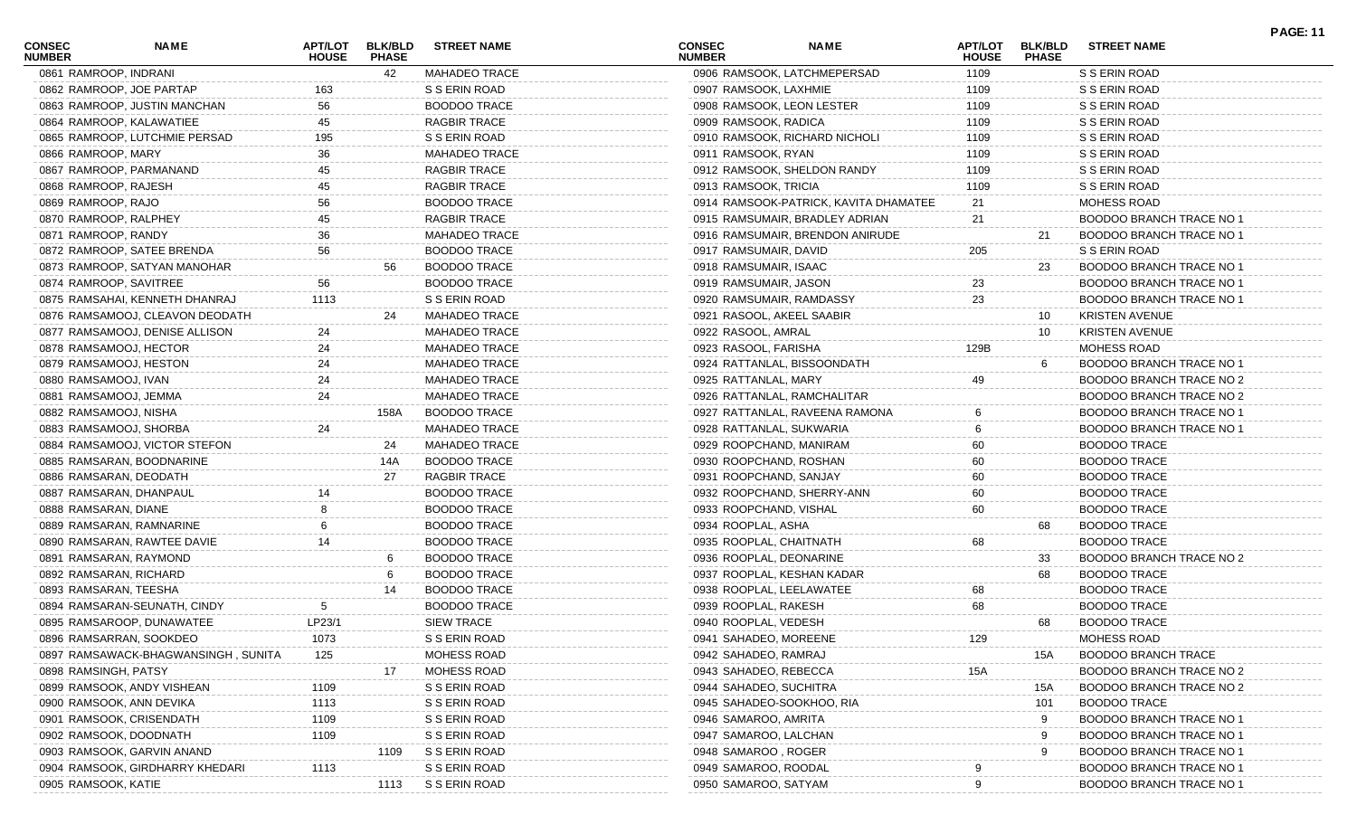| CONSEC<br><b>NUMBER</b> | <b>NAME</b>                         | APT/LOT<br><b>HOUSE</b> | <b>BLK/BLD</b><br><b>PHASE</b> | <b>STREET NAME</b>   | <b>CONSEC</b><br><b>NUMBER</b> | <b>NAME</b>                           | <b>APT/LOT</b><br><b>HOUSE</b> | <b>BLK/BLD</b><br><b>PHASE</b> | <b>STREET NAME</b>              |
|-------------------------|-------------------------------------|-------------------------|--------------------------------|----------------------|--------------------------------|---------------------------------------|--------------------------------|--------------------------------|---------------------------------|
| 0861 RAMROOP, INDRANI   |                                     |                         | 42                             | <b>MAHADEO TRACE</b> |                                | 0906 RAMSOOK, LATCHMEPERSAD           | 1109                           |                                | S S ERIN ROAD                   |
|                         | 0862 RAMROOP, JOE PARTAP            | 163                     |                                | S S ERIN ROAD        | 0907 RAMSOOK, LAXHMIE          |                                       | 1109                           |                                | S S ERIN ROAD                   |
|                         | 0863 RAMROOP, JUSTIN MANCHAN        | 56                      |                                | <b>BOODOO TRACE</b>  |                                | 0908 RAMSOOK, LEON LESTER             | 1109                           |                                | S S ERIN ROAD                   |
|                         | 0864 RAMROOP, KALAWATIEE            | 45                      |                                | <b>RAGBIR TRACE</b>  | 0909 RAMSOOK, RADICA           |                                       | 1109                           |                                | S S ERIN ROAD                   |
|                         | 0865 RAMROOP, LUTCHMIE PERSAD       | 195                     |                                | S S ERIN ROAD        |                                | 0910 RAMSOOK, RICHARD NICHOLI         | 1109                           |                                | S S ERIN ROAD                   |
| 0866 RAMROOP, MARY      |                                     | 36                      |                                | <b>MAHADEO TRACE</b> | 0911 RAMSOOK, RYAN             |                                       | 1109                           |                                | S S ERIN ROAD                   |
|                         | 0867 RAMROOP, PARMANAND             | 45                      |                                | <b>RAGBIR TRACE</b>  |                                | 0912 RAMSOOK, SHELDON RANDY           | 1109                           |                                | S S ERIN ROAD                   |
| 0868 RAMROOP, RAJESH    |                                     |                         |                                | <b>RAGBIR TRACE</b>  | 0913 RAMSOOK, TRICIA           |                                       | 1109                           |                                | S S ERIN ROAD                   |
| 0869 RAMROOP, RAJO      |                                     | 56                      |                                | <b>BOODOO TRACE</b>  |                                | 0914 RAMSOOK-PATRICK, KAVITA DHAMATEE | 21                             |                                | MOHESS ROAD                     |
| 0870 RAMROOP, RALPHEY   |                                     |                         |                                | <b>RAGBIR TRACE</b>  |                                | 0915 RAMSUMAIR, BRADLEY ADRIAN        | 21                             |                                | BOODOO BRANCH TRACE NO 1        |
| 0871 RAMROOP, RANDY     |                                     | 36                      |                                | <b>MAHADEO TRACE</b> |                                | 0916 RAMSUMAIR, BRENDON ANIRUDE       |                                | 21                             | BOODOO BRANCH TRACE NO 1        |
|                         | 0872 RAMROOP, SATEE BRENDA          | 56                      |                                | <b>BOODOO TRACE</b>  | 0917 RAMSUMAIR, DAVID          |                                       | 205                            |                                | S S ERIN ROAD                   |
|                         | 0873 RAMROOP, SATYAN MANOHAR        |                         | 56                             | <b>BOODOO TRACE</b>  | 0918 RAMSUMAIR, ISAAC          |                                       |                                | 23                             | BOODOO BRANCH TRACE NO 1        |
|                         | 0874 RAMROOP, SAVITREE              | 56                      |                                | <b>BOODOO TRACE</b>  | 0919 RAMSUMAIR, JASON          |                                       | 23                             |                                | BOODOO BRANCH TRACE NO 1        |
|                         | 0875 RAMSAHAI, KENNETH DHANRAJ      | 1113                    |                                | S S ERIN ROAD        |                                | 0920 RAMSUMAIR, RAMDASSY              | 23                             |                                | <b>BOODOO BRANCH TRACE NO 1</b> |
|                         | 0876 RAMSAMOOJ, CLEAVON DEODATH     |                         | 24                             | <b>MAHADEO TRACE</b> |                                | 0921 RASOOL, AKEEL SAABIR             |                                | 10                             | <b>KRISTEN AVENUE</b>           |
|                         | 0877 RAMSAMOOJ, DENISE ALLISON      | 24                      |                                | <b>MAHADEO TRACE</b> | 0922 RASOOL, AMRAL             |                                       |                                | 10                             | <b>KRISTEN AVENUE</b>           |
|                         | 0878 RAMSAMOOJ, HECTOR              | 24                      |                                | <b>MAHADEO TRACE</b> | 0923 RASOOL, FARISHA           |                                       | 129B                           |                                | MOHESS ROAD                     |
|                         | 0879 RAMSAMOOJ, HESTON              | 24                      |                                | <b>MAHADEO TRACE</b> |                                | 0924 RATTANLAL, BISSOONDATH           |                                | 6                              | BOODOO BRANCH TRACE NO 1        |
| 0880 RAMSAMOOJ, IVAN    |                                     | 24                      |                                | <b>MAHADEO TRACE</b> | 0925 RATTANLAL, MARY           |                                       | 49                             |                                | <b>BOODOO BRANCH TRACE NO 2</b> |
| 0881 RAMSAMOOJ, JEMMA   |                                     | 24                      |                                | <b>MAHADEO TRACE</b> |                                | 0926 RATTANLAL, RAMCHALITAR           |                                |                                | <b>BOODOO BRANCH TRACE NO 2</b> |
| 0882 RAMSAMOOJ, NISHA   |                                     |                         | 158A                           | <b>BOODOO TRACE</b>  |                                | 0927 RATTANLAL, RAVEENA RAMONA        | 6                              |                                | <b>BOODOO BRANCH TRACE NO 1</b> |
|                         | 0883 RAMSAMOOJ, SHORBA              | 24                      |                                | <b>MAHADEO TRACE</b> |                                | 0928 RATTANLAL, SUKWARIA              | 6                              |                                | BOODOO BRANCH TRACE NO 1        |
|                         | 0884 RAMSAMOOJ, VICTOR STEFON       |                         | 24                             | MAHADEO TRACE        |                                | 0929 ROOPCHAND, MANIRAM               | 60                             |                                | <b>BOODOO TRACE</b>             |
|                         | 0885 RAMSARAN, BOODNARINE           |                         | 14A                            | <b>BOODOO TRACE</b>  | 0930 ROOPCHAND, ROSHAN         |                                       | 60                             |                                | <b>BOODOO TRACE</b>             |
|                         | 0886 RAMSARAN, DEODATH              |                         | 27                             | <b>RAGBIR TRACE</b>  | 0931 ROOPCHAND, SANJAY         |                                       | 60                             |                                | <b>BOODOO TRACE</b>             |
|                         | 0887 RAMSARAN, DHANPAUL             | 14                      |                                | <b>BOODOO TRACE</b>  |                                | 0932 ROOPCHAND, SHERRY-ANN            | 60                             |                                | <b>BOODOO TRACE</b>             |
| 0888 RAMSARAN, DIANE    |                                     |                         |                                | <b>BOODOO TRACE</b>  | 0933 ROOPCHAND, VISHAL         |                                       | 60                             |                                | <b>BOODOO TRACE</b>             |
|                         | 0889 RAMSARAN, RAMNARINE            |                         |                                | <b>BOODOO TRACE</b>  | 0934 ROOPLAL, ASHA             |                                       |                                | 68                             | <b>BOODOO TRACE</b>             |
|                         | 0890 RAMSARAN, RAWTEE DAVIE         |                         |                                | <b>BOODOO TRACE</b>  | 0935 ROOPLAL, CHAITNATH        |                                       | 68                             |                                | <b>BOODOO TRACE</b>             |
|                         | 0891 RAMSARAN, RAYMOND              |                         | 6                              | <b>BOODOO TRACE</b>  | 0936 ROOPLAL, DEONARINE        |                                       |                                | 33                             | BOODOO BRANCH TRACE NO 2        |
|                         | 0892 RAMSARAN, RICHARD              |                         | -6                             | <b>BOODOO TRACE</b>  |                                | 0937 ROOPLAL, KESHAN KADAR            |                                | 68                             | <b>BOODOO TRACE</b>             |
| 0893 RAMSARAN, TEESHA   |                                     |                         | 14                             | <b>BOODOO TRACE</b>  |                                | 0938 ROOPLAL, LEELAWATEE              | 68                             |                                | <b>BOODOO TRACE</b>             |
|                         | 0894 RAMSARAN-SEUNATH, CINDY        | 5.                      |                                | <b>BOODOO TRACE</b>  | 0939 ROOPLAL, RAKESH           |                                       | 68                             |                                | <b>BOODOO TRACE</b>             |
|                         | 0895 RAMSAROOP, DUNAWATEE           | LP23/1                  |                                | <b>SIEW TRACE</b>    | 0940 ROOPLAL, VEDESH           |                                       |                                | 68                             | <b>BOODOO TRACE</b>             |
|                         | 0896 RAMSARRAN, SOOKDEO             | 1073                    |                                | S S ERIN ROAD        | 0941 SAHADEO, MOREENE          |                                       |                                |                                | MOHESS ROAD                     |
|                         | 0897 RAMSAWACK-BHAGWANSINGH, SUNITA | 125                     |                                | <b>MOHESS ROAD</b>   | 0942 SAHADEO, RAMRAJ           |                                       |                                | 15A                            | <b>BOODOO BRANCH TRACE</b>      |
| 0898 RAMSINGH, PATSY    |                                     |                         | 17                             | <b>MOHESS ROAD</b>   | 0943 SAHADEO, REBECCA          |                                       | 15A                            |                                | BOODOO BRANCH TRACE NO 2        |
|                         | 0899 RAMSOOK, ANDY VISHEAN          | 1109                    |                                | S S ERIN ROAD        | 0944 SAHADEO, SUCHITRA         |                                       |                                | 15A                            | BOODOO BRANCH TRACE NO 2        |
|                         | 0900 RAMSOOK, ANN DEVIKA            | 1113                    |                                | S S ERIN ROAD        |                                | 0945 SAHADEO-SOOKHOO, RIA             |                                | 101                            | <b>BOODOO TRACE</b>             |
|                         | 0901 RAMSOOK, CRISENDATH            | 1109                    |                                | S S ERIN ROAD        | 0946 SAMAROO, AMRITA           |                                       |                                | 9                              | BOODOO BRANCH TRACE NO 1        |
|                         | 0902 RAMSOOK, DOODNATH              | 1109                    |                                | S S ERIN ROAD        | 0947 SAMAROO, LALCHAN          |                                       |                                | 9                              | BOODOO BRANCH TRACE NO 1        |
|                         | 0903 RAMSOOK, GARVIN ANAND          |                         | 1109                           | S S ERIN ROAD        | 0948 SAMAROO, ROGER            |                                       |                                | 9                              | <b>BOODOO BRANCH TRACE NO 1</b> |
|                         | 0904 RAMSOOK, GIRDHARRY KHEDARI     | 1113                    |                                | S S ERIN ROAD        | 0949 SAMAROO, ROODAL           |                                       |                                |                                | BOODOO BRANCH TRACE NO 1        |
| 0905 RAMSOOK, KATIE     |                                     |                         |                                | 1113 SSERIN ROAD     | 0950 SAMAROO, SATYAM           |                                       |                                |                                | BOODOO BRANCH TRACE NO 1        |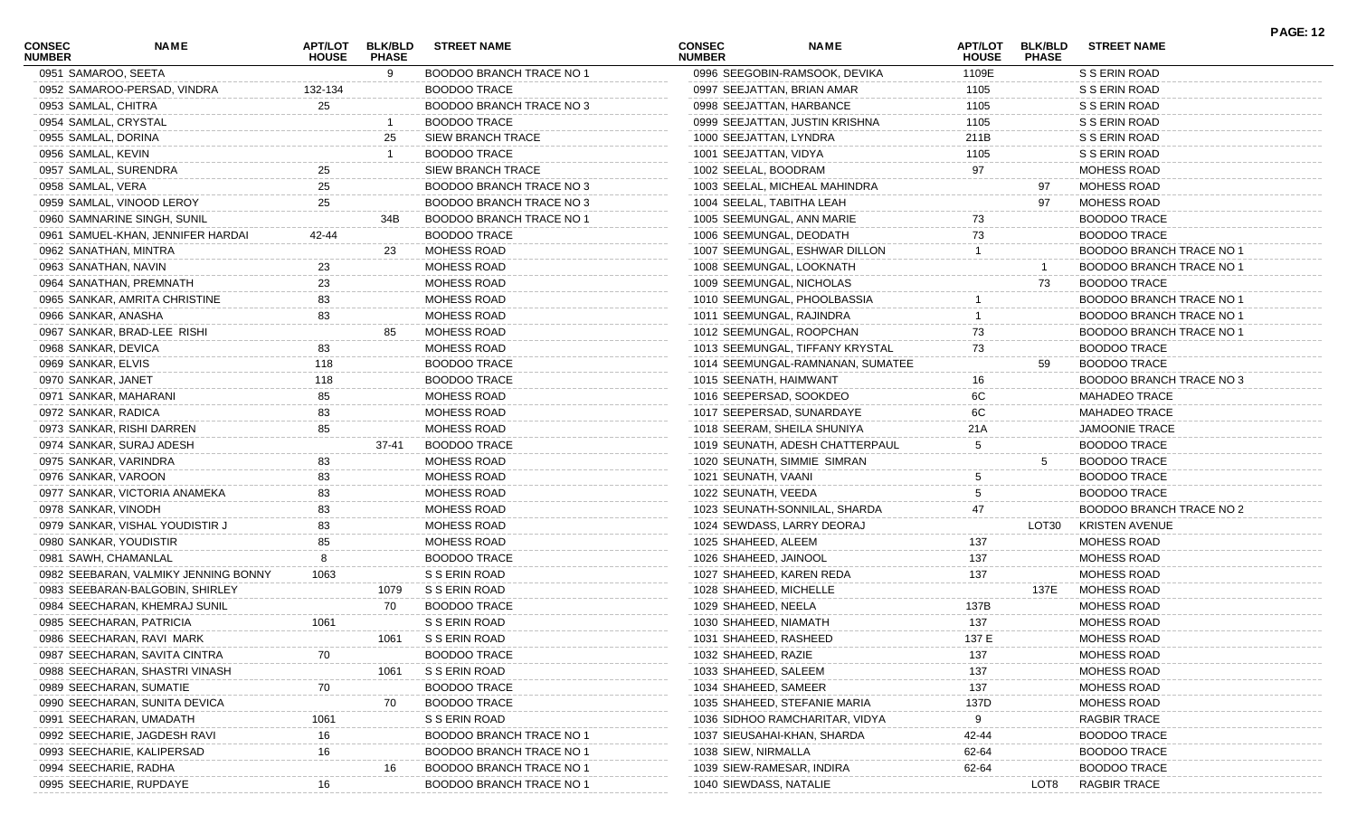| <b>CONSEC</b><br><b>NUMBER</b> | <b>NAME</b>                          | APT/LOT<br><b>HOUSE</b> | <b>BLK/BLD</b><br><b>PHASE</b> | <b>STREET NAME</b>              | <b>CONSEC</b><br><b>NUMBER</b> | <b>NAME</b>                      | <b>APT/LOT</b><br><b>HOUSE</b> | <b>BLK/BLD</b><br><b>PHASE</b> | <b>STREET NAME</b>              |  |
|--------------------------------|--------------------------------------|-------------------------|--------------------------------|---------------------------------|--------------------------------|----------------------------------|--------------------------------|--------------------------------|---------------------------------|--|
|                                | 0951 SAMAROO, SEETA                  |                         | 9                              | <b>BOODOO BRANCH TRACE NO 1</b> |                                | 0996 SEEGOBIN-RAMSOOK, DEVIKA    | 1109E                          |                                | S S ERIN ROAD                   |  |
|                                | 0952 SAMAROO-PERSAD, VINDRA          | 132-134                 |                                | <b>BOODOO TRACE</b>             |                                | 0997 SEEJATTAN, BRIAN AMAR       | 1105                           |                                | S S ERIN ROAD                   |  |
| 0953 SAMLAL, CHITRA            |                                      | 25                      |                                | BOODOO BRANCH TRACE NO 3        |                                | 0998 SEEJATTAN, HARBANCE         | 1105                           |                                | S S ERIN ROAD                   |  |
|                                | 0954 SAMLAL, CRYSTAL                 |                         |                                | <b>BOODOO TRACE</b>             |                                | 0999 SEEJATTAN, JUSTIN KRISHNA   | 1105                           |                                | S S ERIN ROAD                   |  |
| 0955 SAMLAL, DORINA            |                                      |                         | 25                             | <b>SIEW BRANCH TRACE</b>        | 1000 SEEJATTAN, LYNDRA         |                                  | 211B                           |                                | S S ERIN ROAD                   |  |
| 0956 SAMLAL, KEVIN             |                                      |                         |                                | <b>BOODOO TRACE</b>             | 1001 SEEJATTAN, VIDYA          |                                  | 1105                           |                                | S S ERIN ROAD                   |  |
|                                | 0957 SAMLAL, SURENDRA                | 25                      |                                | <b>SIEW BRANCH TRACE</b>        | 1002 SEELAL, BOODRAM           |                                  | 97                             |                                | MOHESS ROAD                     |  |
| 0958 SAMLAL, VERA              |                                      |                         |                                | BOODOO BRANCH TRACE NO 3        |                                | 1003 SEELAL, MICHEAL MAHINDRA    |                                | 97                             | MOHESS ROAD                     |  |
|                                | 0959 SAMLAL, VINOOD LEROY            | 25                      |                                | BOODOO BRANCH TRACE NO 3        |                                | 1004 SEELAL, TABITHA LEAH        |                                | 97                             | MOHESS ROAD                     |  |
|                                | 0960 SAMNARINE SINGH, SUNIL          |                         | 34B                            | <b>BOODOO BRANCH TRACE NO 1</b> |                                | 1005 SEEMUNGAL, ANN MARIE        | 73                             |                                | <b>BOODOO TRACE</b>             |  |
|                                | 0961 SAMUEL-KHAN, JENNIFER HARDAI    | 42-44                   |                                | <b>BOODOO TRACE</b>             |                                | 1006 SEEMUNGAL, DEODATH          | 73                             |                                | <b>BOODOO TRACE</b>             |  |
|                                | 0962 SANATHAN, MINTRA                |                         | 23                             | <b>MOHESS ROAD</b>              |                                | 1007 SEEMUNGAL, ESHWAR DILLON    |                                |                                | <b>BOODOO BRANCH TRACE NO 1</b> |  |
|                                | 0963 SANATHAN, NAVIN                 | 23                      |                                | MOHESS ROAD                     |                                | 1008 SEEMUNGAL, LOOKNATH         |                                |                                | BOODOO BRANCH TRACE NO 1        |  |
|                                | 0964 SANATHAN, PREMNATH              | 23                      |                                | MOHESS ROAD                     |                                | 1009 SEEMUNGAL, NICHOLAS         |                                | 73                             | <b>BOODOO TRACE</b>             |  |
|                                | 0965 SANKAR, AMRITA CHRISTINE        | 83                      |                                | <b>MOHESS ROAD</b>              |                                | 1010 SEEMUNGAL, PHOOLBASSIA      |                                |                                | <b>BOODOO BRANCH TRACE NO 1</b> |  |
|                                | 0966 SANKAR, ANASHA                  | 83                      |                                | MOHESS ROAD                     |                                | 1011 SEEMUNGAL, RAJINDRA         |                                |                                | <b>BOODOO BRANCH TRACE NO 1</b> |  |
|                                | 0967 SANKAR, BRAD-LEE RISHI          |                         | 85                             | MOHESS ROAD                     |                                | 1012 SEEMUNGAL, ROOPCHAN         | 73                             |                                | <b>BOODOO BRANCH TRACE NO 1</b> |  |
| 0968 SANKAR, DEVICA            |                                      | 83                      |                                | MOHESS ROAD                     |                                | 1013 SEEMUNGAL, TIFFANY KRYSTAL  | 73                             |                                | <b>BOODOO TRACE</b>             |  |
| 0969 SANKAR, ELVIS             |                                      | 118                     |                                | <b>BOODOO TRACE</b>             |                                | 1014 SEEMUNGAL-RAMNANAN, SUMATEE |                                | 59                             | <b>BOODOO TRACE</b>             |  |
| 0970 SANKAR, JANET             |                                      | 118                     |                                | <b>BOODOO TRACE</b>             |                                | 1015 SEENATH, HAIMWANT           | 16                             |                                | BOODOO BRANCH TRACE NO 3        |  |
|                                | 0971 SANKAR, MAHARANI                | 85                      |                                | MOHESS ROAD                     |                                | 1016 SEEPERSAD, SOOKDEO          | 6C                             |                                | <b>MAHADEO TRACE</b>            |  |
| 0972 SANKAR, RADICA            |                                      | 83                      |                                | MOHESS ROAD                     |                                | 1017 SEEPERSAD, SUNARDAYE        | 6C                             |                                | <b>MAHADEO TRACE</b>            |  |
|                                | 0973 SANKAR, RISHI DARREN            | 85                      |                                | MOHESS ROAD                     |                                | 1018 SEERAM, SHEILA SHUNIYA      | 21A                            |                                | <b>JAMOONIE TRACE</b>           |  |
|                                | 0974 SANKAR, SURAJ ADESH             |                         | $37 - 41$                      | <b>BOODOO TRACE</b>             |                                | 1019 SEUNATH, ADESH CHATTERPAUL  | 5                              |                                | <b>BOODOO TRACE</b>             |  |
|                                | 0975 SANKAR, VARINDRA                | 83                      |                                | <b>MOHESS ROAD</b>              |                                | 1020 SEUNATH, SIMMIE SIMRAN      |                                | 5                              | <b>BOODOO TRACE</b>             |  |
|                                | 0976 SANKAR, VAROON                  | 83                      |                                | <b>MOHESS ROAD</b>              | 1021 SEUNATH, VAANI            |                                  | 5                              |                                | <b>BOODOO TRACE</b>             |  |
|                                | 0977 SANKAR, VICTORIA ANAMEKA        | 83                      |                                | MOHESS ROAD                     | 1022 SEUNATH, VEEDA            |                                  |                                |                                | <b>BOODOO TRACE</b>             |  |
| 0978 SANKAR, VINODH            |                                      | 83                      |                                | MOHESS ROAD                     |                                | 1023 SEUNATH-SONNILAL, SHARDA    | 47                             |                                | <b>BOODOO BRANCH TRACE NO 2</b> |  |
|                                | 0979 SANKAR, VISHAL YOUDISTIR J      | 83                      |                                | MOHESS ROAD                     |                                | 1024 SEWDASS, LARRY DEORAJ       |                                | LOT30                          | <b>KRISTEN AVENUE</b>           |  |
|                                | 0980 SANKAR, YOUDISTIR               | 85                      |                                | MOHESS ROAD                     | 1025 SHAHEED, ALEEM            |                                  | 137                            |                                | <b>MOHESS ROAD</b>              |  |
|                                | 0981 SAWH, CHAMANLAL                 |                         |                                | <b>BOODOO TRACE</b>             | 1026 SHAHEED, JAINOOL          |                                  | 137                            |                                | <b>MOHESS ROAD</b>              |  |
|                                | 0982 SEEBARAN, VALMIKY JENNING BONNY | 1063                    |                                | S S ERIN ROAD                   |                                | 1027 SHAHEED, KAREN REDA         | 137                            |                                | <b>MOHESS ROAD</b>              |  |
|                                | 0983 SEEBARAN-BALGOBIN, SHIRLEY      |                         | 1079                           | S S ERIN ROAD                   | 1028 SHAHEED, MICHELLE         |                                  |                                | 137E                           | MOHESS ROAD                     |  |
|                                | 0984 SEECHARAN, KHEMRAJ SUNIL        |                         | 70                             | <b>BOODOO TRACE</b>             | 1029 SHAHEED, NEELA            |                                  | 137B                           |                                | MOHESS ROAD                     |  |
|                                | 0985 SEECHARAN, PATRICIA             | 1061                    |                                | S S ERIN ROAD                   | 1030 SHAHEED, NIAMATH          |                                  | 137                            |                                | MOHESS ROAD                     |  |
|                                | 0986 SEECHARAN, RAVI MARK            |                         | 1061                           | S S ERIN ROAD                   | 1031 SHAHEED, RASHEED          |                                  | 137 E                          |                                | MOHESS ROAD                     |  |
|                                | 0987 SEECHARAN, SAVITA CINTRA        |                         |                                | <b>BOODOO TRACE</b>             | 1032 SHAHEED, RAZIE            |                                  | 137                            |                                | MOHESS ROAD                     |  |
|                                | 0988 SEECHARAN, SHASTRI VINASH       |                         | 1061                           | S S ERIN ROAD                   | 1033 SHAHEED, SALEEM           |                                  | 137                            |                                | <b>MOHESS ROAD</b>              |  |
|                                | 0989 SEECHARAN, SUMATIE              | 70                      |                                | <b>BOODOO TRACE</b>             | 1034 SHAHEED, SAMEER           |                                  | 137                            |                                | MOHESS ROAD                     |  |
|                                | 0990 SEECHARAN, SUNITA DEVICA        |                         | 70                             | <b>BOODOO TRACE</b>             |                                | 1035 SHAHEED, STEFANIE MARIA     | 137D                           |                                | MOHESS ROAD                     |  |
|                                | 0991 SEECHARAN, UMADATH              | 1061                    |                                | S S ERIN ROAD                   |                                | 1036 SIDHOO RAMCHARITAR, VIDYA   | 9                              |                                | <b>RAGBIR TRACE</b>             |  |
|                                | 0992 SEECHARIE, JAGDESH RAVI         | 16                      |                                | <b>BOODOO BRANCH TRACE NO</b>   |                                | 1037 SIEUSAHAI-KHAN, SHARDA      | 42-44                          |                                | <b>BOODOO TRACE</b>             |  |
|                                | 0993 SEECHARIE, KALIPERSAD           | 16                      |                                | <b>BOODOO BRANCH TRACE NO 1</b> | 1038 SIEW, NIRMALLA            |                                  | 62-64                          |                                | <b>BOODOO TRACE</b>             |  |
|                                | 0994 SEECHARIE, RADHA                |                         |                                | <b>BOODOO BRANCH TRACE NO 1</b> |                                | 1039 SIEW-RAMESAR, INDIRA        | 62-64                          |                                | <b>BOODOO TRACE</b>             |  |
|                                | 0995 SEECHARIE, RUPDAYE              | 16                      |                                | <b>BOODOO BRANCH TRACE NO 1</b> | 1040 SIEWDASS, NATALIE         |                                  |                                | LOT8                           | <b>RAGBIR TRACE</b>             |  |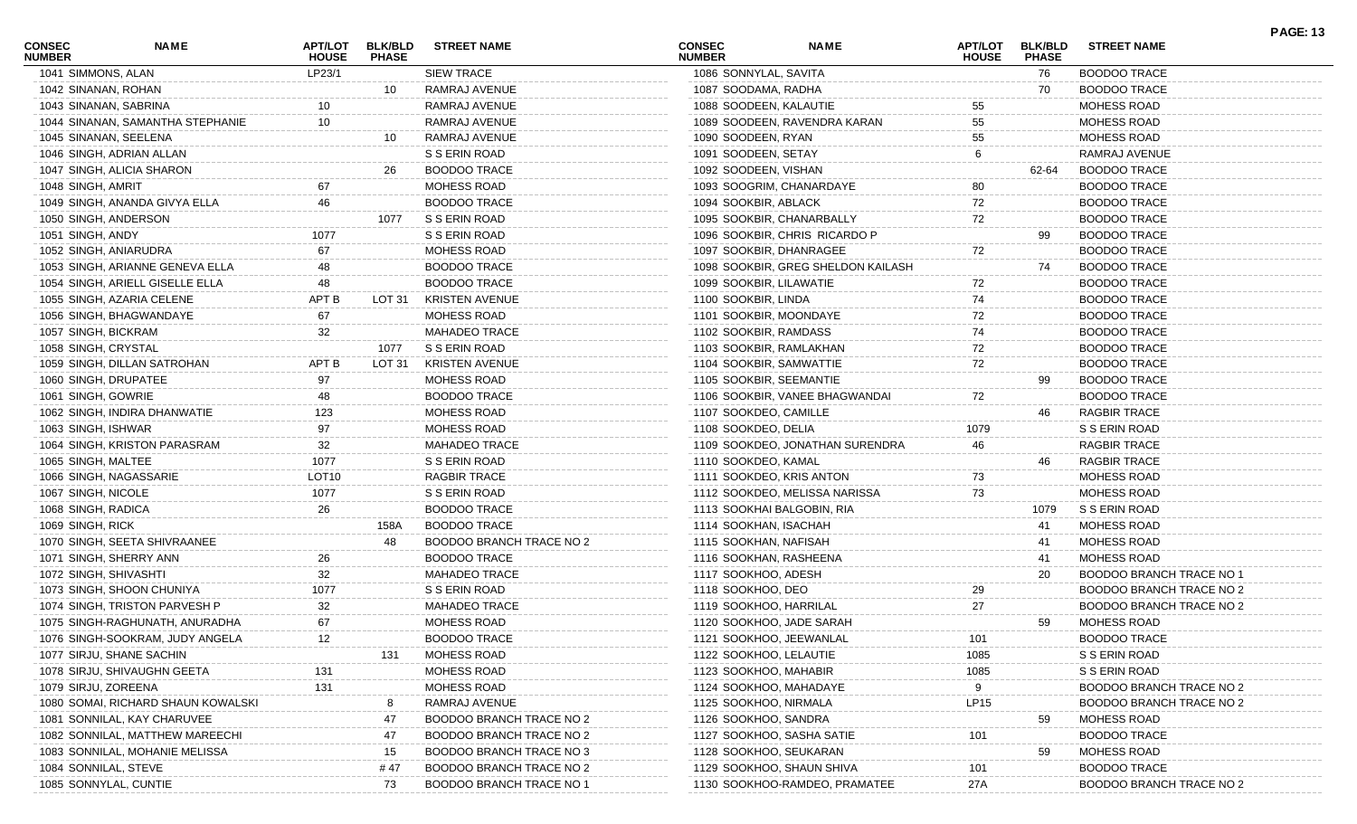| <b>CONSEC</b><br><b>NUMBER</b> | NAME                               | APT/LOT<br><b>HOUSE</b> | <b>BLK/BLD</b><br><b>PHASE</b> | <b>STREET NAME</b>       | <b>CONSEC</b><br><b>NUMBER</b> | <b>NAME</b>                        | <b>APT/LOT</b><br><b>HOUSE</b> | <b>BLK/BLD</b><br><b>PHASE</b> | <b>STREET NAME</b>       | <b>PAGE: 13</b> |
|--------------------------------|------------------------------------|-------------------------|--------------------------------|--------------------------|--------------------------------|------------------------------------|--------------------------------|--------------------------------|--------------------------|-----------------|
| 1041 SIMMONS, ALAN             |                                    | LP23/1                  |                                | <b>SIEW TRACE</b>        | 1086 SONNYLAL, SAVITA          |                                    |                                | 76                             | <b>BOODOO TRACE</b>      |                 |
| 1042 SINANAN, ROHAN            |                                    |                         | 10                             | RAMRAJ AVENUE            | 1087 SOODAMA, RADHA            |                                    |                                | 70                             | <b>BOODOO TRACE</b>      |                 |
| 1043 SINANAN, SABRINA          |                                    |                         |                                | RAMRAJ AVENUE            | 1088 SOODEEN, KALAUTIE         |                                    | 55                             |                                | <b>MOHESS ROAD</b>       |                 |
|                                | 1044 SINANAN, SAMANTHA STEPHANIE   | 10                      |                                | RAMRAJ AVENUE            |                                | 1089 SOODEEN, RAVENDRA KARAN       | 55                             |                                | <b>MOHESS ROAD</b>       |                 |
| 1045 SINANAN, SEELENA          |                                    |                         | 10                             | RAMRAJ AVENUE            | 1090 SOODEEN, RYAN             |                                    | 55                             |                                | MOHESS ROAD              |                 |
|                                | 1046 SINGH, ADRIAN ALLAN           |                         |                                | S S ERIN ROAD            | 1091 SOODEEN, SETAY            |                                    | 6                              |                                | RAMRAJ AVENUE            |                 |
|                                | 1047 SINGH, ALICIA SHARON          |                         | 26                             | <b>BOODOO TRACE</b>      | 1092 SOODEEN, VISHAN           |                                    |                                | 62-64                          | <b>BOODOO TRACE</b>      |                 |
| 1048 SINGH, AMRIT              |                                    | 67                      |                                | MOHESS ROAD              | 1093 SOOGRIM, CHANARDAYE       |                                    | 80                             |                                | <b>BOODOO TRACE</b>      |                 |
|                                | 1049 SINGH, ANANDA GIVYA ELLA      | 46                      |                                | <b>BOODOO TRACE</b>      | 1094 SOOKBIR, ABLACK           |                                    | 72                             |                                | <b>BOODOO TRACE</b>      |                 |
| 1050 SINGH, ANDERSON           |                                    |                         | 1077                           | S S ERIN ROAD            | 1095 SOOKBIR, CHANARBALLY      |                                    | 72                             |                                | <b>BOODOO TRACE</b>      |                 |
| 1051 SINGH, ANDY               |                                    | 1077                    |                                | S S ERIN ROAD            |                                | 1096 SOOKBIR, CHRIS RICARDO P      |                                | 99                             | <b>BOODOO TRACE</b>      |                 |
| 1052 SINGH, ANIARUDRA          |                                    | 67                      |                                | MOHESS ROAD              | 1097 SOOKBIR, DHANRAGEE        |                                    | 72                             |                                | <b>BOODOO TRACE</b>      |                 |
|                                | 1053 SINGH, ARIANNE GENEVA ELLA    | 48                      |                                | <b>BOODOO TRACE</b>      |                                | 1098 SOOKBIR, GREG SHELDON KAILASH |                                | 74                             | <b>BOODOO TRACE</b>      |                 |
|                                | 1054 SINGH, ARIELL GISELLE ELLA    | 48                      |                                | <b>BOODOO TRACE</b>      | 1099 SOOKBIR, LILAWATIE        |                                    | 72                             |                                | <b>BOODOO TRACE</b>      |                 |
|                                | 1055 SINGH, AZARIA CELENE          | APT B                   | LOT 31                         | <b>KRISTEN AVENUE</b>    | 1100 SOOKBIR, LINDA            |                                    | 74                             |                                | <b>BOODOO TRACE</b>      |                 |
|                                | 1056 SINGH, BHAGWANDAYE            | 67                      |                                | MOHESS ROAD              | 1101 SOOKBIR, MOONDAYE         |                                    | 72                             |                                | <b>BOODOO TRACE</b>      |                 |
| 1057 SINGH, BICKRAM            |                                    | 32                      |                                | <b>MAHADEO TRACE</b>     | 1102 SOOKBIR, RAMDASS          |                                    | 74                             |                                | <b>BOODOO TRACE</b>      |                 |
| 1058 SINGH, CRYSTAL            |                                    |                         | 1077                           | S S ERIN ROAD            | 1103 SOOKBIR, RAMLAKHAN        |                                    | 72                             |                                | <b>BOODOO TRACE</b>      |                 |
|                                | 1059 SINGH, DILLAN SATROHAN        | APT B                   | LOT 31                         | <b>KRISTEN AVENUE</b>    | 1104 SOOKBIR, SAMWATTIE        |                                    | 72                             |                                | <b>BOODOO TRACE</b>      |                 |
| 1060 SINGH, DRUPATEE           |                                    | 97                      |                                | MOHESS ROAD              | 1105 SOOKBIR, SEEMANTIE        |                                    |                                | 99                             | <b>BOODOO TRACE</b>      |                 |
| 1061 SINGH, GOWRIE             |                                    | 48                      |                                | <b>BOODOO TRACE</b>      |                                | 1106 SOOKBIR, VANEE BHAGWANDAI     | 72                             |                                | <b>BOODOO TRACE</b>      |                 |
|                                | 1062 SINGH, INDIRA DHANWATIE       | 123                     |                                | MOHESS ROAD              | 1107 SOOKDEO, CAMILLE          |                                    |                                | 46                             | RAGBIR TRACE             |                 |
| 1063 SINGH, ISHWAR             |                                    | 97                      |                                | MOHESS ROAD              | 1108 SOOKDEO, DELIA            |                                    | 1079                           |                                | S S ERIN ROAD            |                 |
|                                | 1064 SINGH, KRISTON PARASRAM       | 32                      |                                | <b>MAHADEO TRACE</b>     |                                | 1109 SOOKDEO, JONATHAN SURENDRA    | 46                             |                                | <b>RAGBIR TRACE</b>      |                 |
| 1065 SINGH, MALTEE             |                                    | 1077                    |                                | S S ERIN ROAD            | 1110 SOOKDEO, KAMAL            |                                    |                                | 46                             | <b>RAGBIR TRACE</b>      |                 |
|                                | 1066 SINGH, NAGASSARIE             | LOT <sub>10</sub>       |                                | <b>RAGBIR TRACE</b>      | 1111 SOOKDEO, KRIS ANTON       |                                    | 73                             |                                | <b>MOHESS ROAD</b>       |                 |
| 1067 SINGH, NICOLE             |                                    | 1077                    |                                | S S ERIN ROAD            |                                | 1112 SOOKDEO, MELISSA NARISSA      | 73                             |                                | MOHESS ROAD              |                 |
| 1068 SINGH, RADICA             |                                    | 26                      |                                | <b>BOODOO TRACE</b>      | 1113 SOOKHAI BALGOBIN, RIA     |                                    |                                | 1079                           | S S ERIN ROAD            |                 |
| 1069 SINGH, RICK               |                                    |                         | 158A                           | <b>BOODOO TRACE</b>      | 1114 SOOKHAN, ISACHAH          |                                    |                                | 41                             | MOHESS ROAD              |                 |
|                                | 1070 SINGH, SEETA SHIVRAANEE       |                         | 48                             | BOODOO BRANCH TRACE NO 2 | 1115 SOOKHAN, NAFISAH          |                                    |                                | 41                             | MOHESS ROAD              |                 |
|                                | 1071 SINGH, SHERRY ANN             | 26                      |                                | <b>BOODOO TRACE</b>      | 1116 SOOKHAN, RASHEENA         |                                    |                                | 41                             | MOHESS ROAD              |                 |
| 1072 SINGH, SHIVASHTI          |                                    | 32                      |                                | <b>MAHADEO TRACE</b>     | 1117 SOOKHOO, ADESH            |                                    |                                | 20                             | BOODOO BRANCH TRACE NO 1 |                 |
|                                | 1073 SINGH, SHOON CHUNIYA          | 1077                    |                                | S S ERIN ROAD            | 1118 SOOKHOO, DEO              |                                    | 29                             |                                | BOODOO BRANCH TRACE NO 2 |                 |
|                                | 1074 SINGH, TRISTON PARVESH P      | 32                      |                                | <b>MAHADEO TRACE</b>     | 1119 SOOKHOO, HARRILAL         |                                    | 27                             |                                | BOODOO BRANCH TRACE NO 2 |                 |
|                                | 1075 SINGH-RAGHUNATH, ANURADHA     | 67                      |                                | MOHESS ROAD              | 1120 SOOKHOO, JADE SARAH       |                                    |                                | 59                             | MOHESS ROAD              |                 |
|                                | 1076 SINGH-SOOKRAM, JUDY ANGELA    | 12                      |                                | <b>BOODOO TRACE</b>      | 1121 SOOKHOO, JEEWANLAL        |                                    | 101                            |                                | <b>BOODOO TRACE</b>      |                 |
|                                | 1077 SIRJU, SHANE SACHIN           |                         | 131                            | MOHESS ROAD              | 1122 SOOKHOO, LELAUTIE         |                                    | 1085                           |                                | S S ERIN ROAD            |                 |
|                                | 1078 SIRJU, SHIVAUGHN GEETA        | 131                     |                                | MOHESS ROAD              | 1123 SOOKHOO, MAHABIR          |                                    | 1085                           |                                | S S ERIN ROAD            |                 |
| 1079 SIRJU, ZOREENA            |                                    | 131                     |                                | MOHESS ROAD              | 1124 SOOKHOO, MAHADAYE         |                                    | 9                              |                                | BOODOO BRANCH TRACE NO 2 |                 |
|                                | 1080 SOMAI, RICHARD SHAUN KOWALSKI |                         |                                | RAMRAJ AVENUE            | 1125 SOOKHOO, NIRMALA          |                                    | LP15                           |                                | BOODOO BRANCH TRACE NO 2 |                 |
|                                | 1081 SONNILAL, KAY CHARUVEE        |                         | 47                             | BOODOO BRANCH TRACE NO 2 | 1126 SOOKHOO, SANDRA           |                                    |                                | 59                             | MOHESS ROAD              |                 |
|                                | 1082 SONNILAL, MATTHEW MAREECHI    |                         | 47                             | BOODOO BRANCH TRACE NO 2 | 1127 SOOKHOO, SASHA SATIE      |                                    | 101                            |                                | <b>BOODOO TRACE</b>      |                 |
|                                | 1083 SONNILAL, MOHANIE MELISSA     |                         |                                | BOODOO BRANCH TRACE NO 3 | 1128 SOOKHOO, SEUKARAN         |                                    |                                | 59                             | MOHESS ROAD              |                 |
| 1084 SONNILAL, STEVE           |                                    |                         | 15<br># 47                     | BOODOO BRANCH TRACE NO 2 | 1129 SOOKHOO, SHAUN SHIVA      |                                    | 101                            |                                | <b>BOODOO TRACE</b>      |                 |
|                                |                                    |                         |                                |                          |                                |                                    |                                |                                |                          |                 |
|                                | 1085 SONNYLAL, CUNTIE              |                         | 73                             | BOODOO BRANCH TRACE NO 1 |                                | 1130 SOOKHOO-RAMDEO, PRAMATEE      | 27A                            |                                | BOODOO BRANCH TRACE NO 2 |                 |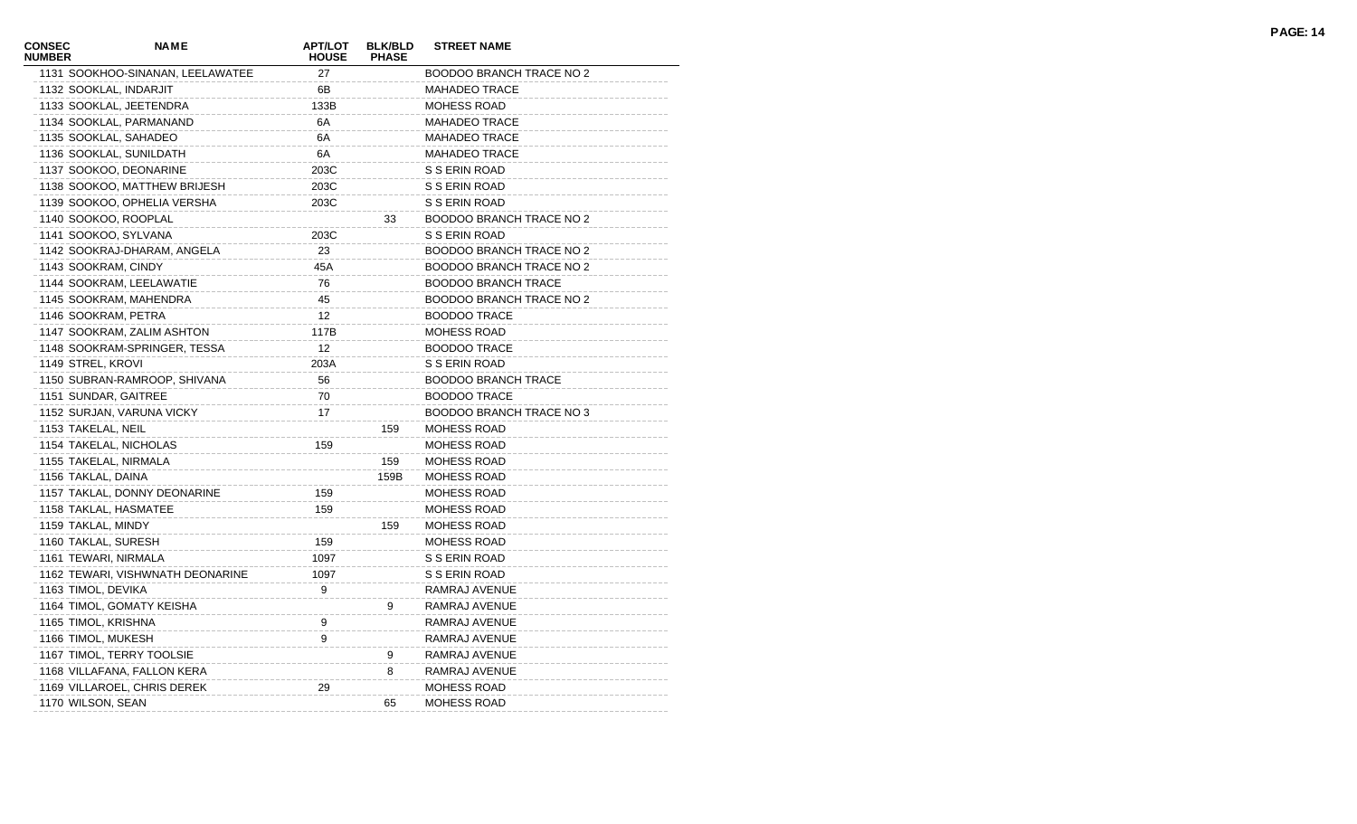| <b>CONSEC</b><br><b>NUMBER</b> | <b>NAME</b>                      | <b>APT/LOT</b><br><b>HOUSE</b> | <b>BLK/BLD</b><br><b>PHASE</b> | <b>STREET NAME</b>              |
|--------------------------------|----------------------------------|--------------------------------|--------------------------------|---------------------------------|
|                                | 1131 SOOKHOO-SINANAN, LEELAWATEE | 27                             |                                | BOODOO BRANCH TRACE NO 2        |
|                                | 1132 SOOKLAL, INDARJIT           | 6В                             |                                | <b>MAHADEO TRACE</b>            |
|                                | 1133 SOOKLAL, JEETENDRA          | 133B                           |                                | <b>MOHESS ROAD</b>              |
|                                | 1134 SOOKLAL, PARMANAND          | 6A                             |                                | <b>MAHADEO TRACE</b>            |
|                                | 1135 SOOKLAL, SAHADEO            | 6A                             |                                | <b>MAHADEO TRACE</b>            |
|                                | 1136 SOOKLAL, SUNILDATH          | 6A                             |                                | <b>MAHADEO TRACE</b>            |
|                                | 1137 SOOKOO, DEONARINE           | 203C                           |                                | S S ERIN ROAD                   |
|                                | 1138 SOOKOO, MATTHEW BRIJESH     | 203C                           |                                | S S ERIN ROAD                   |
|                                | 1139 SOOKOO, OPHELIA VERSHA      | 203C                           |                                | S S ERIN ROAD                   |
|                                | 1140 SOOKOO, ROOPLAL             |                                | 33                             | <b>BOODOO BRANCH TRACE NO 2</b> |
|                                | 1141 SOOKOO, SYLVANA             | 203C                           |                                | S S ERIN ROAD                   |
|                                | 1142 SOOKRAJ-DHARAM, ANGELA      | 23                             |                                | <b>BOODOO BRANCH TRACE NO 2</b> |
|                                | 1143 SOOKRAM, CINDY              | 45A                            |                                | <b>BOODOO BRANCH TRACE NO 2</b> |
|                                | 1144 SOOKRAM, LEELAWATIE         | 76                             |                                | <b>BOODOO BRANCH TRACE</b>      |
|                                | 1145 SOOKRAM, MAHENDRA           | 45                             |                                | <b>BOODOO BRANCH TRACE NO 2</b> |
|                                | 1146 SOOKRAM, PETRA              | 12                             |                                | <b>BOODOO TRACE</b>             |
|                                | 1147 SOOKRAM, ZALIM ASHTON       | 117B                           |                                | <b>MOHESS ROAD</b>              |
|                                | 1148 SOOKRAM-SPRINGER, TESSA     | 12                             |                                | <b>BOODOO TRACE</b>             |
|                                | 1149 STREL, KROVI                | 203A                           |                                | S S ERIN ROAD                   |
|                                | 1150 SUBRAN-RAMROOP, SHIVANA     | 56                             |                                | <b>BOODOO BRANCH TRACE</b>      |
|                                | 1151 SUNDAR, GAITREE             | 70                             |                                | <b>BOODOO TRACE</b>             |
|                                | 1152 SURJAN, VARUNA VICKY        | 17                             |                                | BOODOO BRANCH TRACE NO 3        |
|                                | 1153 TAKELAL, NEIL               |                                | 159                            | <b>MOHESS ROAD</b>              |
|                                | 1154 TAKELAL, NICHOLAS           | 159                            |                                | <b>MOHESS ROAD</b>              |
|                                | 1155 TAKELAL, NIRMALA            |                                | 159                            | <b>MOHESS ROAD</b>              |
|                                | 1156 TAKLAL, DAINA               |                                | 159B                           | <b>MOHESS ROAD</b>              |
|                                | 1157 TAKLAL, DONNY DEONARINE     | 159                            |                                | <b>MOHESS ROAD</b>              |
|                                | 1158 TAKLAL, HASMATEE            | 159                            |                                | <b>MOHESS ROAD</b>              |
|                                | 1159 TAKLAL, MINDY               |                                | 159                            | MOHESS ROAD                     |
|                                | 1160 TAKLAL, SURESH              | 159                            |                                | <b>MOHESS ROAD</b>              |
|                                | 1161 TEWARI, NIRMALA             | 1097                           |                                | S S ERIN ROAD                   |
|                                | 1162 TEWARI, VISHWNATH DEONARINE | 1097                           |                                | S S ERIN ROAD                   |
|                                | 1163 TIMOL, DEVIKA               | 9                              |                                | RAMRAJ AVENUE                   |
|                                | 1164 TIMOL, GOMATY KEISHA        |                                | 9                              | RAMRAJ AVENUE                   |
|                                | 1165 TIMOL, KRISHNA              | 9                              |                                | RAMRAJ AVENUE                   |
|                                | 1166 TIMOL, MUKESH               | 9                              |                                | RAMRAJ AVENUE                   |
|                                | 1167 TIMOL, TERRY TOOLSIE        |                                | 9                              | RAMRAJ AVENUE                   |
|                                | 1168 VILLAFANA, FALLON KERA      |                                | 8                              | RAMRAJ AVENUE                   |
|                                | 1169 VILLAROEL, CHRIS DEREK      | 29                             |                                | MOHESS ROAD                     |
|                                | 1170 WILSON, SEAN                |                                | 65                             | <b>MOHESS ROAD</b>              |